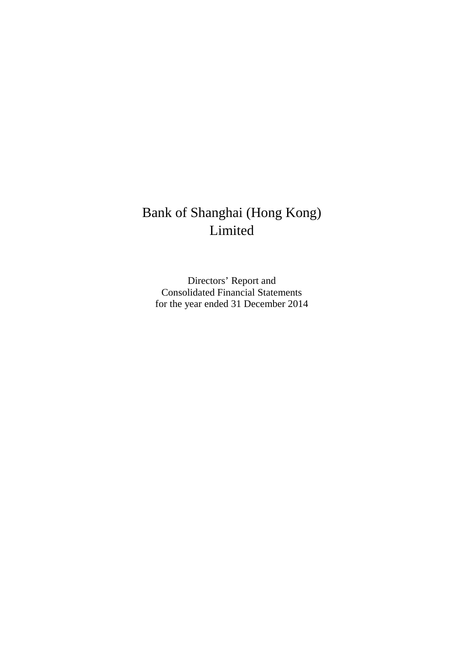# Bank of Shanghai (Hong Kong) Limited

Directors' Report and Consolidated Financial Statements for the year ended 31 December 2014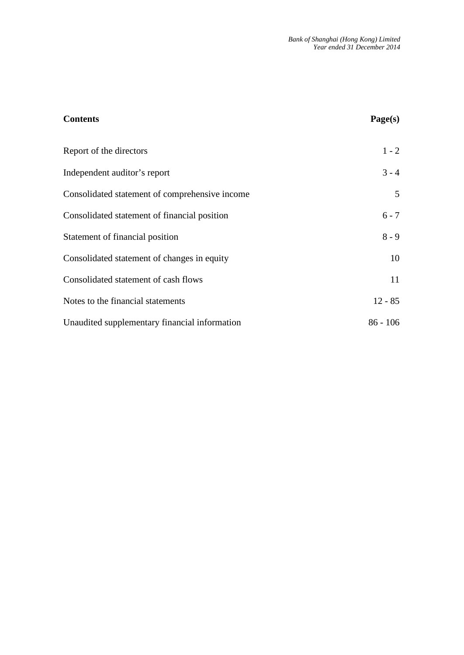| <b>Contents</b>                                | Page(s)    |
|------------------------------------------------|------------|
| Report of the directors                        | $1 - 2$    |
| Independent auditor's report                   | $3 - 4$    |
| Consolidated statement of comprehensive income | 5          |
| Consolidated statement of financial position   | $6 - 7$    |
| Statement of financial position                | $8 - 9$    |
| Consolidated statement of changes in equity    | 10         |
| Consolidated statement of cash flows           | 11         |
| Notes to the financial statements              | $12 - 85$  |
| Unaudited supplementary financial information  | $86 - 106$ |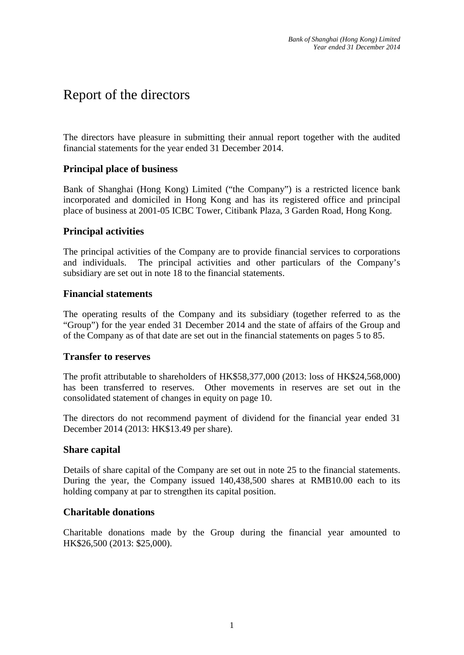# Report of the directors

The directors have pleasure in submitting their annual report together with the audited financial statements for the year ended 31 December 2014.

## **Principal place of business**

Bank of Shanghai (Hong Kong) Limited ("the Company") is a restricted licence bank incorporated and domiciled in Hong Kong and has its registered office and principal place of business at 2001-05 ICBC Tower, Citibank Plaza, 3 Garden Road, Hong Kong.

## **Principal activities**

The principal activities of the Company are to provide financial services to corporations and individuals. The principal activities and other particulars of the Company's subsidiary are set out in note 18 to the financial statements.

## **Financial statements**

The operating results of the Company and its subsidiary (together referred to as the "Group") for the year ended 31 December 2014 and the state of affairs of the Group and of the Company as of that date are set out in the financial statements on pages 5 to 85.

### **Transfer to reserves**

The profit attributable to shareholders of HK\$58,377,000 (2013: loss of HK\$24,568,000) has been transferred to reserves. Other movements in reserves are set out in the consolidated statement of changes in equity on page 10.

The directors do not recommend payment of dividend for the financial year ended 31 December 2014 (2013: HK\$13.49 per share).

## **Share capital**

Details of share capital of the Company are set out in note 25 to the financial statements. During the year, the Company issued 140,438,500 shares at RMB10.00 each to its holding company at par to strengthen its capital position.

## **Charitable donations**

Charitable donations made by the Group during the financial year amounted to HK\$26,500 (2013: \$25,000).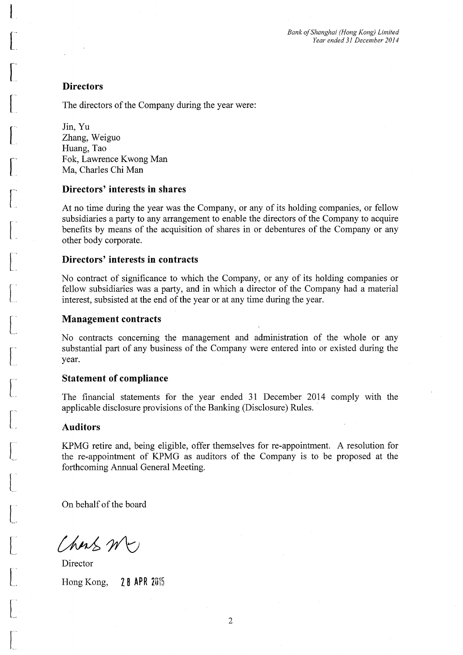## **Directors**

The directors of the Company during the year were:

Jin, Yu Zhang, Weiguo Huang, Tao Fok, Lawrence Kwong Man Ma, Charles Chi Man

#### Directors' interests in shares

At no time during the year was the Company, or any of its holding companies, or fellow subsidiaries a party to any arrangement to enable the directors of the Company to acquire benefits by means of the acquisition of shares in or debentures of the Company or any other body corporate.

#### Directors' interests in contracts

No contract of significance to which the Company, or any of its holding companies or fellow subsidiaries was a party, and in which a director of the Company had a material interest, subsisted at the end of the year or at any time during the year.

#### **Management contracts**

No contracts concerning the management and administration of the whole or any substantial part of any business of the Company were entered into or existed during the year.

#### **Statement of compliance**

The financial statements for the year ended 31 December 2014 comply with the applicable disclosure provisions of the Banking (Disclosure) Rules.

#### **Auditors**

KPMG retire and, being eligible, offer themselves for re-appointment. A resolution for the re-appointment of KPMG as auditors of the Company is to be proposed at the forthcoming Annual General Meeting.

On behalf of the board

Chars MC

Director

Hong Kong, 28 APR 2015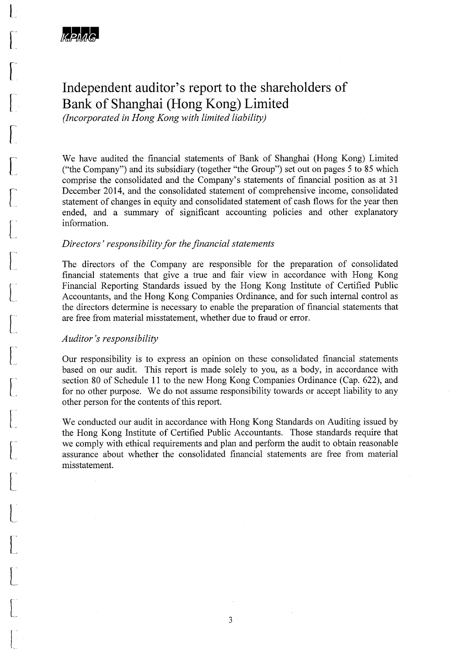

# Independent auditor's report to the shareholders of Bank of Shanghai (Hong Kong) Limited

(Incorporated in Hong Kong with limited liability)

We have audited the financial statements of Bank of Shanghai (Hong Kong) Limited ("the Company") and its subsidiary (together "the Group") set out on pages 5 to 85 which comprise the consolidated and the Company's statements of financial position as at 31 December 2014, and the consolidated statement of comprehensive income, consolidated statement of changes in equity and consolidated statement of cash flows for the year then ended, and a summary of significant accounting policies and other explanatory information.

#### Directors' responsibility for the financial statements

The directors of the Company are responsible for the preparation of consolidated financial statements that give a true and fair view in accordance with Hong Kong Financial Reporting Standards issued by the Hong Kong Institute of Certified Public Accountants, and the Hong Kong Companies Ordinance, and for such internal control as the directors determine is necessary to enable the preparation of financial statements that are free from material misstatement, whether due to fraud or error.

#### Auditor's responsibility

Our responsibility is to express an opinion on these consolidated financial statements based on our audit. This report is made solely to you, as a body, in accordance with section 80 of Schedule 11 to the new Hong Kong Companies Ordinance (Cap. 622), and for no other purpose. We do not assume responsibility towards or accept liability to any other person for the contents of this report.

We conducted our audit in accordance with Hong Kong Standards on Auditing issued by the Hong Kong Institute of Certified Public Accountants. Those standards require that we comply with ethical requirements and plan and perform the audit to obtain reasonable assurance about whether the consolidated financial statements are free from material misstatement.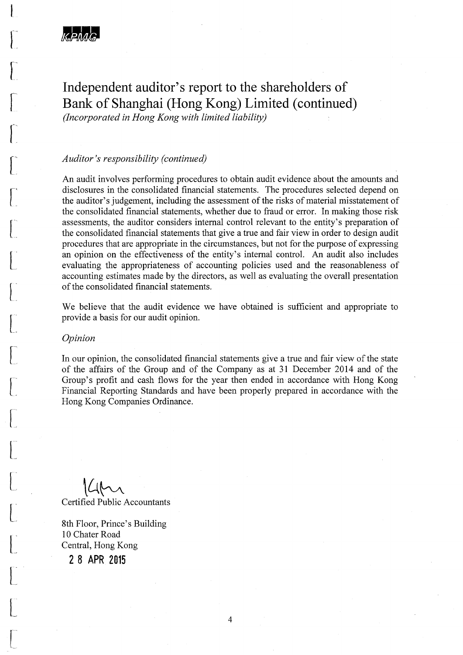

# Independent auditor's report to the shareholders of Bank of Shanghai (Hong Kong) Limited (continued)

(Incorporated in Hong Kong with limited liability)

#### Auditor's responsibility (continued)

An audit involves performing procedures to obtain audit evidence about the amounts and disclosures in the consolidated financial statements. The procedures selected depend on the auditor's judgement, including the assessment of the risks of material misstatement of the consolidated financial statements, whether due to fraud or error. In making those risk assessments, the auditor considers internal control relevant to the entity's preparation of the consolidated financial statements that give a true and fair view in order to design audit procedures that are appropriate in the circumstances, but not for the purpose of expressing an opinion on the effectiveness of the entity's internal control. An audit also includes evaluating the appropriateness of accounting policies used and the reasonableness of accounting estimates made by the directors, as well as evaluating the overall presentation of the consolidated financial statements.

We believe that the audit evidence we have obtained is sufficient and appropriate to provide a basis for our audit opinion.

#### Opinion

In our opinion, the consolidated financial statements give a true and fair view of the state of the affairs of the Group and of the Company as at 31 December 2014 and of the Group's profit and cash flows for the year then ended in accordance with Hong Kong Financial Reporting Standards and have been properly prepared in accordance with the Hong Kong Companies Ordinance.

 $14M<sub>1</sub>$ **Certified Public Accountants** 

8th Floor, Prince's Building 10 Chater Road Central, Hong Kong

2 8 APR 2015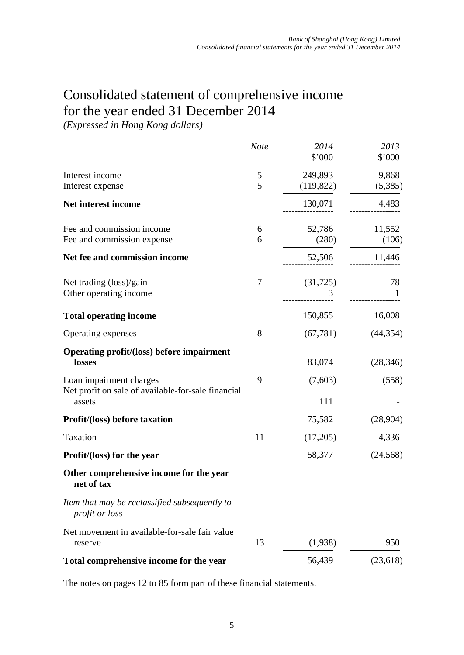# Consolidated statement of comprehensive income for the year ended 31 December 2014

*(Expressed in Hong Kong dollars)*

|                                                                 | <b>Note</b> | 2014<br>\$'000 | 2013<br>\$'000 |
|-----------------------------------------------------------------|-------------|----------------|----------------|
| Interest income                                                 | 5           | 249,893        | 9,868          |
| Interest expense                                                | 5           | (119, 822)     | (5,385)        |
| Net interest income                                             |             | 130,071        | 4,483          |
| Fee and commission income                                       | 6           | 52,786         | 11,552         |
| Fee and commission expense                                      | 6           | (280)          | (106)          |
| Net fee and commission income                                   |             | 52,506         | 11,446         |
| Net trading (loss)/gain                                         | 7           | (31, 725)      | 78             |
| Other operating income                                          |             |                | 1              |
| <b>Total operating income</b>                                   |             | 150,855        | 16,008         |
| Operating expenses                                              | 8           | (67, 781)      | (44, 354)      |
| <b>Operating profit/(loss) before impairment</b><br>losses      |             | 83,074         | (28, 346)      |
| Loan impairment charges                                         | 9           | (7,603)        | (558)          |
| Net profit on sale of available-for-sale financial<br>assets    |             | 111            |                |
| <b>Profit/(loss) before taxation</b>                            |             | 75,582         | (28,904)       |
| Taxation                                                        | 11          | (17,205)       | 4,336          |
| Profit/(loss) for the year                                      |             | 58,377         | (24, 568)      |
| Other comprehensive income for the year<br>net of tax           |             |                |                |
| Item that may be reclassified subsequently to<br>profit or loss |             |                |                |
| Net movement in available-for-sale fair value<br>reserve        | 13          | (1,938)        | 950            |
| Total comprehensive income for the year                         |             | 56,439         | (23,618)       |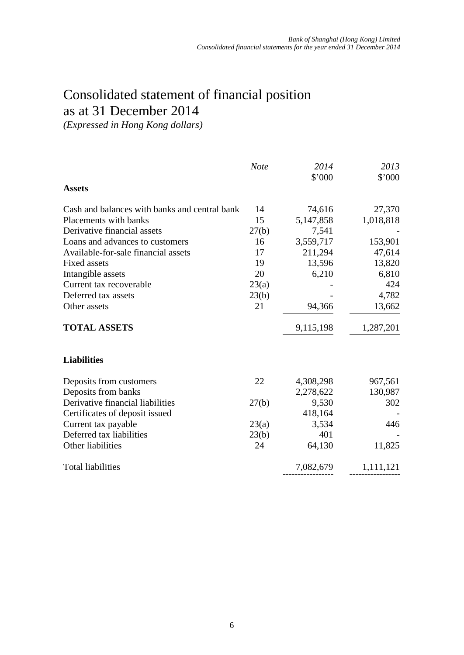# Consolidated statement of financial position as at 31 December 2014

*(Expressed in Hong Kong dollars)*

|                                               | <b>Note</b> | 2014<br>\$'000 | 2013<br>\$'000 |
|-----------------------------------------------|-------------|----------------|----------------|
| <b>Assets</b>                                 |             |                |                |
| Cash and balances with banks and central bank | 14          | 74,616         | 27,370         |
| Placements with banks                         | 15          | 5,147,858      | 1,018,818      |
| Derivative financial assets                   | 27(b)       | 7,541          |                |
| Loans and advances to customers               | 16          | 3,559,717      | 153,901        |
| Available-for-sale financial assets           | 17          | 211,294        | 47,614         |
| <b>Fixed assets</b>                           | 19          | 13,596         | 13,820         |
| Intangible assets                             | 20          | 6,210          | 6,810          |
| Current tax recoverable                       | 23(a)       |                | 424            |
| Deferred tax assets                           | 23(b)       |                | 4,782          |
| Other assets                                  | 21          | 94,366         | 13,662         |
| <b>TOTAL ASSETS</b>                           |             | 9,115,198      | 1,287,201      |
| <b>Liabilities</b>                            |             |                |                |
| Deposits from customers                       | 22          | 4,308,298      | 967,561        |
| Deposits from banks                           |             | 2,278,622      | 130,987        |
| Derivative financial liabilities              | 27(b)       | 9,530          | 302            |
| Certificates of deposit issued                |             | 418,164        |                |
| Current tax payable                           | 23(a)       | 3,534          | 446            |
| Deferred tax liabilities                      | 23(b)       | 401            |                |
| Other liabilities                             | 24          | 64,130         | 11,825         |
| <b>Total liabilities</b>                      |             | 7,082,679      | 1,111,121      |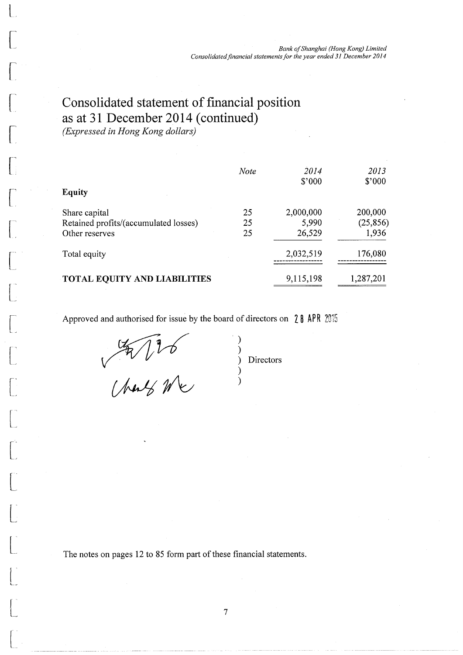# Consolidated statement of financial position as at 31 December 2014 (continued)

(Expressed in Hong Kong dollars)

|                                       | <b>Note</b> | 2014<br>\$'000 | 2013<br>\$'000 |
|---------------------------------------|-------------|----------------|----------------|
| <b>Equity</b>                         |             |                |                |
| Share capital                         | 25          | 2,000,000      | 200,000        |
| Retained profits/(accumulated losses) | 25          | 5,990          | (25, 856)      |
| Other reserves                        | 25          | 26,529         | 1,936          |
| Total equity                          |             | 2,032,519      | 176,080        |
| TOTAL EQUITY AND LIABILITIES          |             | 9,115,198      | 1,287,201      |

Approved and authorised for issue by the board of directors on 28 APR 2315

Charles We

Directors

ſ  $\mathcal{E}$  $\overline{\mathcal{L}}$ 

 $\lambda$  $\lambda$ 

The notes on pages 12 to 85 form part of these financial statements.

 $\overline{7}$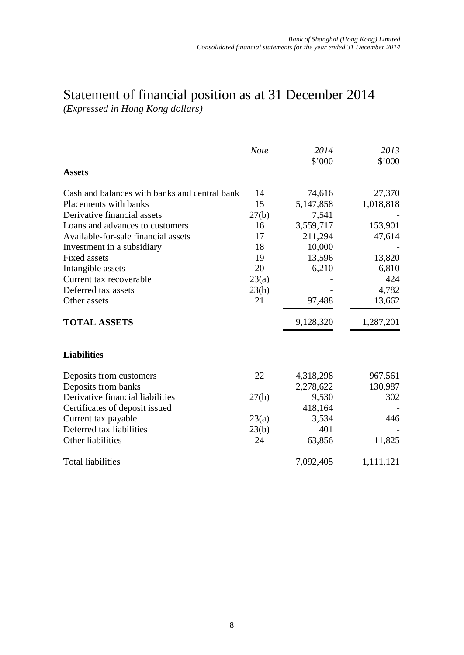# Statement of financial position as at 31 December 2014 *(Expressed in Hong Kong dollars)*

|                                               | <b>Note</b> | 2014<br>\$'000 | 2013<br>\$'000 |
|-----------------------------------------------|-------------|----------------|----------------|
| <b>Assets</b>                                 |             |                |                |
| Cash and balances with banks and central bank | 14          | 74,616         | 27,370         |
| Placements with banks                         | 15          | 5,147,858      | 1,018,818      |
| Derivative financial assets                   | 27(b)       | 7,541          |                |
| Loans and advances to customers               | 16          | 3,559,717      | 153,901        |
| Available-for-sale financial assets           | 17          | 211,294        | 47,614         |
| Investment in a subsidiary                    | 18          | 10,000         |                |
| <b>Fixed assets</b>                           | 19          | 13,596         | 13,820         |
| Intangible assets                             | 20          | 6,210          | 6,810          |
| Current tax recoverable                       | 23(a)       |                | 424            |
| Deferred tax assets                           | 23(b)       |                | 4,782          |
| Other assets                                  | 21          | 97,488         | 13,662         |
| <b>TOTAL ASSETS</b>                           |             | 9,128,320      | 1,287,201      |
| <b>Liabilities</b>                            |             |                |                |
| Deposits from customers                       | 22          | 4,318,298      | 967,561        |
| Deposits from banks                           |             | 2,278,622      | 130,987        |
| Derivative financial liabilities              | 27(b)       | 9,530          | 302            |
| Certificates of deposit issued                |             | 418,164        |                |
| Current tax payable                           | 23(a)       | 3,534          | 446            |
| Deferred tax liabilities                      | 23(b)       | 401            |                |
| Other liabilities                             | 24          | 63,856         | 11,825         |
| <b>Total liabilities</b>                      |             | 7,092,405      | 1,111,121      |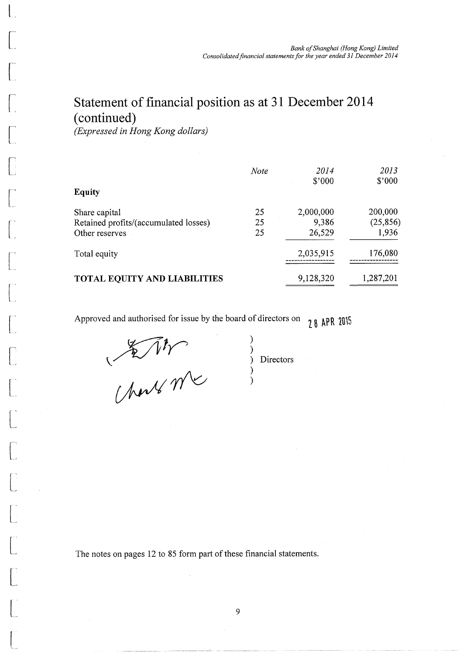# Statement of financial position as at 31 December 2014 (continued)

(Expressed in Hong Kong dollars)

| Equity                                | <b>Note</b> | 2014<br>\$'000 | 2013<br>\$'000 |
|---------------------------------------|-------------|----------------|----------------|
| Share capital                         | 25          | 2,000,000      | 200,000        |
| Retained profits/(accumulated losses) | 25          | 9,386          | (25, 856)      |
| Other reserves                        | 25          | 26,529         | 1,936          |
| Total equity                          |             | 2,035,915      | 176,080        |
| <b>TOTAL EQUITY AND LIABILITIES</b>   |             | 9,128,320      | 1,287,201      |

Approved and authorised for issue by the board of directors on 28 APR 2015

New me

 $\overline{)}$ Directors

 $\lambda$ 

 $\lambda$  $\lambda$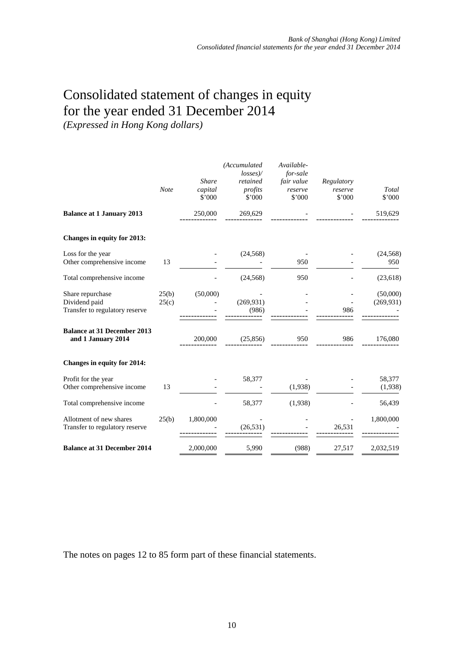# Consolidated statement of changes in equity for the year ended 31 December 2014

*(Expressed in Hong Kong dollars)*

|                                                                     | <b>Note</b>    | <b>Share</b><br>capital<br>\$'000 | (Accumulated<br>losses<br>retained<br>profits<br>\$'000 | Available-<br>for-sale<br>fair value<br>reserve<br>\$'000 | Regulatory<br>reserve<br>\$'000 | Total<br>\$'000        |
|---------------------------------------------------------------------|----------------|-----------------------------------|---------------------------------------------------------|-----------------------------------------------------------|---------------------------------|------------------------|
| <b>Balance at 1 January 2013</b>                                    |                | 250,000                           | 269,629                                                 |                                                           |                                 | 519,629                |
| Changes in equity for 2013:                                         |                |                                   |                                                         |                                                           |                                 |                        |
| Loss for the year<br>Other comprehensive income                     | 13             |                                   | (24, 568)                                               | 950                                                       |                                 | (24, 568)<br>950       |
| Total comprehensive income                                          |                |                                   | (24, 568)                                               | 950                                                       |                                 | (23, 618)              |
| Share repurchase<br>Dividend paid<br>Transfer to regulatory reserve | 25(b)<br>25(c) | (50,000)                          | (269, 931)<br>(986)                                     |                                                           | 986                             | (50,000)<br>(269, 931) |
| <b>Balance at 31 December 2013</b><br>and 1 January 2014            |                | 200,000                           | (25, 856)                                               | 950                                                       | 986                             | 176,080                |
| <b>Changes in equity for 2014:</b>                                  |                |                                   |                                                         |                                                           |                                 |                        |
| Profit for the year<br>Other comprehensive income                   | 13             |                                   | 58,377                                                  | (1,938)                                                   |                                 | 58,377<br>(1,938)      |
| Total comprehensive income                                          |                |                                   | 58,377                                                  | (1,938)                                                   |                                 | 56,439                 |
| Allotment of new shares<br>Transfer to regulatory reserve           | 25(b)          | 1,800,000                         | (26, 531)                                               |                                                           | 26,531                          | 1,800,000              |
| <b>Balance at 31 December 2014</b>                                  |                | 2,000,000                         | 5,990                                                   | (988)                                                     | 27,517                          | 2,032,519              |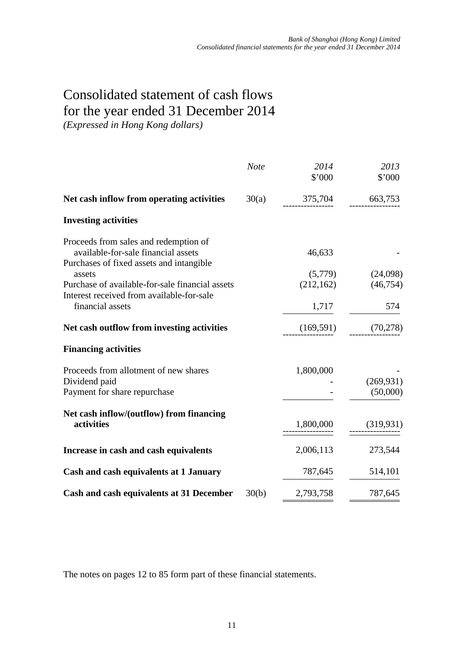# Consolidated statement of cash flows for the year ended 31 December 2014

*(Expressed in Hong Kong dollars)*

|                                                                                                                          | <b>Note</b> | 2014<br>\$'000 | 2013<br>\$'000         |
|--------------------------------------------------------------------------------------------------------------------------|-------------|----------------|------------------------|
| Net cash inflow from operating activities                                                                                | 30(a)       | 375,704        | 663,753                |
| <b>Investing activities</b>                                                                                              |             |                |                        |
| Proceeds from sales and redemption of<br>available-for-sale financial assets<br>Purchases of fixed assets and intangible |             | 46,633         |                        |
| assets                                                                                                                   |             | (5,779)        | (24,098)               |
| Purchase of available-for-sale financial assets<br>Interest received from available-for-sale                             |             | (212, 162)     | (46, 754)              |
| financial assets                                                                                                         |             | 1,717          | 574                    |
| Net cash outflow from investing activities                                                                               |             | (169, 591)     | (70, 278)              |
| <b>Financing activities</b>                                                                                              |             |                |                        |
| Proceeds from allotment of new shares<br>Dividend paid<br>Payment for share repurchase                                   |             | 1,800,000      | (269, 931)<br>(50,000) |
| Net cash inflow/(outflow) from financing<br>activities                                                                   |             | 1,800,000      | (319,931)              |
| Increase in cash and cash equivalents                                                                                    |             | 2,006,113      | 273,544                |
| Cash and cash equivalents at 1 January                                                                                   |             | 787,645        | 514,101                |
| Cash and cash equivalents at 31 December                                                                                 | 30(b)       | 2,793,758      | 787,645                |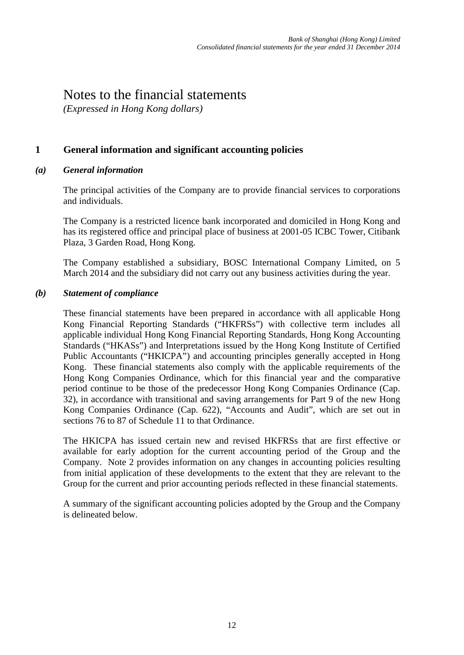# Notes to the financial statements

*(Expressed in Hong Kong dollars)*

# **1 General information and significant accounting policies**

## *(a) General information*

The principal activities of the Company are to provide financial services to corporations and individuals.

The Company is a restricted licence bank incorporated and domiciled in Hong Kong and has its registered office and principal place of business at 2001-05 ICBC Tower, Citibank Plaza, 3 Garden Road, Hong Kong.

The Company established a subsidiary, BOSC International Company Limited, on 5 March 2014 and the subsidiary did not carry out any business activities during the year.

## *(b) Statement of compliance*

These financial statements have been prepared in accordance with all applicable Hong Kong Financial Reporting Standards ("HKFRSs") with collective term includes all applicable individual Hong Kong Financial Reporting Standards, Hong Kong Accounting Standards ("HKASs") and Interpretations issued by the Hong Kong Institute of Certified Public Accountants ("HKICPA") and accounting principles generally accepted in Hong Kong. These financial statements also comply with the applicable requirements of the Hong Kong Companies Ordinance, which for this financial year and the comparative period continue to be those of the predecessor Hong Kong Companies Ordinance (Cap. 32), in accordance with transitional and saving arrangements for Part 9 of the new Hong Kong Companies Ordinance (Cap. 622), "Accounts and Audit", which are set out in sections 76 to 87 of Schedule 11 to that Ordinance.

The HKICPA has issued certain new and revised HKFRSs that are first effective or available for early adoption for the current accounting period of the Group and the Company. Note 2 provides information on any changes in accounting policies resulting from initial application of these developments to the extent that they are relevant to the Group for the current and prior accounting periods reflected in these financial statements.

A summary of the significant accounting policies adopted by the Group and the Company is delineated below.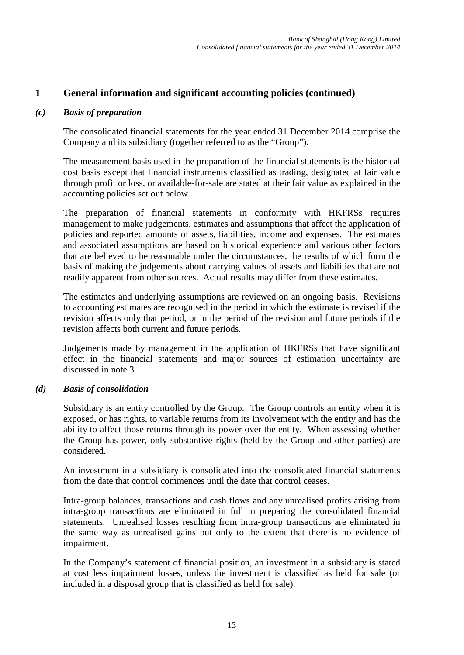#### *(c) Basis of preparation*

The consolidated financial statements for the year ended 31 December 2014 comprise the Company and its subsidiary (together referred to as the "Group").

The measurement basis used in the preparation of the financial statements is the historical cost basis except that financial instruments classified as trading, designated at fair value through profit or loss, or available-for-sale are stated at their fair value as explained in the accounting policies set out below.

The preparation of financial statements in conformity with HKFRSs requires management to make judgements, estimates and assumptions that affect the application of policies and reported amounts of assets, liabilities, income and expenses. The estimates and associated assumptions are based on historical experience and various other factors that are believed to be reasonable under the circumstances, the results of which form the basis of making the judgements about carrying values of assets and liabilities that are not readily apparent from other sources. Actual results may differ from these estimates.

The estimates and underlying assumptions are reviewed on an ongoing basis. Revisions to accounting estimates are recognised in the period in which the estimate is revised if the revision affects only that period, or in the period of the revision and future periods if the revision affects both current and future periods.

Judgements made by management in the application of HKFRSs that have significant effect in the financial statements and major sources of estimation uncertainty are discussed in note 3.

### *(d) Basis of consolidation*

Subsidiary is an entity controlled by the Group. The Group controls an entity when it is exposed, or has rights, to variable returns from its involvement with the entity and has the ability to affect those returns through its power over the entity. When assessing whether the Group has power, only substantive rights (held by the Group and other parties) are considered.

An investment in a subsidiary is consolidated into the consolidated financial statements from the date that control commences until the date that control ceases.

Intra-group balances, transactions and cash flows and any unrealised profits arising from intra-group transactions are eliminated in full in preparing the consolidated financial statements. Unrealised losses resulting from intra-group transactions are eliminated in the same way as unrealised gains but only to the extent that there is no evidence of impairment.

In the Company's statement of financial position, an investment in a subsidiary is stated at cost less impairment losses, unless the investment is classified as held for sale (or included in a disposal group that is classified as held for sale).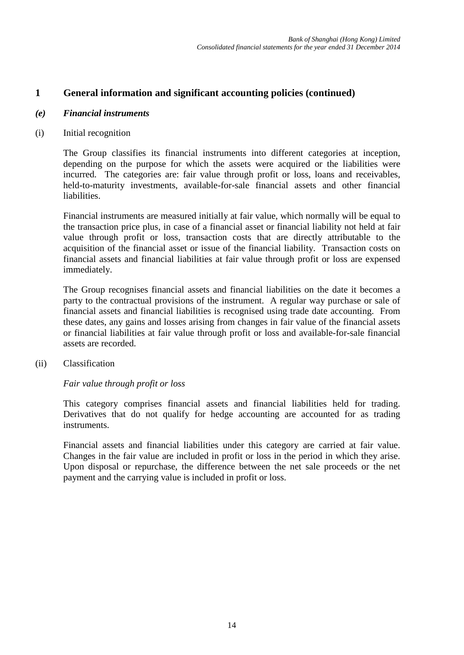#### *(e) Financial instruments*

#### (i) Initial recognition

The Group classifies its financial instruments into different categories at inception, depending on the purpose for which the assets were acquired or the liabilities were incurred. The categories are: fair value through profit or loss, loans and receivables, held-to-maturity investments, available-for-sale financial assets and other financial liabilities.

Financial instruments are measured initially at fair value, which normally will be equal to the transaction price plus, in case of a financial asset or financial liability not held at fair value through profit or loss, transaction costs that are directly attributable to the acquisition of the financial asset or issue of the financial liability. Transaction costs on financial assets and financial liabilities at fair value through profit or loss are expensed immediately.

The Group recognises financial assets and financial liabilities on the date it becomes a party to the contractual provisions of the instrument. A regular way purchase or sale of financial assets and financial liabilities is recognised using trade date accounting. From these dates, any gains and losses arising from changes in fair value of the financial assets or financial liabilities at fair value through profit or loss and available-for-sale financial assets are recorded.

#### (ii) Classification

### *Fair value through profit or loss*

This category comprises financial assets and financial liabilities held for trading. Derivatives that do not qualify for hedge accounting are accounted for as trading instruments.

Financial assets and financial liabilities under this category are carried at fair value. Changes in the fair value are included in profit or loss in the period in which they arise. Upon disposal or repurchase, the difference between the net sale proceeds or the net payment and the carrying value is included in profit or loss.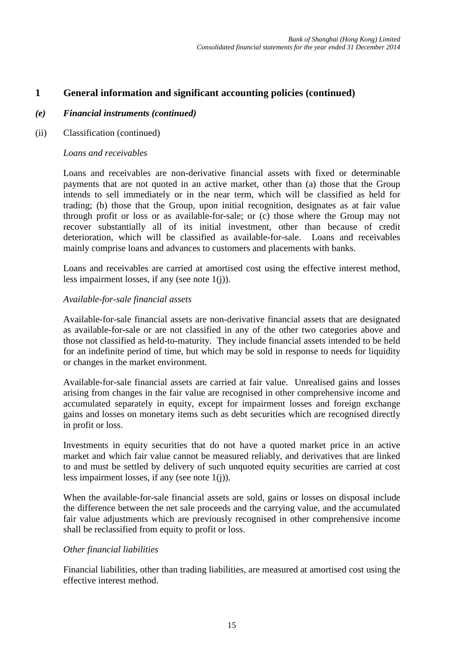## *(e) Financial instruments (continued)*

(ii) Classification (continued)

### *Loans and receivables*

Loans and receivables are non-derivative financial assets with fixed or determinable payments that are not quoted in an active market, other than (a) those that the Group intends to sell immediately or in the near term, which will be classified as held for trading; (b) those that the Group, upon initial recognition, designates as at fair value through profit or loss or as available-for-sale; or (c) those where the Group may not recover substantially all of its initial investment, other than because of credit deterioration, which will be classified as available-for-sale. Loans and receivables mainly comprise loans and advances to customers and placements with banks.

Loans and receivables are carried at amortised cost using the effective interest method, less impairment losses, if any (see note 1(j)).

### *Available-for-sale financial assets*

Available-for-sale financial assets are non-derivative financial assets that are designated as available-for-sale or are not classified in any of the other two categories above and those not classified as held-to-maturity. They include financial assets intended to be held for an indefinite period of time, but which may be sold in response to needs for liquidity or changes in the market environment.

Available-for-sale financial assets are carried at fair value. Unrealised gains and losses arising from changes in the fair value are recognised in other comprehensive income and accumulated separately in equity, except for impairment losses and foreign exchange gains and losses on monetary items such as debt securities which are recognised directly in profit or loss.

Investments in equity securities that do not have a quoted market price in an active market and which fair value cannot be measured reliably, and derivatives that are linked to and must be settled by delivery of such unquoted equity securities are carried at cost less impairment losses, if any (see note 1(j)).

When the available-for-sale financial assets are sold, gains or losses on disposal include the difference between the net sale proceeds and the carrying value, and the accumulated fair value adjustments which are previously recognised in other comprehensive income shall be reclassified from equity to profit or loss.

### *Other financial liabilities*

Financial liabilities, other than trading liabilities, are measured at amortised cost using the effective interest method.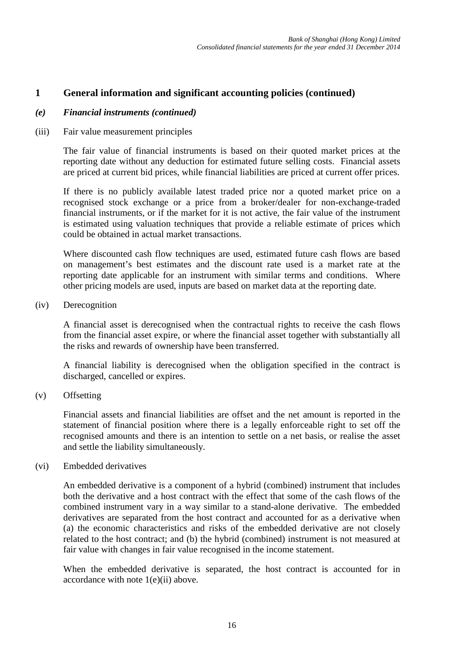## *(e) Financial instruments (continued)*

### (iii) Fair value measurement principles

The fair value of financial instruments is based on their quoted market prices at the reporting date without any deduction for estimated future selling costs. Financial assets are priced at current bid prices, while financial liabilities are priced at current offer prices.

If there is no publicly available latest traded price nor a quoted market price on a recognised stock exchange or a price from a broker/dealer for non-exchange-traded financial instruments, or if the market for it is not active, the fair value of the instrument is estimated using valuation techniques that provide a reliable estimate of prices which could be obtained in actual market transactions.

Where discounted cash flow techniques are used, estimated future cash flows are based on management's best estimates and the discount rate used is a market rate at the reporting date applicable for an instrument with similar terms and conditions. Where other pricing models are used, inputs are based on market data at the reporting date.

(iv) Derecognition

A financial asset is derecognised when the contractual rights to receive the cash flows from the financial asset expire, or where the financial asset together with substantially all the risks and rewards of ownership have been transferred.

A financial liability is derecognised when the obligation specified in the contract is discharged, cancelled or expires.

(v) Offsetting

Financial assets and financial liabilities are offset and the net amount is reported in the statement of financial position where there is a legally enforceable right to set off the recognised amounts and there is an intention to settle on a net basis, or realise the asset and settle the liability simultaneously.

### (vi) Embedded derivatives

An embedded derivative is a component of a hybrid (combined) instrument that includes both the derivative and a host contract with the effect that some of the cash flows of the combined instrument vary in a way similar to a stand-alone derivative. The embedded derivatives are separated from the host contract and accounted for as a derivative when (a) the economic characteristics and risks of the embedded derivative are not closely related to the host contract; and (b) the hybrid (combined) instrument is not measured at fair value with changes in fair value recognised in the income statement.

When the embedded derivative is separated, the host contract is accounted for in accordance with note 1(e)(ii) above.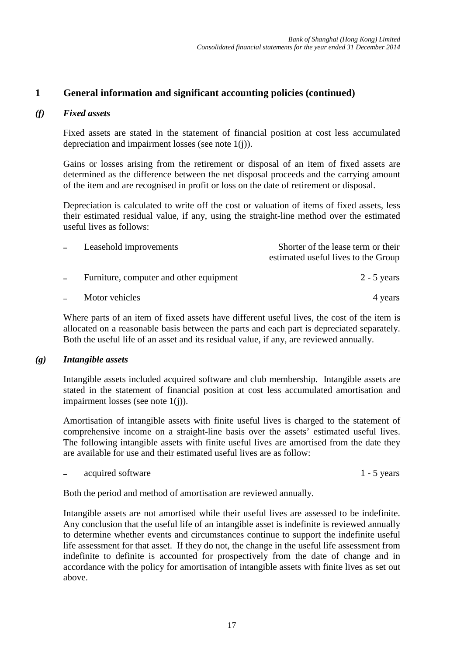### *(f) Fixed assets*

Fixed assets are stated in the statement of financial position at cost less accumulated depreciation and impairment losses (see note 1(j)).

Gains or losses arising from the retirement or disposal of an item of fixed assets are determined as the difference between the net disposal proceeds and the carrying amount of the item and are recognised in profit or loss on the date of retirement or disposal.

Depreciation is calculated to write off the cost or valuation of items of fixed assets, less their estimated residual value, if any, using the straight-line method over the estimated useful lives as follows:

| $\equiv$ | Leasehold improvements                  | Shorter of the lease term or their<br>estimated useful lives to the Group |
|----------|-----------------------------------------|---------------------------------------------------------------------------|
|          | Furniture, computer and other equipment | $2 - 5$ years                                                             |
|          | Motor vehicles                          | 4 years                                                                   |

Where parts of an item of fixed assets have different useful lives, the cost of the item is allocated on a reasonable basis between the parts and each part is depreciated separately. Both the useful life of an asset and its residual value, if any, are reviewed annually.

#### *(g) Intangible assets*

Intangible assets included acquired software and club membership. Intangible assets are stated in the statement of financial position at cost less accumulated amortisation and impairment losses (see note 1(j)).

Amortisation of intangible assets with finite useful lives is charged to the statement of comprehensive income on a straight-line basis over the assets' estimated useful lives. The following intangible assets with finite useful lives are amortised from the date they are available for use and their estimated useful lives are as follow:

| acquired software |  | 1 - 5 years |  |
|-------------------|--|-------------|--|
|                   |  |             |  |

Both the period and method of amortisation are reviewed annually.

Intangible assets are not amortised while their useful lives are assessed to be indefinite. Any conclusion that the useful life of an intangible asset is indefinite is reviewed annually to determine whether events and circumstances continue to support the indefinite useful life assessment for that asset. If they do not, the change in the useful life assessment from indefinite to definite is accounted for prospectively from the date of change and in accordance with the policy for amortisation of intangible assets with finite lives as set out above.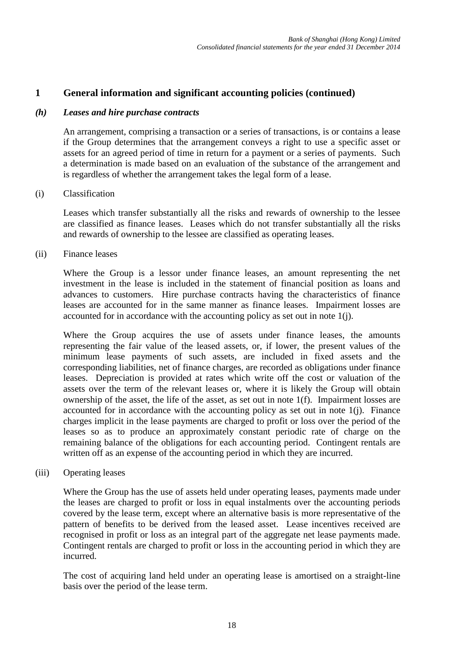### *(h) Leases and hire purchase contracts*

An arrangement, comprising a transaction or a series of transactions, is or contains a lease if the Group determines that the arrangement conveys a right to use a specific asset or assets for an agreed period of time in return for a payment or a series of payments. Such a determination is made based on an evaluation of the substance of the arrangement and is regardless of whether the arrangement takes the legal form of a lease.

#### (i) Classification

Leases which transfer substantially all the risks and rewards of ownership to the lessee are classified as finance leases. Leases which do not transfer substantially all the risks and rewards of ownership to the lessee are classified as operating leases.

(ii) Finance leases

Where the Group is a lessor under finance leases, an amount representing the net investment in the lease is included in the statement of financial position as loans and advances to customers. Hire purchase contracts having the characteristics of finance leases are accounted for in the same manner as finance leases. Impairment losses are accounted for in accordance with the accounting policy as set out in note 1(j).

Where the Group acquires the use of assets under finance leases, the amounts representing the fair value of the leased assets, or, if lower, the present values of the minimum lease payments of such assets, are included in fixed assets and the corresponding liabilities, net of finance charges, are recorded as obligations under finance leases. Depreciation is provided at rates which write off the cost or valuation of the assets over the term of the relevant leases or, where it is likely the Group will obtain ownership of the asset, the life of the asset, as set out in note 1(f). Impairment losses are accounted for in accordance with the accounting policy as set out in note 1(j). Finance charges implicit in the lease payments are charged to profit or loss over the period of the leases so as to produce an approximately constant periodic rate of charge on the remaining balance of the obligations for each accounting period. Contingent rentals are written off as an expense of the accounting period in which they are incurred.

(iii) Operating leases

Where the Group has the use of assets held under operating leases, payments made under the leases are charged to profit or loss in equal instalments over the accounting periods covered by the lease term, except where an alternative basis is more representative of the pattern of benefits to be derived from the leased asset. Lease incentives received are recognised in profit or loss as an integral part of the aggregate net lease payments made. Contingent rentals are charged to profit or loss in the accounting period in which they are incurred.

The cost of acquiring land held under an operating lease is amortised on a straight-line basis over the period of the lease term.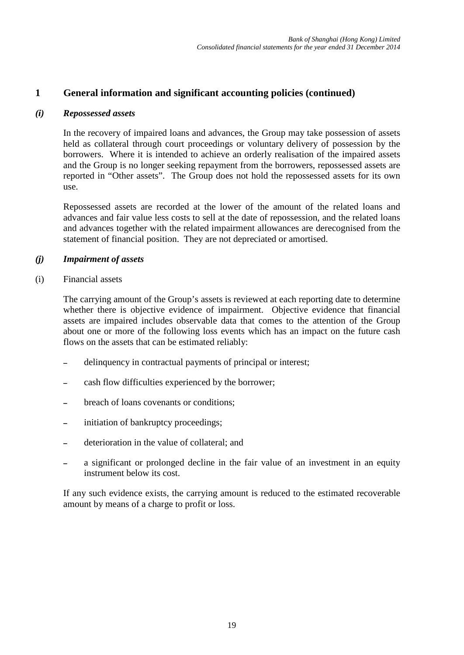### *(i) Repossessed assets*

In the recovery of impaired loans and advances, the Group may take possession of assets held as collateral through court proceedings or voluntary delivery of possession by the borrowers. Where it is intended to achieve an orderly realisation of the impaired assets and the Group is no longer seeking repayment from the borrowers, repossessed assets are reported in "Other assets". The Group does not hold the repossessed assets for its own use.

Repossessed assets are recorded at the lower of the amount of the related loans and advances and fair value less costs to sell at the date of repossession, and the related loans and advances together with the related impairment allowances are derecognised from the statement of financial position. They are not depreciated or amortised.

## *(j) Impairment of assets*

(i) Financial assets

The carrying amount of the Group's assets is reviewed at each reporting date to determine whether there is objective evidence of impairment. Objective evidence that financial assets are impaired includes observable data that comes to the attention of the Group about one or more of the following loss events which has an impact on the future cash flows on the assets that can be estimated reliably:

- delinquency in contractual payments of principal or interest;
- cash flow difficulties experienced by the borrower;
- breach of loans covenants or conditions:
- initiation of bankruptcy proceedings;
- − deterioration in the value of collateral; and
- a significant or prolonged decline in the fair value of an investment in an equity instrument below its cost.

If any such evidence exists, the carrying amount is reduced to the estimated recoverable amount by means of a charge to profit or loss.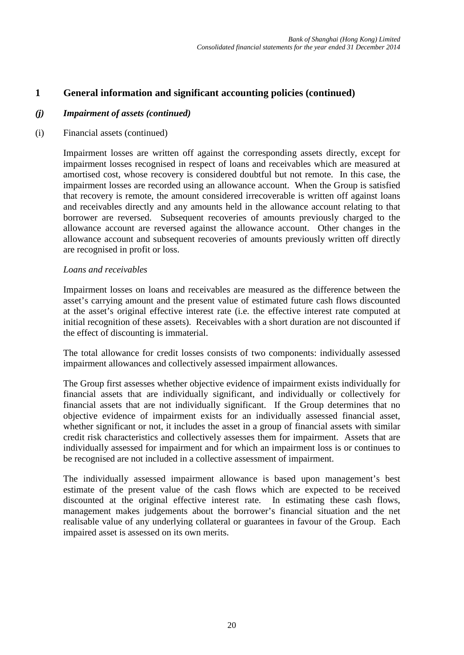## *(j) Impairment of assets (continued)*

### (i) Financial assets (continued)

Impairment losses are written off against the corresponding assets directly, except for impairment losses recognised in respect of loans and receivables which are measured at amortised cost, whose recovery is considered doubtful but not remote. In this case, the impairment losses are recorded using an allowance account. When the Group is satisfied that recovery is remote, the amount considered irrecoverable is written off against loans and receivables directly and any amounts held in the allowance account relating to that borrower are reversed. Subsequent recoveries of amounts previously charged to the allowance account are reversed against the allowance account. Other changes in the allowance account and subsequent recoveries of amounts previously written off directly are recognised in profit or loss.

### *Loans and receivables*

Impairment losses on loans and receivables are measured as the difference between the asset's carrying amount and the present value of estimated future cash flows discounted at the asset's original effective interest rate (i.e. the effective interest rate computed at initial recognition of these assets). Receivables with a short duration are not discounted if the effect of discounting is immaterial.

The total allowance for credit losses consists of two components: individually assessed impairment allowances and collectively assessed impairment allowances.

The Group first assesses whether objective evidence of impairment exists individually for financial assets that are individually significant, and individually or collectively for financial assets that are not individually significant. If the Group determines that no objective evidence of impairment exists for an individually assessed financial asset, whether significant or not, it includes the asset in a group of financial assets with similar credit risk characteristics and collectively assesses them for impairment. Assets that are individually assessed for impairment and for which an impairment loss is or continues to be recognised are not included in a collective assessment of impairment.

The individually assessed impairment allowance is based upon management's best estimate of the present value of the cash flows which are expected to be received discounted at the original effective interest rate. In estimating these cash flows, management makes judgements about the borrower's financial situation and the net realisable value of any underlying collateral or guarantees in favour of the Group. Each impaired asset is assessed on its own merits.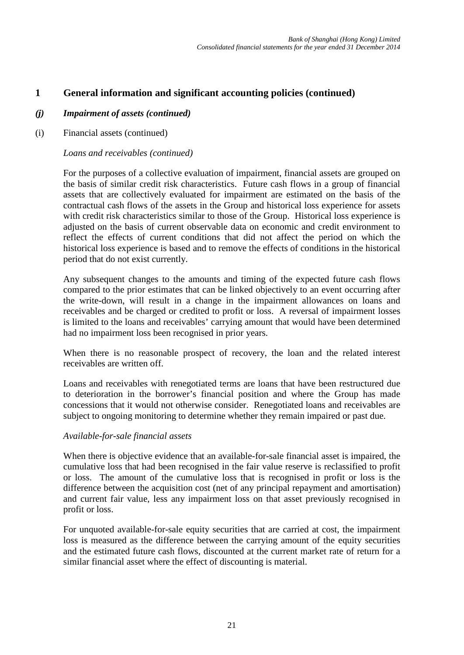## *(j) Impairment of assets (continued)*

(i) Financial assets (continued)

## *Loans and receivables (continued)*

For the purposes of a collective evaluation of impairment, financial assets are grouped on the basis of similar credit risk characteristics. Future cash flows in a group of financial assets that are collectively evaluated for impairment are estimated on the basis of the contractual cash flows of the assets in the Group and historical loss experience for assets with credit risk characteristics similar to those of the Group. Historical loss experience is adjusted on the basis of current observable data on economic and credit environment to reflect the effects of current conditions that did not affect the period on which the historical loss experience is based and to remove the effects of conditions in the historical period that do not exist currently.

Any subsequent changes to the amounts and timing of the expected future cash flows compared to the prior estimates that can be linked objectively to an event occurring after the write-down, will result in a change in the impairment allowances on loans and receivables and be charged or credited to profit or loss. A reversal of impairment losses is limited to the loans and receivables' carrying amount that would have been determined had no impairment loss been recognised in prior years.

When there is no reasonable prospect of recovery, the loan and the related interest receivables are written off.

Loans and receivables with renegotiated terms are loans that have been restructured due to deterioration in the borrower's financial position and where the Group has made concessions that it would not otherwise consider. Renegotiated loans and receivables are subject to ongoing monitoring to determine whether they remain impaired or past due.

### *Available-for-sale financial assets*

When there is objective evidence that an available-for-sale financial asset is impaired, the cumulative loss that had been recognised in the fair value reserve is reclassified to profit or loss. The amount of the cumulative loss that is recognised in profit or loss is the difference between the acquisition cost (net of any principal repayment and amortisation) and current fair value, less any impairment loss on that asset previously recognised in profit or loss.

For unquoted available-for-sale equity securities that are carried at cost, the impairment loss is measured as the difference between the carrying amount of the equity securities and the estimated future cash flows, discounted at the current market rate of return for a similar financial asset where the effect of discounting is material.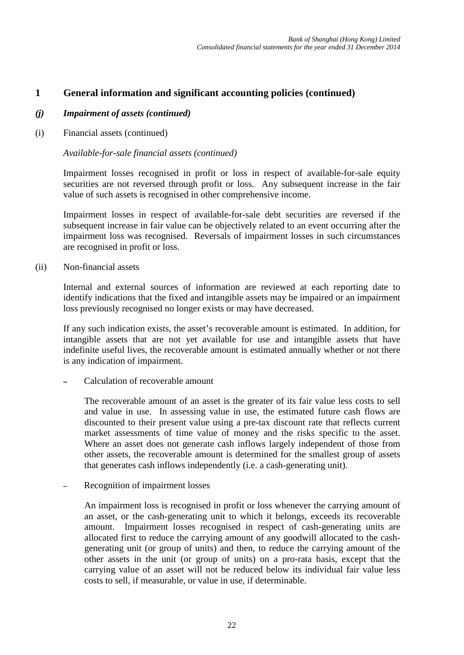## *(j) Impairment of assets (continued)*

(i) Financial assets (continued)

## *Available-for-sale financial assets (continued)*

Impairment losses recognised in profit or loss in respect of available-for-sale equity securities are not reversed through profit or loss. Any subsequent increase in the fair value of such assets is recognised in other comprehensive income.

Impairment losses in respect of available-for-sale debt securities are reversed if the subsequent increase in fair value can be objectively related to an event occurring after the impairment loss was recognised. Reversals of impairment losses in such circumstances are recognised in profit or loss.

(ii) Non-financial assets

Internal and external sources of information are reviewed at each reporting date to identify indications that the fixed and intangible assets may be impaired or an impairment loss previously recognised no longer exists or may have decreased.

If any such indication exists, the asset's recoverable amount is estimated. In addition, for intangible assets that are not yet available for use and intangible assets that have indefinite useful lives, the recoverable amount is estimated annually whether or not there is any indication of impairment.

− Calculation of recoverable amount

The recoverable amount of an asset is the greater of its fair value less costs to sell and value in use. In assessing value in use, the estimated future cash flows are discounted to their present value using a pre-tax discount rate that reflects current market assessments of time value of money and the risks specific to the asset. Where an asset does not generate cash inflows largely independent of those from other assets, the recoverable amount is determined for the smallest group of assets that generates cash inflows independently (i.e. a cash-generating unit).

Recognition of impairment losses

An impairment loss is recognised in profit or loss whenever the carrying amount of an asset, or the cash-generating unit to which it belongs, exceeds its recoverable amount. Impairment losses recognised in respect of cash-generating units are allocated first to reduce the carrying amount of any goodwill allocated to the cashgenerating unit (or group of units) and then, to reduce the carrying amount of the other assets in the unit (or group of units) on a pro-rata basis, except that the carrying value of an asset will not be reduced below its individual fair value less costs to sell, if measurable, or value in use, if determinable.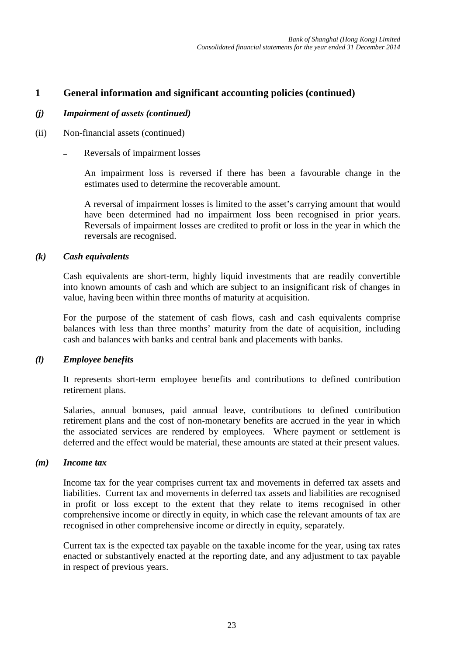### *(j) Impairment of assets (continued)*

- (ii) Non-financial assets (continued)
	- Reversals of impairment losses

An impairment loss is reversed if there has been a favourable change in the estimates used to determine the recoverable amount.

A reversal of impairment losses is limited to the asset's carrying amount that would have been determined had no impairment loss been recognised in prior years. Reversals of impairment losses are credited to profit or loss in the year in which the reversals are recognised.

### *(k) Cash equivalents*

Cash equivalents are short-term, highly liquid investments that are readily convertible into known amounts of cash and which are subject to an insignificant risk of changes in value, having been within three months of maturity at acquisition.

For the purpose of the statement of cash flows, cash and cash equivalents comprise balances with less than three months' maturity from the date of acquisition, including cash and balances with banks and central bank and placements with banks.

### *(l) Employee benefits*

It represents short-term employee benefits and contributions to defined contribution retirement plans.

Salaries, annual bonuses, paid annual leave, contributions to defined contribution retirement plans and the cost of non-monetary benefits are accrued in the year in which the associated services are rendered by employees. Where payment or settlement is deferred and the effect would be material, these amounts are stated at their present values.

### *(m) Income tax*

Income tax for the year comprises current tax and movements in deferred tax assets and liabilities. Current tax and movements in deferred tax assets and liabilities are recognised in profit or loss except to the extent that they relate to items recognised in other comprehensive income or directly in equity, in which case the relevant amounts of tax are recognised in other comprehensive income or directly in equity, separately.

Current tax is the expected tax payable on the taxable income for the year, using tax rates enacted or substantively enacted at the reporting date, and any adjustment to tax payable in respect of previous years.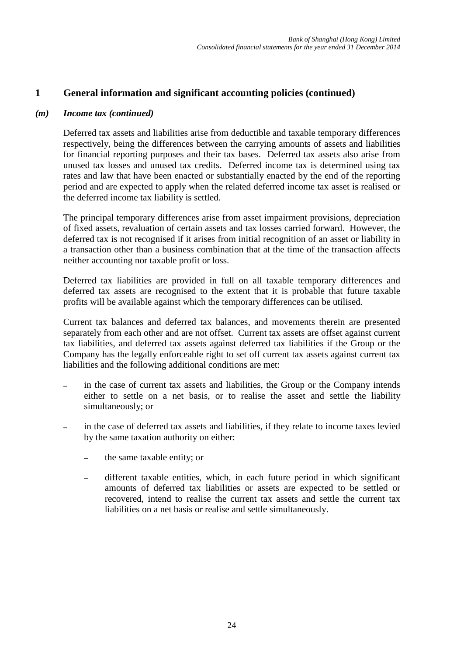## *(m) Income tax (continued)*

Deferred tax assets and liabilities arise from deductible and taxable temporary differences respectively, being the differences between the carrying amounts of assets and liabilities for financial reporting purposes and their tax bases. Deferred tax assets also arise from unused tax losses and unused tax credits. Deferred income tax is determined using tax rates and law that have been enacted or substantially enacted by the end of the reporting period and are expected to apply when the related deferred income tax asset is realised or the deferred income tax liability is settled.

The principal temporary differences arise from asset impairment provisions, depreciation of fixed assets, revaluation of certain assets and tax losses carried forward. However, the deferred tax is not recognised if it arises from initial recognition of an asset or liability in a transaction other than a business combination that at the time of the transaction affects neither accounting nor taxable profit or loss.

Deferred tax liabilities are provided in full on all taxable temporary differences and deferred tax assets are recognised to the extent that it is probable that future taxable profits will be available against which the temporary differences can be utilised.

Current tax balances and deferred tax balances, and movements therein are presented separately from each other and are not offset. Current tax assets are offset against current tax liabilities, and deferred tax assets against deferred tax liabilities if the Group or the Company has the legally enforceable right to set off current tax assets against current tax liabilities and the following additional conditions are met:

- in the case of current tax assets and liabilities, the Group or the Company intends either to settle on a net basis, or to realise the asset and settle the liability simultaneously; or
- in the case of deferred tax assets and liabilities, if they relate to income taxes levied by the same taxation authority on either:
	- the same taxable entity; or
	- − different taxable entities, which, in each future period in which significant amounts of deferred tax liabilities or assets are expected to be settled or recovered, intend to realise the current tax assets and settle the current tax liabilities on a net basis or realise and settle simultaneously.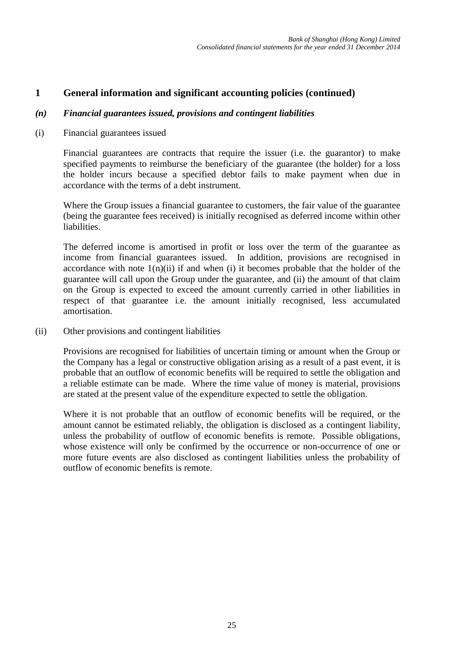### *(n) Financial guarantees issued, provisions and contingent liabilities*

#### (i) Financial guarantees issued

Financial guarantees are contracts that require the issuer (i.e. the guarantor) to make specified payments to reimburse the beneficiary of the guarantee (the holder) for a loss the holder incurs because a specified debtor fails to make payment when due in accordance with the terms of a debt instrument.

Where the Group issues a financial guarantee to customers, the fair value of the guarantee (being the guarantee fees received) is initially recognised as deferred income within other liabilities.

The deferred income is amortised in profit or loss over the term of the guarantee as income from financial guarantees issued. In addition, provisions are recognised in accordance with note  $1(n)(ii)$  if and when (i) it becomes probable that the holder of the guarantee will call upon the Group under the guarantee, and (ii) the amount of that claim on the Group is expected to exceed the amount currently carried in other liabilities in respect of that guarantee i.e. the amount initially recognised, less accumulated amortisation.

(ii) Other provisions and contingent liabilities

Provisions are recognised for liabilities of uncertain timing or amount when the Group or the Company has a legal or constructive obligation arising as a result of a past event, it is probable that an outflow of economic benefits will be required to settle the obligation and a reliable estimate can be made. Where the time value of money is material, provisions are stated at the present value of the expenditure expected to settle the obligation.

Where it is not probable that an outflow of economic benefits will be required, or the amount cannot be estimated reliably, the obligation is disclosed as a contingent liability, unless the probability of outflow of economic benefits is remote. Possible obligations, whose existence will only be confirmed by the occurrence or non-occurrence of one or more future events are also disclosed as contingent liabilities unless the probability of outflow of economic benefits is remote.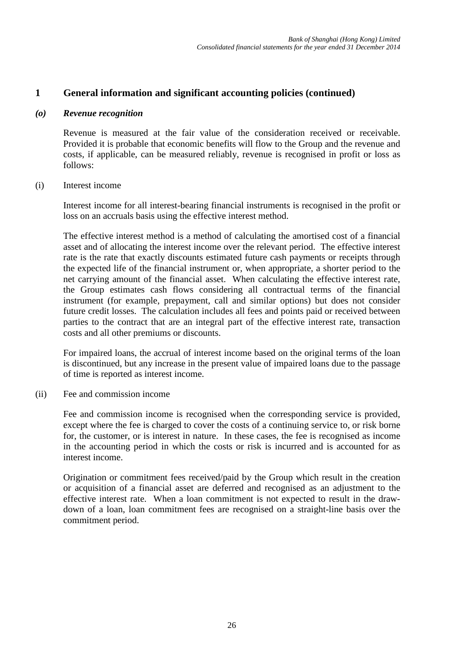#### *(o) Revenue recognition*

Revenue is measured at the fair value of the consideration received or receivable. Provided it is probable that economic benefits will flow to the Group and the revenue and costs, if applicable, can be measured reliably, revenue is recognised in profit or loss as follows:

#### (i) Interest income

Interest income for all interest-bearing financial instruments is recognised in the profit or loss on an accruals basis using the effective interest method.

The effective interest method is a method of calculating the amortised cost of a financial asset and of allocating the interest income over the relevant period. The effective interest rate is the rate that exactly discounts estimated future cash payments or receipts through the expected life of the financial instrument or, when appropriate, a shorter period to the net carrying amount of the financial asset. When calculating the effective interest rate, the Group estimates cash flows considering all contractual terms of the financial instrument (for example, prepayment, call and similar options) but does not consider future credit losses. The calculation includes all fees and points paid or received between parties to the contract that are an integral part of the effective interest rate, transaction costs and all other premiums or discounts.

For impaired loans, the accrual of interest income based on the original terms of the loan is discontinued, but any increase in the present value of impaired loans due to the passage of time is reported as interest income.

(ii) Fee and commission income

Fee and commission income is recognised when the corresponding service is provided, except where the fee is charged to cover the costs of a continuing service to, or risk borne for, the customer, or is interest in nature. In these cases, the fee is recognised as income in the accounting period in which the costs or risk is incurred and is accounted for as interest income.

Origination or commitment fees received/paid by the Group which result in the creation or acquisition of a financial asset are deferred and recognised as an adjustment to the effective interest rate. When a loan commitment is not expected to result in the drawdown of a loan, loan commitment fees are recognised on a straight-line basis over the commitment period.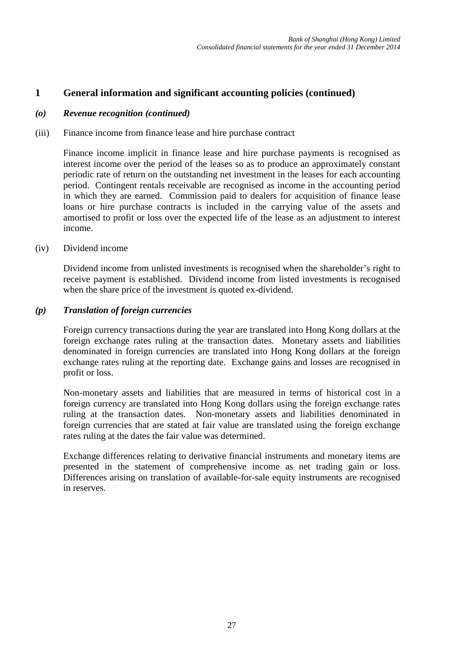### *(o) Revenue recognition (continued)*

#### (iii) Finance income from finance lease and hire purchase contract

Finance income implicit in finance lease and hire purchase payments is recognised as interest income over the period of the leases so as to produce an approximately constant periodic rate of return on the outstanding net investment in the leases for each accounting period. Contingent rentals receivable are recognised as income in the accounting period in which they are earned. Commission paid to dealers for acquisition of finance lease loans or hire purchase contracts is included in the carrying value of the assets and amortised to profit or loss over the expected life of the lease as an adjustment to interest income.

#### (iv) Dividend income

Dividend income from unlisted investments is recognised when the shareholder's right to receive payment is established. Dividend income from listed investments is recognised when the share price of the investment is quoted ex-dividend.

#### *(p) Translation of foreign currencies*

Foreign currency transactions during the year are translated into Hong Kong dollars at the foreign exchange rates ruling at the transaction dates. Monetary assets and liabilities denominated in foreign currencies are translated into Hong Kong dollars at the foreign exchange rates ruling at the reporting date. Exchange gains and losses are recognised in profit or loss.

Non-monetary assets and liabilities that are measured in terms of historical cost in a foreign currency are translated into Hong Kong dollars using the foreign exchange rates ruling at the transaction dates. Non-monetary assets and liabilities denominated in foreign currencies that are stated at fair value are translated using the foreign exchange rates ruling at the dates the fair value was determined.

Exchange differences relating to derivative financial instruments and monetary items are presented in the statement of comprehensive income as net trading gain or loss. Differences arising on translation of available-for-sale equity instruments are recognised in reserves.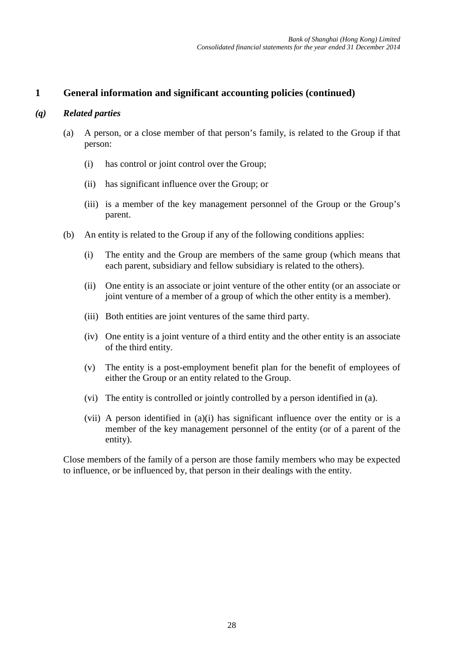### *(q) Related parties*

- (a) A person, or a close member of that person's family, is related to the Group if that person:
	- (i) has control or joint control over the Group;
	- (ii) has significant influence over the Group; or
	- (iii) is a member of the key management personnel of the Group or the Group's parent.
- (b) An entity is related to the Group if any of the following conditions applies:
	- (i) The entity and the Group are members of the same group (which means that each parent, subsidiary and fellow subsidiary is related to the others).
	- (ii) One entity is an associate or joint venture of the other entity (or an associate or joint venture of a member of a group of which the other entity is a member).
	- (iii) Both entities are joint ventures of the same third party.
	- (iv) One entity is a joint venture of a third entity and the other entity is an associate of the third entity.
	- (v) The entity is a post-employment benefit plan for the benefit of employees of either the Group or an entity related to the Group.
	- (vi) The entity is controlled or jointly controlled by a person identified in (a).
	- (vii) A person identified in (a)(i) has significant influence over the entity or is a member of the key management personnel of the entity (or of a parent of the entity).

Close members of the family of a person are those family members who may be expected to influence, or be influenced by, that person in their dealings with the entity.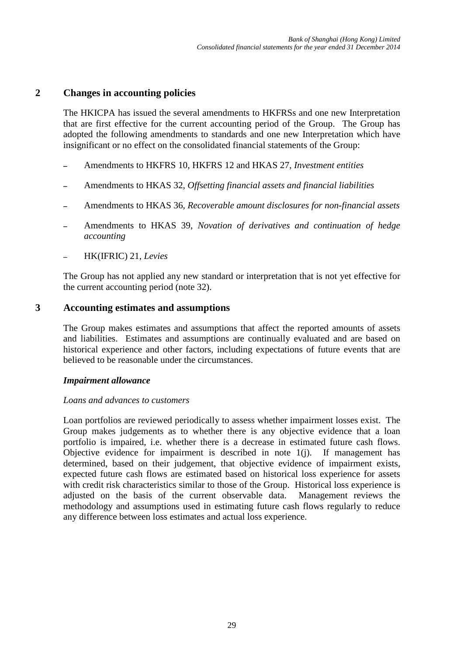# **2 Changes in accounting policies**

The HKICPA has issued the several amendments to HKFRSs and one new Interpretation that are first effective for the current accounting period of the Group. The Group has adopted the following amendments to standards and one new Interpretation which have insignificant or no effect on the consolidated financial statements of the Group:

- − Amendments to HKFRS 10, HKFRS 12 and HKAS 27, *Investment entities*
- − Amendments to HKAS 32, *Offsetting financial assets and financial liabilities*
- − Amendments to HKAS 36, *Recoverable amount disclosures for non-financial assets*
- − Amendments to HKAS 39, *Novation of derivatives and continuation of hedge accounting*
- − HK(IFRIC) 21, *Levies*

The Group has not applied any new standard or interpretation that is not yet effective for the current accounting period (note 32).

## **3 Accounting estimates and assumptions**

The Group makes estimates and assumptions that affect the reported amounts of assets and liabilities. Estimates and assumptions are continually evaluated and are based on historical experience and other factors, including expectations of future events that are believed to be reasonable under the circumstances.

### *Impairment allowance*

### *Loans and advances to customers*

Loan portfolios are reviewed periodically to assess whether impairment losses exist. The Group makes judgements as to whether there is any objective evidence that a loan portfolio is impaired, i.e. whether there is a decrease in estimated future cash flows. Objective evidence for impairment is described in note 1(j). If management has determined, based on their judgement, that objective evidence of impairment exists, expected future cash flows are estimated based on historical loss experience for assets with credit risk characteristics similar to those of the Group. Historical loss experience is adjusted on the basis of the current observable data. Management reviews the methodology and assumptions used in estimating future cash flows regularly to reduce any difference between loss estimates and actual loss experience.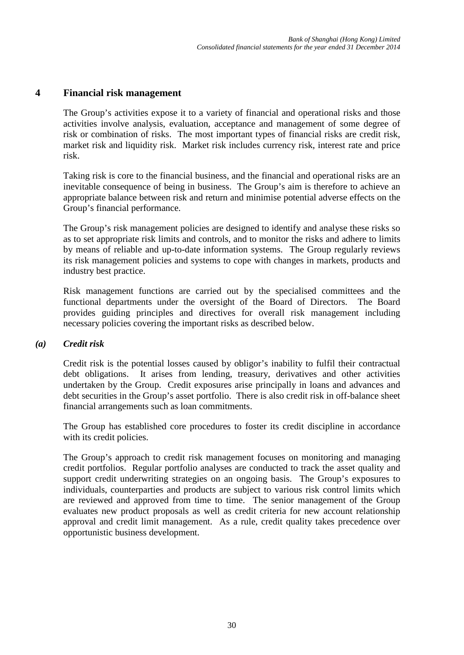## **4 Financial risk management**

The Group's activities expose it to a variety of financial and operational risks and those activities involve analysis, evaluation, acceptance and management of some degree of risk or combination of risks. The most important types of financial risks are credit risk, market risk and liquidity risk. Market risk includes currency risk, interest rate and price risk.

Taking risk is core to the financial business, and the financial and operational risks are an inevitable consequence of being in business. The Group's aim is therefore to achieve an appropriate balance between risk and return and minimise potential adverse effects on the Group's financial performance.

The Group's risk management policies are designed to identify and analyse these risks so as to set appropriate risk limits and controls, and to monitor the risks and adhere to limits by means of reliable and up-to-date information systems. The Group regularly reviews its risk management policies and systems to cope with changes in markets, products and industry best practice.

Risk management functions are carried out by the specialised committees and the functional departments under the oversight of the Board of Directors. The Board provides guiding principles and directives for overall risk management including necessary policies covering the important risks as described below.

### *(a) Credit risk*

Credit risk is the potential losses caused by obligor's inability to fulfil their contractual debt obligations. It arises from lending, treasury, derivatives and other activities undertaken by the Group. Credit exposures arise principally in loans and advances and debt securities in the Group's asset portfolio. There is also credit risk in off-balance sheet financial arrangements such as loan commitments.

The Group has established core procedures to foster its credit discipline in accordance with its credit policies.

The Group's approach to credit risk management focuses on monitoring and managing credit portfolios. Regular portfolio analyses are conducted to track the asset quality and support credit underwriting strategies on an ongoing basis. The Group's exposures to individuals, counterparties and products are subject to various risk control limits which are reviewed and approved from time to time. The senior management of the Group evaluates new product proposals as well as credit criteria for new account relationship approval and credit limit management. As a rule, credit quality takes precedence over opportunistic business development.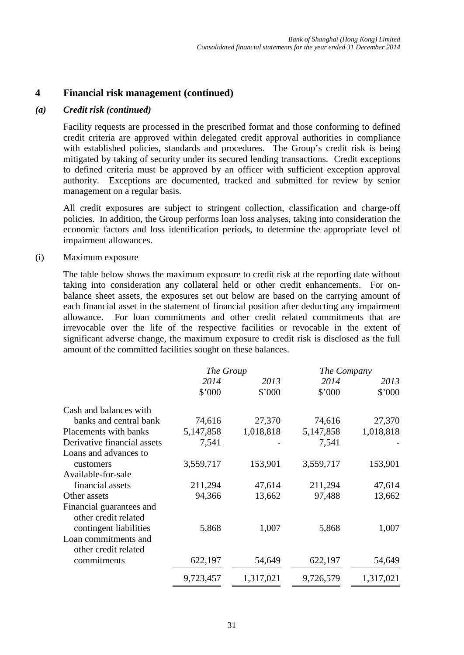#### *(a) Credit risk (continued)*

Facility requests are processed in the prescribed format and those conforming to defined credit criteria are approved within delegated credit approval authorities in compliance with established policies, standards and procedures. The Group's credit risk is being mitigated by taking of security under its secured lending transactions. Credit exceptions to defined criteria must be approved by an officer with sufficient exception approval authority. Exceptions are documented, tracked and submitted for review by senior management on a regular basis.

All credit exposures are subject to stringent collection, classification and charge-off policies. In addition, the Group performs loan loss analyses, taking into consideration the economic factors and loss identification periods, to determine the appropriate level of impairment allowances.

#### (i) Maximum exposure

The table below shows the maximum exposure to credit risk at the reporting date without taking into consideration any collateral held or other credit enhancements. For onbalance sheet assets, the exposures set out below are based on the carrying amount of each financial asset in the statement of financial position after deducting any impairment allowance. For loan commitments and other credit related commitments that are irrevocable over the life of the respective facilities or revocable in the extent of significant adverse change, the maximum exposure to credit risk is disclosed as the full amount of the committed facilities sought on these balances.

|                             | The Group |           | The Company |           |
|-----------------------------|-----------|-----------|-------------|-----------|
|                             | 2014      | 2013      | 2014        | 2013      |
|                             | \$'000    | \$'000    | \$'000      | \$'000    |
| Cash and balances with      |           |           |             |           |
| banks and central bank      | 74,616    | 27,370    | 74,616      | 27,370    |
| Placements with banks       | 5,147,858 | 1,018,818 | 5,147,858   | 1,018,818 |
| Derivative financial assets | 7,541     |           | 7,541       |           |
| Loans and advances to       |           |           |             |           |
| customers                   | 3,559,717 | 153,901   | 3,559,717   | 153,901   |
| Available-for-sale          |           |           |             |           |
| financial assets            | 211,294   | 47,614    | 211,294     | 47,614    |
| Other assets                | 94,366    | 13,662    | 97,488      | 13,662    |
| Financial guarantees and    |           |           |             |           |
| other credit related        |           |           |             |           |
| contingent liabilities      | 5,868     | 1,007     | 5,868       | 1,007     |
| Loan commitments and        |           |           |             |           |
| other credit related        |           |           |             |           |
| commitments                 | 622,197   | 54,649    | 622,197     | 54,649    |
|                             | 9,723,457 | 1,317,021 | 9,726,579   | 1,317,021 |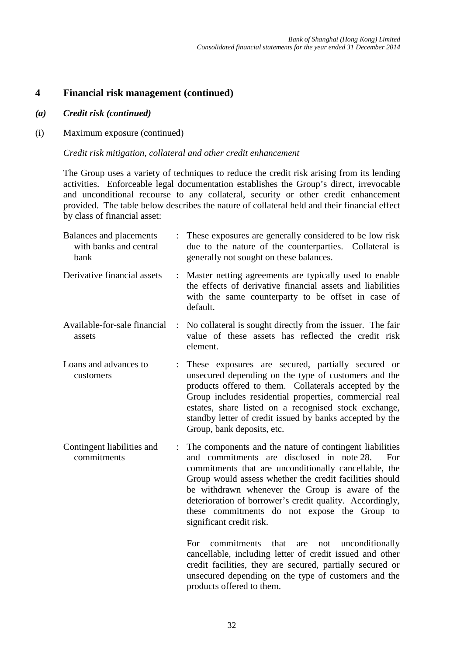#### *(a) Credit risk (continued)*

(i) Maximum exposure (continued)

#### *Credit risk mitigation, collateral and other credit enhancement*

The Group uses a variety of techniques to reduce the credit risk arising from its lending activities. Enforceable legal documentation establishes the Group's direct, irrevocable and unconditional recourse to any collateral, security or other credit enhancement provided. The table below describes the nature of collateral held and their financial effect by class of financial asset:

| Balances and placements<br>with banks and central<br>bank |                | These exposures are generally considered to be low risk<br>due to the nature of the counterparties. Collateral is<br>generally not sought on these balances.                                                                                                                                                                                                                                                               |
|-----------------------------------------------------------|----------------|----------------------------------------------------------------------------------------------------------------------------------------------------------------------------------------------------------------------------------------------------------------------------------------------------------------------------------------------------------------------------------------------------------------------------|
| Derivative financial assets                               | $\ddot{\cdot}$ | Master netting agreements are typically used to enable<br>the effects of derivative financial assets and liabilities<br>with the same counterparty to be offset in case of<br>default.                                                                                                                                                                                                                                     |
| Available-for-sale financial<br>assets                    | $\ddot{\cdot}$ | No collateral is sought directly from the issuer. The fair<br>value of these assets has reflected the credit risk<br>element.                                                                                                                                                                                                                                                                                              |
| Loans and advances to<br>customers                        |                | These exposures are secured, partially secured or<br>unsecured depending on the type of customers and the<br>products offered to them. Collaterals accepted by the<br>Group includes residential properties, commercial real<br>estates, share listed on a recognised stock exchange,<br>standby letter of credit issued by banks accepted by the<br>Group, bank deposits, etc.                                            |
| Contingent liabilities and<br>commitments                 | $\ddot{\cdot}$ | The components and the nature of contingent liabilities<br>and commitments are disclosed in note 28.<br>For<br>commitments that are unconditionally cancellable, the<br>Group would assess whether the credit facilities should<br>be withdrawn whenever the Group is aware of the<br>deterioration of borrower's credit quality. Accordingly,<br>these commitments do not expose the Group to<br>significant credit risk. |
|                                                           |                | For<br>commitments that<br>not unconditionally<br>are<br>cancellable, including letter of credit issued and other<br>credit facilities, they are secured, partially secured or<br>unsecured depending on the type of customers and the<br>products offered to them.                                                                                                                                                        |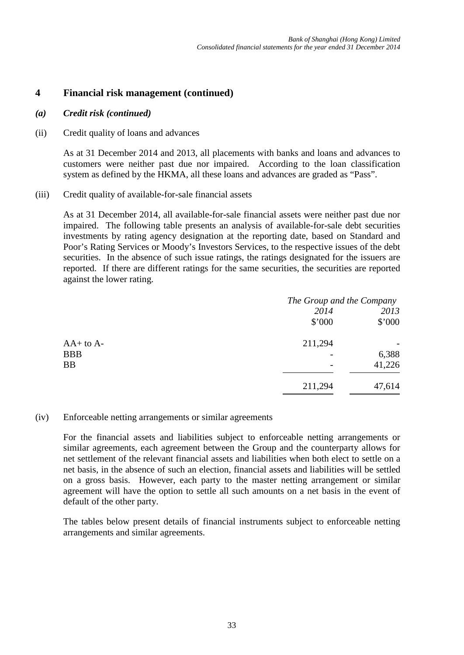#### *(a) Credit risk (continued)*

#### (ii) Credit quality of loans and advances

As at 31 December 2014 and 2013, all placements with banks and loans and advances to customers were neither past due nor impaired. According to the loan classification system as defined by the HKMA, all these loans and advances are graded as "Pass".

#### (iii) Credit quality of available-for-sale financial assets

As at 31 December 2014, all available-for-sale financial assets were neither past due nor impaired. The following table presents an analysis of available-for-sale debt securities investments by rating agency designation at the reporting date, based on Standard and Poor's Rating Services or Moody's Investors Services, to the respective issues of the debt securities. In the absence of such issue ratings, the ratings designated for the issuers are reported. If there are different ratings for the same securities, the securities are reported against the lower rating.

|               | The Group and the Company |        |  |
|---------------|---------------------------|--------|--|
|               | 2014                      | 2013   |  |
|               | \$'000                    | \$'000 |  |
| $AA+$ to $A-$ | 211,294                   |        |  |
| <b>BBB</b>    |                           | 6,388  |  |
| BB            |                           | 41,226 |  |
|               | 211,294                   | 47,614 |  |

#### (iv) Enforceable netting arrangements or similar agreements

For the financial assets and liabilities subject to enforceable netting arrangements or similar agreements, each agreement between the Group and the counterparty allows for net settlement of the relevant financial assets and liabilities when both elect to settle on a net basis, in the absence of such an election, financial assets and liabilities will be settled on a gross basis. However, each party to the master netting arrangement or similar agreement will have the option to settle all such amounts on a net basis in the event of default of the other party.

The tables below present details of financial instruments subject to enforceable netting arrangements and similar agreements.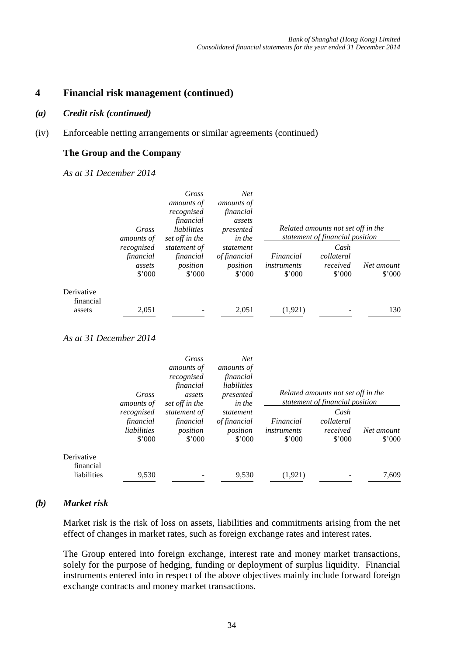#### *(a) Credit risk (continued)*

(iv) Enforceable netting arrangements or similar agreements (continued)

#### **The Group and the Company**

*As at 31 December 2014*

|                     |                               | Gross                           | Net <sub></sub>                    |                                                                       |                                          |                      |
|---------------------|-------------------------------|---------------------------------|------------------------------------|-----------------------------------------------------------------------|------------------------------------------|----------------------|
|                     |                               | <i>amounts of</i>               | <i>amounts of</i>                  |                                                                       |                                          |                      |
|                     |                               | recognised                      | financial                          |                                                                       |                                          |                      |
|                     |                               | financial                       | assets                             |                                                                       |                                          |                      |
|                     | Gross<br><i>amounts of</i>    | liabilities<br>set off in the   | presented<br>in the                | Related amounts not set off in the<br>statement of financial position |                                          |                      |
|                     | recognised                    | statement of                    | statement                          |                                                                       | Cash                                     |                      |
|                     | financial<br>assets<br>\$7000 | financial<br>position<br>\$'000 | of financial<br>position<br>\$7000 | Financial<br>instruments<br>\$'000                                    | collateral<br>received<br>$$^{\circ}000$ | Net amount<br>\$'000 |
| Derivative          |                               |                                 |                                    |                                                                       |                                          |                      |
| financial<br>assets | 2,051                         |                                 | 2,051                              | (1,921)                                                               |                                          | 130                  |

#### *As at 31 December 2014*

|                                        | Gross<br>amounts of                              | Gross<br><i>amounts of</i><br>recognised<br>financial<br>assets<br>set off in the | <b>Net</b><br><i>amounts of</i><br>financial<br>liabilities<br>presented<br>in the<br>statement<br>of financial<br>position<br>$$^{\circ}000$ | Related amounts not set off in the<br>statement of financial position |                                          |                              |
|----------------------------------------|--------------------------------------------------|-----------------------------------------------------------------------------------|-----------------------------------------------------------------------------------------------------------------------------------------------|-----------------------------------------------------------------------|------------------------------------------|------------------------------|
|                                        | recognised<br>financial<br>liabilities<br>\$'000 | statement of<br>financial<br>position<br>\$'000                                   |                                                                                                                                               | Financial<br><i>instruments</i><br>\$7000                             | Cash<br>collateral<br>received<br>\$7000 | Net amount<br>$$^{\circ}000$ |
| Derivative<br>financial<br>liabilities | 9,530                                            |                                                                                   | 9,530                                                                                                                                         | (1,921)                                                               |                                          | 7,609                        |

## *(b) Market risk*

Market risk is the risk of loss on assets, liabilities and commitments arising from the net effect of changes in market rates, such as foreign exchange rates and interest rates.

The Group entered into foreign exchange, interest rate and money market transactions, solely for the purpose of hedging, funding or deployment of surplus liquidity. Financial instruments entered into in respect of the above objectives mainly include forward foreign exchange contracts and money market transactions.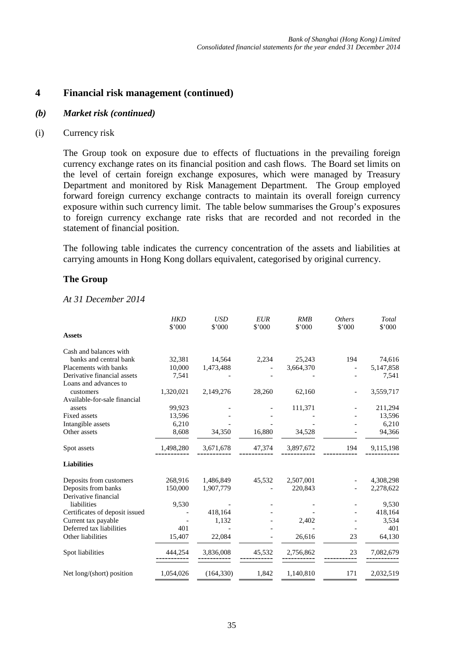#### *(b) Market risk (continued)*

#### (i) Currency risk

The Group took on exposure due to effects of fluctuations in the prevailing foreign currency exchange rates on its financial position and cash flows. The Board set limits on the level of certain foreign exchange exposures, which were managed by Treasury Department and monitored by Risk Management Department. The Group employed forward foreign currency exchange contracts to maintain its overall foreign currency exposure within such currency limit. The table below summarises the Group's exposures to foreign currency exchange rate risks that are recorded and not recorded in the statement of financial position.

The following table indicates the currency concentration of the assets and liabilities at carrying amounts in Hong Kong dollars equivalent, categorised by original currency.

#### **The Group**

|                                | <b>HKD</b> | <b>USD</b> | <b>EUR</b> | RMB       | <b>Others</b> | Total     |
|--------------------------------|------------|------------|------------|-----------|---------------|-----------|
| <b>Assets</b>                  | \$'000     | \$'000     | \$'000     | \$'000    | \$'000        | \$'000    |
| Cash and balances with         |            |            |            |           |               |           |
| banks and central bank         | 32,381     | 14,564     | 2,234      | 25,243    | 194           | 74,616    |
| Placements with banks          | 10,000     | 1,473,488  |            | 3,664,370 |               | 5,147,858 |
| Derivative financial assets    | 7,541      |            |            |           |               | 7,541     |
| Loans and advances to          |            |            |            |           |               |           |
| customers                      | 1,320,021  | 2,149,276  | 28,260     | 62,160    |               | 3,559,717 |
| Available-for-sale financial   |            |            |            |           |               |           |
| assets                         | 99,923     |            |            | 111,371   |               | 211,294   |
| Fixed assets                   | 13,596     |            |            |           |               | 13,596    |
| Intangible assets              | 6,210      |            |            |           |               | 6,210     |
| Other assets                   | 8,608      | 34,350     | 16,880     | 34,528    |               | 94,366    |
| Spot assets                    | 1,498,280  | 3,671,678  | 47,374     | 3,897,672 | 194           | 9,115,198 |
| <b>Liabilities</b>             |            |            |            |           |               |           |
| Deposits from customers        | 268,916    | 1,486,849  | 45,532     | 2,507,001 |               | 4,308,298 |
| Deposits from banks            | 150,000    | 1,907,779  |            | 220,843   |               | 2,278,622 |
| Derivative financial           |            |            |            |           |               |           |
| liabilities                    | 9,530      |            |            |           |               | 9,530     |
| Certificates of deposit issued |            | 418,164    |            |           |               | 418,164   |
| Current tax payable            |            | 1,132      |            | 2,402     |               | 3,534     |
| Deferred tax liabilities       | 401        |            |            |           |               | 401       |
| Other liabilities              | 15,407     | 22,084     |            | 26,616    | 23            | 64,130    |
| Spot liabilities               | 444,254    | 3,836,008  | 45,532     | 2,756,862 | 23            | 7,082,679 |
| Net long/(short) position      | 1,054,026  | (164, 330) | 1,842      | 1,140,810 | 171           | 2,032,519 |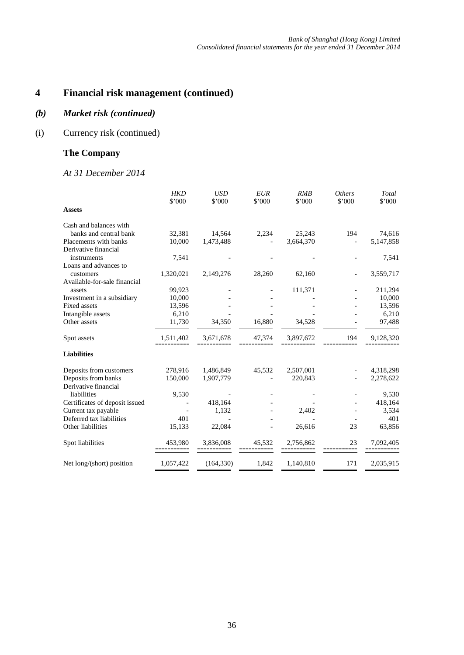## *(b) Market risk (continued)*

## (i) Currency risk (continued)

## **The Company**

|                                | <b>HKD</b><br>\$'000 | <b>USD</b><br>\$'000 | <b>EUR</b><br>\$'000 | RMB<br>\$'000 | <b>Others</b><br>\$'000 | Total<br>\$'000 |
|--------------------------------|----------------------|----------------------|----------------------|---------------|-------------------------|-----------------|
| <b>Assets</b>                  |                      |                      |                      |               |                         |                 |
| Cash and balances with         |                      |                      |                      |               |                         |                 |
| banks and central bank         | 32,381               | 14,564               | 2,234                | 25,243        | 194                     | 74,616          |
| Placements with banks          | 10,000               | 1,473,488            |                      | 3,664,370     |                         | 5,147,858       |
| Derivative financial           |                      |                      |                      |               |                         |                 |
| instruments                    | 7,541                |                      |                      |               |                         | 7,541           |
| Loans and advances to          |                      |                      |                      |               |                         |                 |
| customers                      | 1,320,021            | 2,149,276            | 28,260               | 62,160        |                         | 3,559,717       |
| Available-for-sale financial   |                      |                      |                      |               |                         |                 |
| assets                         | 99,923               |                      |                      | 111,371       |                         | 211,294         |
| Investment in a subsidiary     | 10,000               |                      |                      |               |                         | 10,000          |
| Fixed assets                   | 13,596               |                      |                      |               |                         | 13,596          |
| Intangible assets              | 6,210                |                      |                      |               |                         | 6,210           |
| Other assets                   | 11,730               | 34,350               | 16,880               | 34,528        |                         | 97,488          |
| Spot assets                    | 1,511,402            | 3,671,678            | 47,374               | 3,897,672     | 194                     | 9,128,320       |
| <b>Liabilities</b>             |                      |                      |                      |               |                         |                 |
| Deposits from customers        | 278,916              | 1,486,849            | 45,532               | 2,507,001     |                         | 4,318,298       |
| Deposits from banks            | 150,000              | 1,907,779            |                      | 220,843       |                         | 2,278,622       |
| Derivative financial           |                      |                      |                      |               |                         |                 |
| liabilities                    | 9,530                |                      |                      |               |                         | 9,530           |
| Certificates of deposit issued |                      | 418,164              |                      |               |                         | 418,164         |
| Current tax payable            |                      | 1,132                |                      | 2,402         |                         | 3,534           |
| Deferred tax liabilities       | 401                  |                      |                      |               |                         | 401             |
| Other liabilities              | 15,133               | 22,084               |                      | 26,616        | 23                      | 63,856          |
| Spot liabilities               | 453,980              | 3,836,008            | 45,532               | 2,756,862     | 23                      | 7,092,405       |
| Net long/(short) position      | 1,057,422            | (164, 330)           | 1,842                | 1,140,810     | 171                     | 2,035,915       |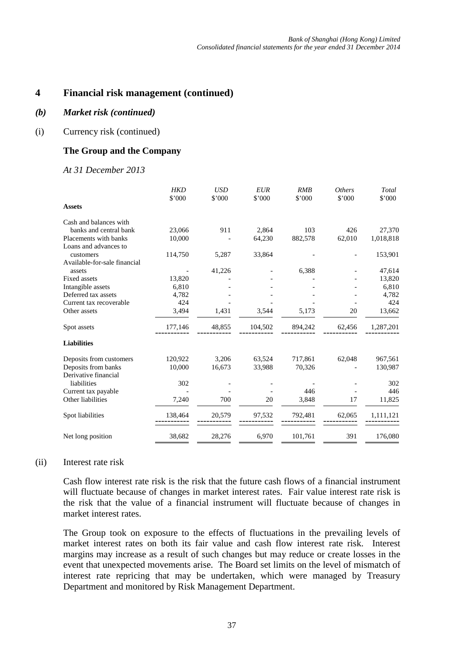#### *(b) Market risk (continued)*

#### (i) Currency risk (continued)

### **The Group and the Company**

#### *At 31 December 2013*

|                              | <b>HKD</b><br>\$'000 | <b>USD</b><br>\$'000 | <b>EUR</b><br>\$'000 | RMB<br>\$'000 | <i><b>Others</b></i><br>\$'000 | Total<br>\$'000 |
|------------------------------|----------------------|----------------------|----------------------|---------------|--------------------------------|-----------------|
| <b>Assets</b>                |                      |                      |                      |               |                                |                 |
| Cash and balances with       |                      |                      |                      |               |                                |                 |
| banks and central bank       | 23,066               | 911                  | 2,864                | 103           | 426                            | 27,370          |
| Placements with banks        | 10,000               |                      | 64,230               | 882,578       | 62,010                         | 1,018,818       |
| Loans and advances to        |                      |                      |                      |               |                                |                 |
| customers                    | 114,750              | 5,287                | 33,864               |               |                                | 153,901         |
| Available-for-sale financial |                      |                      |                      |               |                                |                 |
| assets                       |                      | 41,226               |                      | 6,388         |                                | 47,614          |
| <b>Fixed assets</b>          | 13,820               |                      |                      |               |                                | 13,820          |
| Intangible assets            | 6,810                |                      |                      |               |                                | 6,810           |
| Deferred tax assets          | 4,782                |                      |                      |               |                                | 4,782           |
| Current tax recoverable      | 424                  |                      |                      |               |                                | 424             |
| Other assets                 | 3,494                | 1,431                | 3,544                | 5,173         | 20                             | 13,662          |
| Spot assets                  | 177,146              | 48,855               | 104,502              | 894,242       | 62,456                         | 1,287,201       |
| <b>Liabilities</b>           |                      |                      |                      |               |                                |                 |
| Deposits from customers      | 120,922              | 3,206                | 63,524               | 717,861       | 62,048                         | 967,561         |
| Deposits from banks          | 10,000               | 16,673               | 33,988               | 70,326        |                                | 130,987         |
| Derivative financial         |                      |                      |                      |               |                                |                 |
| liabilities                  | 302                  |                      |                      |               |                                | 302             |
| Current tax payable          |                      |                      |                      | 446           |                                | 446             |
| Other liabilities            | 7,240                | 700                  | 20                   | 3,848         | 17                             | 11,825          |
| Spot liabilities             | 138,464              | 20,579               | 97,532               | 792,481       | 62,065                         | 1,111,121       |
| Net long position            | 38,682               | 28,276               | 6,970                | 101,761       | 391                            | 176,080         |

#### (ii) Interest rate risk

Cash flow interest rate risk is the risk that the future cash flows of a financial instrument will fluctuate because of changes in market interest rates. Fair value interest rate risk is the risk that the value of a financial instrument will fluctuate because of changes in market interest rates.

The Group took on exposure to the effects of fluctuations in the prevailing levels of market interest rates on both its fair value and cash flow interest rate risk. Interest margins may increase as a result of such changes but may reduce or create losses in the event that unexpected movements arise. The Board set limits on the level of mismatch of interest rate repricing that may be undertaken, which were managed by Treasury Department and monitored by Risk Management Department.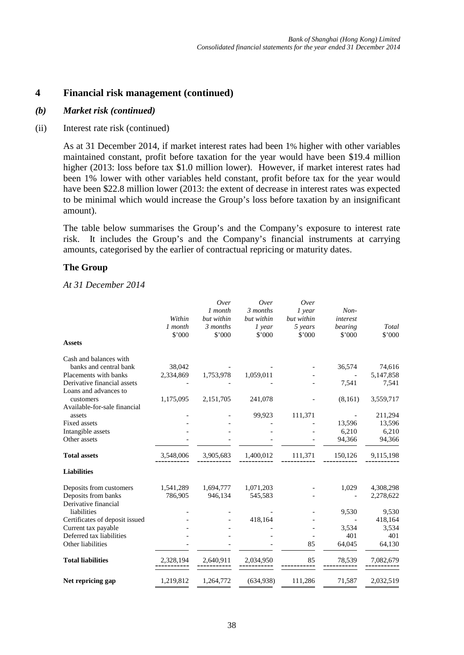#### *(b) Market risk (continued)*

#### (ii) Interest rate risk (continued)

As at 31 December 2014, if market interest rates had been 1% higher with other variables maintained constant, profit before taxation for the year would have been \$19.4 million higher (2013: loss before tax \$1.0 million lower). However, if market interest rates had been 1% lower with other variables held constant, profit before tax for the year would have been \$22.8 million lower (2013: the extent of decrease in interest rates was expected to be minimal which would increase the Group's loss before taxation by an insignificant amount).

The table below summarises the Group's and the Company's exposure to interest rate risk. It includes the Group's and the Company's financial instruments at carrying amounts, categorised by the earlier of contractual repricing or maturity dates.

#### **The Group**

| <b>Assets</b>                  | Within<br>1 month<br>\$'000 | Over<br>1 month<br>but within<br>3 months<br>\$'000 | Over<br>3 months<br>but within<br>$1$ year<br>\$'000 | Over<br>1 year<br>but within<br>5 years<br>\$'000 | Non-<br>interest<br>bearing<br>\$'000 | Total<br>\$'000 |
|--------------------------------|-----------------------------|-----------------------------------------------------|------------------------------------------------------|---------------------------------------------------|---------------------------------------|-----------------|
| Cash and balances with         |                             |                                                     |                                                      |                                                   |                                       |                 |
| banks and central bank         | 38,042                      |                                                     |                                                      |                                                   | 36,574                                | 74,616          |
| Placements with banks          | 2,334,869                   | 1,753,978                                           | 1,059,011                                            |                                                   |                                       | 5,147,858       |
| Derivative financial assets    |                             |                                                     |                                                      |                                                   | 7,541                                 | 7,541           |
| Loans and advances to          |                             |                                                     |                                                      |                                                   |                                       |                 |
| customers                      | 1,175,095                   | 2,151,705                                           | 241,078                                              |                                                   | (8,161)                               | 3,559,717       |
| Available-for-sale financial   |                             |                                                     |                                                      |                                                   |                                       |                 |
| assets                         |                             |                                                     | 99,923                                               | 111,371                                           |                                       | 211,294         |
| Fixed assets                   |                             |                                                     |                                                      |                                                   | 13,596                                | 13,596          |
| Intangible assets              |                             |                                                     |                                                      |                                                   | 6,210                                 | 6,210           |
| Other assets                   |                             |                                                     |                                                      |                                                   | 94,366                                | 94,366          |
| <b>Total assets</b>            | 3,548,006                   | 3,905,683                                           | 1,400,012                                            | 111,371                                           | 150,126                               | 9,115,198       |
| <b>Liabilities</b>             |                             |                                                     |                                                      |                                                   |                                       |                 |
| Deposits from customers        | 1,541,289                   | 1,694,777                                           | 1,071,203                                            |                                                   | 1,029                                 | 4,308,298       |
| Deposits from banks            | 786,905                     | 946,134                                             | 545,583                                              |                                                   |                                       | 2,278,622       |
| Derivative financial           |                             |                                                     |                                                      |                                                   |                                       |                 |
| liabilities                    |                             |                                                     |                                                      |                                                   | 9,530                                 | 9,530           |
| Certificates of deposit issued |                             |                                                     | 418,164                                              |                                                   |                                       | 418,164         |
| Current tax payable            |                             |                                                     |                                                      |                                                   | 3,534                                 | 3,534           |
| Deferred tax liabilities       |                             |                                                     |                                                      |                                                   | 401                                   | 401             |
| Other liabilities              |                             |                                                     |                                                      | 85                                                | 64,045                                | 64,130          |
| <b>Total liabilities</b>       | 2,328,194                   | 2,640,911                                           | 2,034,950                                            | 85                                                | 78,539                                | 7,082,679       |
| Net repricing gap              | 1,219,812                   | 1,264,772                                           | (634,938)                                            | 111,286                                           | 71,587                                | 2,032,519       |
|                                |                             |                                                     |                                                      |                                                   |                                       |                 |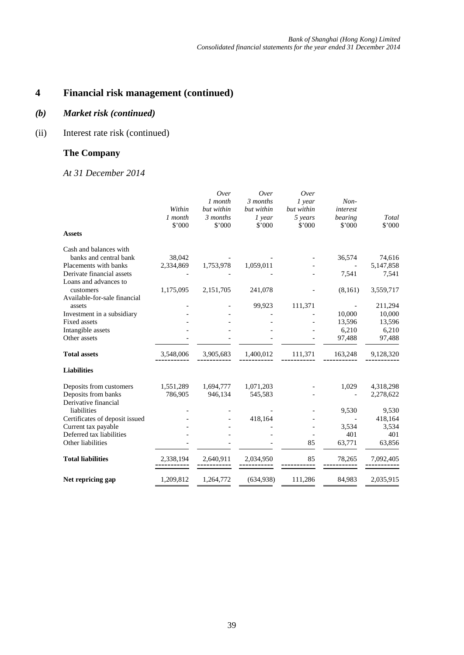## *(b) Market risk (continued)*

## (ii) Interest rate risk (continued)

## **The Company**

| <b>Assets</b>                  | Within<br>1 month<br>\$'000 | Over<br>1 month<br>but within<br>3 months<br>\$'000 | Over<br>3 months<br>but within<br>1 year<br>\$'000 | Over<br>1 year<br>but within<br>5 years<br>\$'000 | $Non-$<br>interest<br>bearing<br>\$'000 | Total<br>\$'000 |
|--------------------------------|-----------------------------|-----------------------------------------------------|----------------------------------------------------|---------------------------------------------------|-----------------------------------------|-----------------|
| Cash and balances with         |                             |                                                     |                                                    |                                                   |                                         |                 |
| banks and central bank         | 38,042                      |                                                     |                                                    |                                                   | 36,574                                  | 74,616          |
| Placements with banks          | 2,334,869                   | 1,753,978                                           | 1,059,011                                          |                                                   |                                         | 5,147,858       |
| Derivate financial assets      |                             |                                                     |                                                    |                                                   | 7,541                                   | 7,541           |
| Loans and advances to          |                             |                                                     |                                                    |                                                   |                                         |                 |
| customers                      | 1,175,095                   | 2,151,705                                           | 241,078                                            |                                                   | (8,161)                                 | 3,559,717       |
| Available-for-sale financial   |                             |                                                     |                                                    |                                                   |                                         |                 |
| assets                         |                             |                                                     | 99,923                                             | 111,371                                           |                                         | 211,294         |
| Investment in a subsidiary     |                             |                                                     |                                                    |                                                   | 10,000                                  | 10,000          |
| Fixed assets                   |                             |                                                     |                                                    |                                                   | 13,596                                  | 13,596          |
| Intangible assets              |                             |                                                     |                                                    |                                                   | 6,210                                   | 6,210           |
| Other assets                   |                             |                                                     |                                                    |                                                   | 97,488                                  | 97,488          |
| <b>Total assets</b>            | 3,548,006                   | 3,905,683                                           | 1,400,012                                          | 111,371                                           | 163,248                                 | 9,128,320       |
| <b>Liabilities</b>             |                             |                                                     |                                                    |                                                   |                                         |                 |
| Deposits from customers        | 1,551,289                   | 1,694,777                                           | 1,071,203                                          |                                                   | 1,029                                   | 4,318,298       |
| Deposits from banks            | 786,905                     | 946,134                                             | 545,583                                            |                                                   |                                         | 2,278,622       |
| Derivative financial           |                             |                                                     |                                                    |                                                   |                                         |                 |
| liabilities                    |                             |                                                     |                                                    |                                                   | 9,530                                   | 9,530           |
| Certificates of deposit issued |                             |                                                     | 418,164                                            |                                                   |                                         | 418,164         |
| Current tax payable            |                             |                                                     |                                                    |                                                   | 3,534                                   | 3,534           |
| Deferred tax liabilities       |                             |                                                     |                                                    |                                                   | 401                                     | 401             |
| Other liabilities              |                             |                                                     |                                                    | 85                                                | 63,771                                  | 63,856          |
| <b>Total liabilities</b>       | 2,338,194                   | 2,640,911                                           | 2,034,950                                          | 85                                                | 78,265                                  | 7,092,405       |
| Net repricing gap              | 1,209,812                   | 1,264,772                                           | (634, 938)                                         | 111,286                                           | 84,983                                  | 2,035,915       |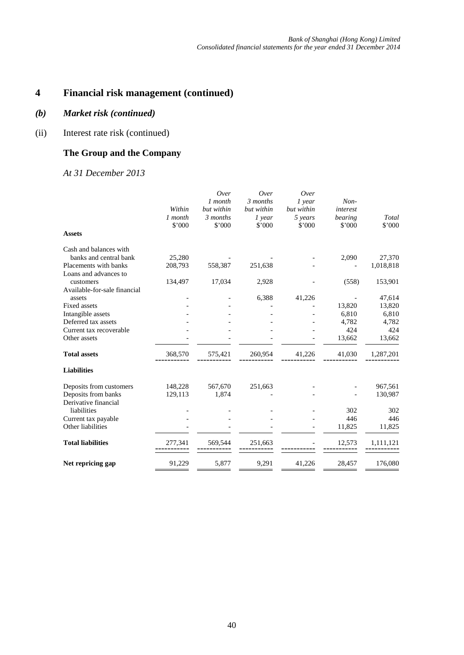## *(b) Market risk (continued)*

## (ii) Interest rate risk (continued)

## **The Group and the Company**

|                                                | Within<br>1 month<br>\$'000 | Over<br>1 month<br>but within<br>3 months<br>\$'000 | Over<br>3 months<br>but within<br>$1$ year<br>\$'000 | Over<br>1 year<br>but within<br>5 years<br>\$'000 | Non-<br>interest<br>bearing<br>\$'000 | Total<br>\$'000 |
|------------------------------------------------|-----------------------------|-----------------------------------------------------|------------------------------------------------------|---------------------------------------------------|---------------------------------------|-----------------|
| <b>Assets</b>                                  |                             |                                                     |                                                      |                                                   |                                       |                 |
| Cash and balances with                         |                             |                                                     |                                                      |                                                   |                                       |                 |
| banks and central bank                         | 25,280                      |                                                     |                                                      |                                                   | 2,090                                 | 27,370          |
| Placements with banks<br>Loans and advances to | 208,793                     | 558,387                                             | 251,638                                              |                                                   |                                       | 1,018,818       |
| customers                                      | 134,497                     | 17,034                                              | 2,928                                                |                                                   | (558)                                 | 153,901         |
| Available-for-sale financial                   |                             |                                                     |                                                      |                                                   |                                       |                 |
| assets                                         |                             |                                                     | 6,388                                                | 41,226                                            |                                       | 47,614          |
| Fixed assets                                   |                             |                                                     |                                                      |                                                   | 13,820                                | 13,820          |
| Intangible assets                              |                             |                                                     |                                                      |                                                   | 6,810                                 | 6,810           |
| Deferred tax assets                            |                             |                                                     |                                                      |                                                   | 4,782                                 | 4,782           |
| Current tax recoverable                        |                             |                                                     |                                                      |                                                   | 424                                   | 424             |
| Other assets                                   |                             |                                                     |                                                      |                                                   | 13,662                                | 13,662          |
| <b>Total assets</b>                            | 368,570                     | 575,421                                             | 260,954                                              | 41,226                                            | 41,030                                | 1,287,201       |
| <b>Liabilities</b>                             |                             |                                                     |                                                      |                                                   |                                       |                 |
| Deposits from customers                        | 148,228                     | 567,670                                             | 251,663                                              |                                                   |                                       | 967,561         |
| Deposits from banks                            | 129,113                     | 1,874                                               |                                                      |                                                   |                                       | 130,987         |
| Derivative financial                           |                             |                                                     |                                                      |                                                   |                                       |                 |
| liabilities                                    |                             |                                                     |                                                      |                                                   | 302                                   | 302             |
| Current tax payable                            |                             |                                                     |                                                      |                                                   | 446                                   | 446             |
| Other liabilities                              |                             |                                                     |                                                      |                                                   | 11,825                                | 11,825          |
| <b>Total liabilities</b>                       | 277,341                     | 569,544                                             | 251,663                                              |                                                   | 12,573                                | 1,111,121       |
| Net repricing gap                              | 91,229                      | 5,877                                               | 9,291                                                | 41,226                                            | 28,457                                | 176,080         |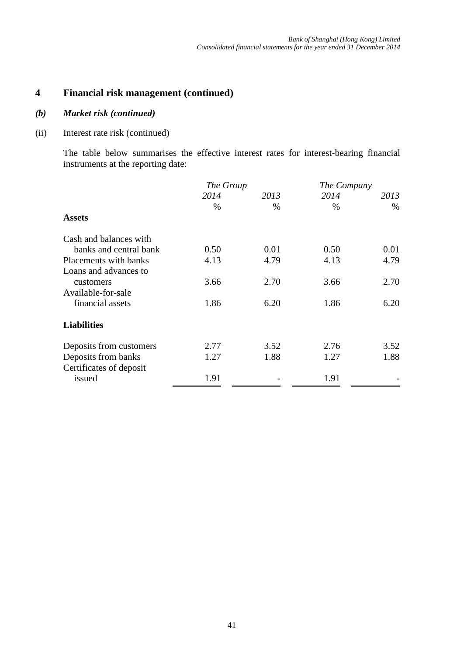## *(b) Market risk (continued)*

## (ii) Interest rate risk (continued)

The table below summarises the effective interest rates for interest-bearing financial instruments at the reporting date:

|                         |      | The Group |      | The Company |
|-------------------------|------|-----------|------|-------------|
|                         | 2014 | 2013      | 2014 | 2013        |
|                         | $\%$ | %         | %    | $\%$        |
| <b>Assets</b>           |      |           |      |             |
| Cash and balances with  |      |           |      |             |
| banks and central bank  | 0.50 | 0.01      | 0.50 | 0.01        |
| Placements with banks   | 4.13 | 4.79      | 4.13 | 4.79        |
| Loans and advances to   |      |           |      |             |
| customers               | 3.66 | 2.70      | 3.66 | 2.70        |
| Available-for-sale      |      |           |      |             |
| financial assets        | 1.86 | 6.20      | 1.86 | 6.20        |
| <b>Liabilities</b>      |      |           |      |             |
| Deposits from customers | 2.77 | 3.52      | 2.76 | 3.52        |
| Deposits from banks     | 1.27 | 1.88      | 1.27 | 1.88        |
| Certificates of deposit |      |           |      |             |
| issued                  | 1.91 |           | 1.91 |             |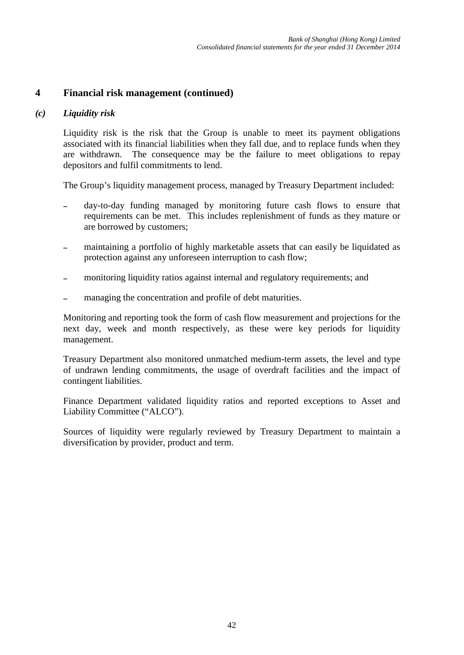#### *(c) Liquidity risk*

Liquidity risk is the risk that the Group is unable to meet its payment obligations associated with its financial liabilities when they fall due, and to replace funds when they are withdrawn. The consequence may be the failure to meet obligations to repay depositors and fulfil commitments to lend.

The Group's liquidity management process, managed by Treasury Department included:

- day-to-day funding managed by monitoring future cash flows to ensure that requirements can be met. This includes replenishment of funds as they mature or are borrowed by customers;
- maintaining a portfolio of highly marketable assets that can easily be liquidated as protection against any unforeseen interruption to cash flow;
- monitoring liquidity ratios against internal and regulatory requirements; and
- managing the concentration and profile of debt maturities.

Monitoring and reporting took the form of cash flow measurement and projections for the next day, week and month respectively, as these were key periods for liquidity management.

Treasury Department also monitored unmatched medium-term assets, the level and type of undrawn lending commitments, the usage of overdraft facilities and the impact of contingent liabilities.

Finance Department validated liquidity ratios and reported exceptions to Asset and Liability Committee ("ALCO").

Sources of liquidity were regularly reviewed by Treasury Department to maintain a diversification by provider, product and term.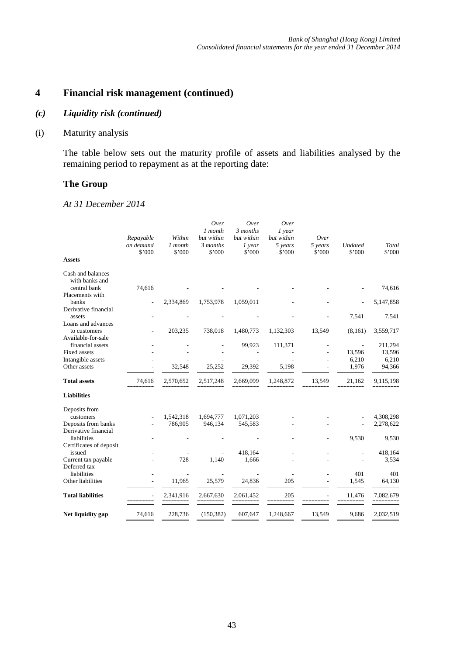## *(c) Liquidity risk (continued)*

## (i) Maturity analysis

The table below sets out the maturity profile of assets and liabilities analysed by the remaining period to repayment as at the reporting date:

## **The Group**

| <b>Assets</b>                          | Repayable<br>on demand<br>\$'000 | Within<br>1 month<br>\$'000 | Over<br>1 month<br>but within<br>3 months<br>\$'000 | Over<br>3 months<br>but within<br>$1$ year<br>\$'000 | Over<br>1 year<br>but within<br>5 years<br>\$'000 | Over<br>5 years<br>\$'000 | <b>Undated</b><br>\$'000 | Total<br>\$'000 |
|----------------------------------------|----------------------------------|-----------------------------|-----------------------------------------------------|------------------------------------------------------|---------------------------------------------------|---------------------------|--------------------------|-----------------|
| Cash and balances                      |                                  |                             |                                                     |                                                      |                                                   |                           |                          |                 |
| with banks and                         |                                  |                             |                                                     |                                                      |                                                   |                           |                          |                 |
| central bank                           | 74,616                           |                             |                                                     |                                                      |                                                   |                           |                          | 74,616          |
| Placements with<br>banks               |                                  | 2,334,869                   | 1,753,978                                           | 1,059,011                                            |                                                   |                           |                          | 5,147,858       |
| Derivative financial                   |                                  |                             |                                                     |                                                      |                                                   |                           |                          |                 |
| assets                                 |                                  |                             |                                                     |                                                      |                                                   |                           | 7,541                    | 7,541           |
| Loans and advances                     |                                  |                             |                                                     |                                                      |                                                   |                           |                          |                 |
| to customers                           |                                  | 203,235                     | 738,018                                             | 1,480,773                                            | 1,132,303                                         | 13,549                    | (8,161)                  | 3,559,717       |
| Available-for-sale                     |                                  |                             |                                                     |                                                      |                                                   |                           |                          |                 |
| financial assets                       |                                  |                             |                                                     | 99,923                                               | 111,371                                           |                           |                          | 211,294         |
| Fixed assets                           |                                  |                             |                                                     |                                                      |                                                   |                           | 13,596<br>6,210          | 13,596          |
| Intangible assets<br>Other assets      |                                  | 32,548                      | 25,252                                              | 29,392                                               | 5,198                                             |                           | 1,976                    | 6,210<br>94,366 |
|                                        |                                  |                             |                                                     |                                                      |                                                   |                           |                          |                 |
| <b>Total assets</b>                    | 74,616                           | 2,570,652                   | 2,517,248                                           | 2,669,099                                            | 1,248,872                                         | 13,549                    | 21,162                   | 9,115,198       |
| <b>Liabilities</b>                     |                                  |                             |                                                     |                                                      |                                                   |                           |                          |                 |
| Deposits from                          |                                  |                             |                                                     |                                                      |                                                   |                           |                          |                 |
| customers                              |                                  | 1,542,318                   | 1,694,777                                           | 1,071,203                                            |                                                   |                           |                          | 4,308,298       |
| Deposits from banks                    |                                  | 786,905                     | 946,134                                             | 545,583                                              |                                                   |                           |                          | 2,278,622       |
| Derivative financial                   |                                  |                             |                                                     |                                                      |                                                   |                           |                          |                 |
| liabilities<br>Certificates of deposit |                                  |                             |                                                     |                                                      |                                                   |                           | 9,530                    | 9,530           |
| issued                                 |                                  |                             |                                                     | 418,164                                              |                                                   |                           |                          | 418,164         |
| Current tax payable                    |                                  | 728                         | 1,140                                               | 1,666                                                |                                                   |                           |                          | 3,534           |
| Deferred tax                           |                                  |                             |                                                     |                                                      |                                                   |                           |                          |                 |
| liabilities                            |                                  |                             |                                                     |                                                      |                                                   |                           | 401                      | 401             |
| Other liabilities                      |                                  | 11,965                      | 25,579                                              | 24,836                                               | 205                                               |                           | 1,545                    | 64,130          |
| <b>Total liabilities</b>               |                                  | 2,341,916                   | 2,667,630                                           | 2,061,452                                            | 205                                               |                           | 11,476                   | 7,082,679       |
| Net liquidity gap                      | 74,616                           | 228,736                     | (150, 382)                                          | 607,647                                              | 1,248,667                                         | 13,549                    | 9,686                    | 2,032,519       |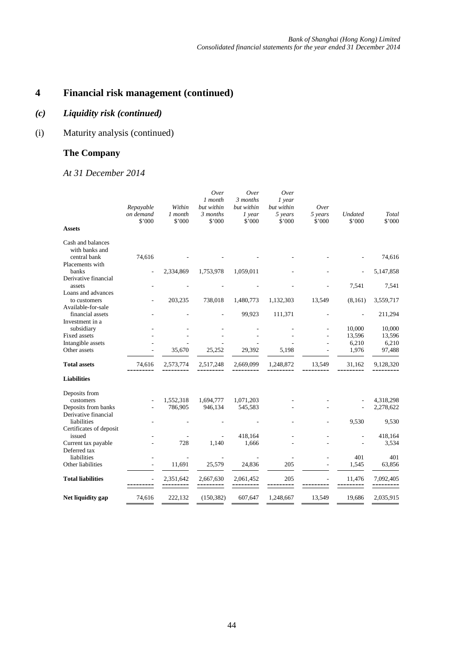## *(c) Liquidity risk (continued)*

## (i) Maturity analysis (continued)

## **The Company**

|                                                     | Repayable<br>on demand<br>\$'000 | Within<br>1 month<br>\$'000 | Over<br>1 month<br>but within<br>3 months<br>\$'000 | Over<br>3 months<br>but within<br>$1$ year<br>\$'000 | Over<br>$1$ year<br>but within<br>5 years<br>\$'000 | Over<br>5 years<br>\$'000 | <b>Undated</b><br>\$'000 | Total<br>\$'000 |
|-----------------------------------------------------|----------------------------------|-----------------------------|-----------------------------------------------------|------------------------------------------------------|-----------------------------------------------------|---------------------------|--------------------------|-----------------|
| <b>Assets</b>                                       |                                  |                             |                                                     |                                                      |                                                     |                           |                          |                 |
| Cash and balances<br>with banks and<br>central bank | 74,616                           |                             |                                                     |                                                      |                                                     |                           |                          | 74,616          |
| Placements with                                     |                                  |                             |                                                     |                                                      |                                                     |                           |                          |                 |
| banks<br>Derivative financial                       |                                  | 2,334,869                   | 1,753,978                                           | 1,059,011                                            |                                                     |                           |                          | 5,147,858       |
| assets<br>Loans and advances                        |                                  |                             |                                                     |                                                      |                                                     |                           | 7,541                    | 7,541           |
| to customers<br>Available-for-sale                  |                                  | 203,235                     | 738,018                                             | 1,480,773                                            | 1,132,303                                           | 13,549                    | (8,161)                  | 3,559,717       |
| financial assets<br>Investment in a                 |                                  |                             |                                                     | 99,923                                               | 111,371                                             |                           |                          | 211,294         |
| subsidiary                                          |                                  |                             |                                                     |                                                      |                                                     |                           | 10,000                   | 10,000          |
| Fixed assets                                        |                                  |                             |                                                     |                                                      |                                                     |                           | 13,596                   | 13,596          |
| Intangible assets<br>Other assets                   |                                  | 35,670                      | 25,252                                              | 29,392                                               | 5,198                                               |                           | 6,210<br>1,976           | 6,210<br>97,488 |
| <b>Total assets</b>                                 | 74,616                           | 2,573,774                   | 2,517,248                                           | 2,669,099                                            | 1,248,872                                           | 13,549                    | 31,162                   | 9,128,320       |
| <b>Liabilities</b>                                  |                                  |                             |                                                     |                                                      |                                                     |                           |                          |                 |
| Deposits from<br>customers                          |                                  | 1,552,318                   | 1,694,777                                           | 1,071,203                                            |                                                     |                           |                          | 4,318,298       |
| Deposits from banks<br>Derivative financial         |                                  | 786,905                     | 946,134                                             | 545,583                                              |                                                     |                           |                          | 2,278,622       |
| liabilities<br>Certificates of deposit              |                                  |                             |                                                     |                                                      |                                                     |                           | 9,530                    | 9,530           |
| issued                                              |                                  |                             |                                                     | 418,164                                              |                                                     |                           |                          | 418,164         |
| Current tax payable<br>Deferred tax                 |                                  | 728                         | 1,140                                               | 1,666                                                |                                                     |                           |                          | 3,534           |
| liabilities                                         |                                  |                             |                                                     |                                                      |                                                     |                           | 401                      | 401             |
| Other liabilities                                   |                                  | 11,691                      | 25,579                                              | 24,836                                               | 205                                                 |                           | 1,545                    | 63,856          |
| <b>Total liabilities</b>                            |                                  | 2,351,642                   | 2,667,630                                           | 2,061,452                                            | 205                                                 |                           | 11,476                   | 7,092,405       |
| Net liquidity gap                                   | 74,616                           | 222,132                     | (150, 382)                                          | 607,647                                              | 1,248,667                                           | 13,549                    | 19,686                   | 2,035,915       |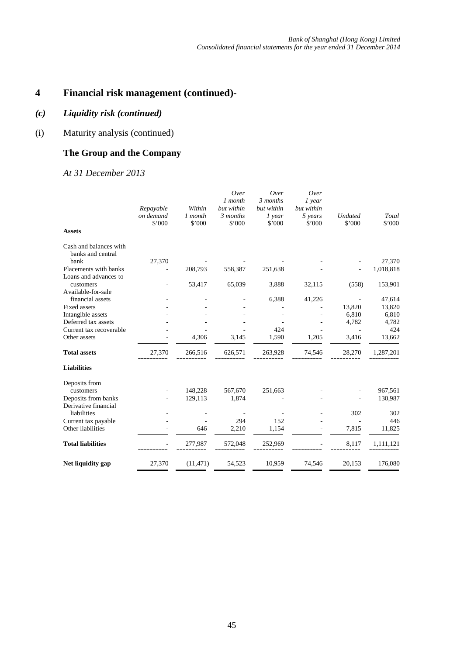## *(c) Liquidity risk (continued)*

## (i) Maturity analysis (continued)

## **The Group and the Company**

| <b>Assets</b>                                  | Repayable<br>on demand<br>\$'000 | Within<br>1 month<br>\$'000 | Over<br>1 month<br>but within<br>3 months<br>\$'000 | Over<br>3 months<br>but within<br>$1$ year<br>\$'000 | Over<br>$1$ year<br>but within<br>5 years<br>\$'000 | <b>Undated</b><br>\$'000 | Total<br>\$'000 |
|------------------------------------------------|----------------------------------|-----------------------------|-----------------------------------------------------|------------------------------------------------------|-----------------------------------------------------|--------------------------|-----------------|
|                                                |                                  |                             |                                                     |                                                      |                                                     |                          |                 |
| Cash and balances with<br>banks and central    |                                  |                             |                                                     |                                                      |                                                     |                          |                 |
| bank                                           | 27,370                           |                             |                                                     |                                                      |                                                     |                          | 27,370          |
| Placements with banks<br>Loans and advances to |                                  | 208,793                     | 558,387                                             | 251,638                                              |                                                     |                          | 1,018,818       |
| customers<br>Available-for-sale                |                                  | 53,417                      | 65,039                                              | 3,888                                                | 32,115                                              | (558)                    | 153,901         |
| financial assets                               |                                  |                             |                                                     | 6,388                                                | 41,226                                              |                          | 47,614          |
| Fixed assets                                   |                                  |                             |                                                     |                                                      |                                                     | 13,820                   | 13,820          |
| Intangible assets                              |                                  |                             |                                                     |                                                      |                                                     | 6,810                    | 6,810           |
| Deferred tax assets                            |                                  |                             |                                                     |                                                      |                                                     | 4,782                    | 4,782           |
| Current tax recoverable                        |                                  |                             |                                                     | 424                                                  |                                                     |                          | 424             |
| Other assets                                   |                                  | 4,306                       | 3,145                                               | 1,590                                                | 1,205                                               | 3,416                    | 13,662          |
| <b>Total assets</b>                            | 27,370                           | 266,516                     | 626,571                                             | 263,928                                              | 74,546                                              | 28,270                   | 1,287,201       |
| <b>Liabilities</b>                             |                                  |                             |                                                     |                                                      |                                                     |                          |                 |
| Deposits from                                  |                                  |                             |                                                     |                                                      |                                                     |                          |                 |
| customers                                      |                                  | 148,228                     | 567,670                                             | 251,663                                              |                                                     |                          | 967,561         |
| Deposits from banks                            |                                  | 129,113                     | 1,874                                               |                                                      |                                                     |                          | 130,987         |
| Derivative financial<br>liabilities            |                                  |                             |                                                     |                                                      |                                                     | 302                      | 302             |
| Current tax payable                            |                                  |                             | 294                                                 | 152                                                  |                                                     |                          | 446             |
| Other liabilities                              |                                  | 646                         | 2,210                                               | 1,154                                                |                                                     | 7,815                    | 11,825          |
| <b>Total liabilities</b>                       |                                  | 277,987                     | 572,048                                             | 252,969                                              |                                                     | 8,117                    | 1,111,121       |
| Net liquidity gap                              | 27,370                           | (11, 471)                   | 54,523                                              | 10,959                                               | 74,546                                              | 20,153                   | 176,080         |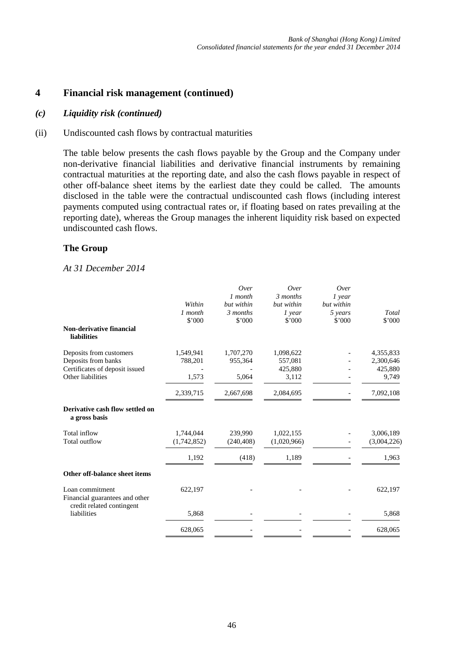#### *(c) Liquidity risk (continued)*

#### (ii) Undiscounted cash flows by contractual maturities

The table below presents the cash flows payable by the Group and the Company under non-derivative financial liabilities and derivative financial instruments by remaining contractual maturities at the reporting date, and also the cash flows payable in respect of other off-balance sheet items by the earliest date they could be called. The amounts disclosed in the table were the contractual undiscounted cash flows (including interest payments computed using contractual rates or, if floating based on rates prevailing at the reporting date), whereas the Group manages the inherent liquidity risk based on expected undiscounted cash flows.

#### **The Group**

|                                                     | Within<br>1 month<br>\$'000 | Over<br>1 month<br>but within<br>3 months<br>\$'000 | Over<br>3 months<br>but within<br>1 year<br>\$'000 | Over<br>$1$ year<br>but within<br>5 years<br>\$'000 | Total<br>\$'000  |
|-----------------------------------------------------|-----------------------------|-----------------------------------------------------|----------------------------------------------------|-----------------------------------------------------|------------------|
| Non-derivative financial<br><b>liabilities</b>      |                             |                                                     |                                                    |                                                     |                  |
| Deposits from customers                             | 1,549,941                   | 1,707,270                                           | 1,098,622                                          |                                                     | 4,355,833        |
| Deposits from banks                                 | 788,201                     | 955,364                                             | 557,081                                            |                                                     | 2,300,646        |
| Certificates of deposit issued<br>Other liabilities | 1,573                       | 5,064                                               | 425,880<br>3,112                                   |                                                     | 425,880<br>9,749 |
|                                                     | 2,339,715                   | 2,667,698                                           | 2,084,695                                          |                                                     | 7,092,108        |
| Derivative cash flow settled on<br>a gross basis    |                             |                                                     |                                                    |                                                     |                  |
| Total inflow                                        | 1,744,044                   | 239,990                                             | 1,022,155                                          |                                                     | 3,006,189        |
| Total outflow                                       | (1,742,852)                 | (240, 408)                                          | (1,020,966)                                        |                                                     | (3,004,226)      |
|                                                     | 1,192                       | (418)                                               | 1,189                                              |                                                     | 1,963            |
| Other off-balance sheet items                       |                             |                                                     |                                                    |                                                     |                  |
| Loan commitment<br>Financial guarantees and other   | 622,197                     |                                                     |                                                    |                                                     | 622,197          |
| credit related contingent                           |                             |                                                     |                                                    |                                                     |                  |
| liabilities                                         | 5,868                       |                                                     |                                                    |                                                     | 5,868            |
|                                                     | 628,065                     |                                                     |                                                    |                                                     | 628,065          |
|                                                     |                             |                                                     |                                                    |                                                     |                  |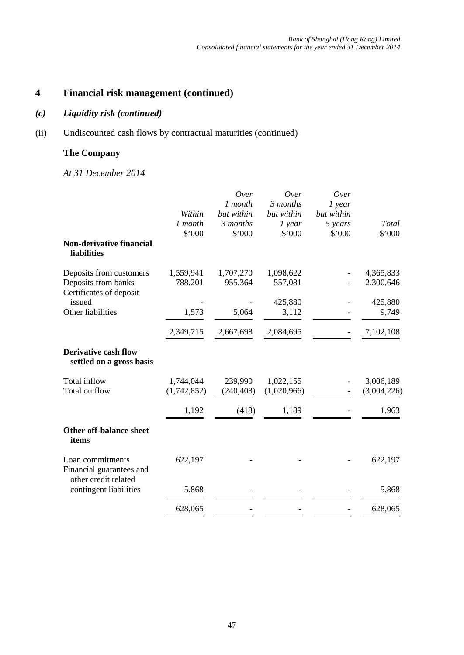## *(c) Liquidity risk (continued)*

## (ii) Undiscounted cash flows by contractual maturities (continued)

## **The Company**

|                                                                      | Within<br>1 month<br>\$'000 | Over<br>1 month<br>but within<br>3 months<br>\$'000 | Over<br>3 months<br>but within<br>$1$ year<br>\$'000 | Over<br>$1$ year<br>but within<br>5 years<br>\$'000 | <b>Total</b><br>\$'000 |
|----------------------------------------------------------------------|-----------------------------|-----------------------------------------------------|------------------------------------------------------|-----------------------------------------------------|------------------------|
| <b>Non-derivative financial</b><br><b>liabilities</b>                |                             |                                                     |                                                      |                                                     |                        |
| Deposits from customers                                              | 1,559,941                   | 1,707,270                                           | 1,098,622                                            |                                                     | 4,365,833              |
| Deposits from banks<br>Certificates of deposit                       | 788,201                     | 955,364                                             | 557,081                                              |                                                     | 2,300,646              |
| issued                                                               |                             |                                                     | 425,880                                              |                                                     | 425,880                |
| Other liabilities                                                    | 1,573                       | 5,064                                               | 3,112                                                |                                                     | 9,749                  |
|                                                                      | 2,349,715                   | 2,667,698                                           | 2,084,695                                            | $\overline{a}$                                      | 7,102,108              |
| <b>Derivative cash flow</b><br>settled on a gross basis              |                             |                                                     |                                                      |                                                     |                        |
| Total inflow                                                         | 1,744,044                   | 239,990                                             | 1,022,155                                            |                                                     | 3,006,189              |
| Total outflow                                                        | (1,742,852)                 | (240, 408)                                          | (1,020,966)                                          |                                                     | (3,004,226)            |
|                                                                      | 1,192                       | (418)                                               | 1,189                                                |                                                     | 1,963                  |
| Other off-balance sheet<br>items                                     |                             |                                                     |                                                      |                                                     |                        |
| Loan commitments<br>Financial guarantees and<br>other credit related | 622,197                     |                                                     |                                                      |                                                     | 622,197                |
| contingent liabilities                                               | 5,868                       |                                                     |                                                      |                                                     | 5,868                  |
|                                                                      | 628,065                     |                                                     |                                                      |                                                     | 628,065                |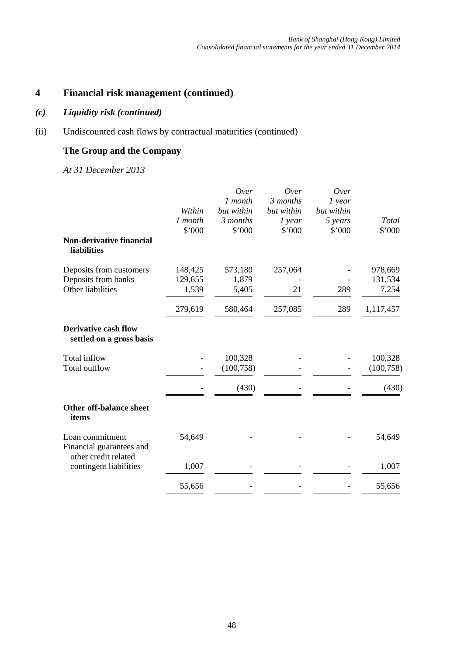## *(c) Liquidity risk (continued)*

(ii) Undiscounted cash flows by contractual maturities (continued)

## **The Group and the Company**

| Non-derivative financial<br>liabilities                             | Within<br>1 month<br>\$'000 | Over<br>1 month<br>but within<br>3 months<br>\$'000 | Over<br>3 months<br>but within<br>$1$ year<br>\$'000 | Over<br>1 year<br>but within<br>5 years<br>\$'000 | Total<br>\$'000       |
|---------------------------------------------------------------------|-----------------------------|-----------------------------------------------------|------------------------------------------------------|---------------------------------------------------|-----------------------|
| Deposits from customers<br>Deposits from banks                      | 148,425<br>129,655          | 573,180<br>1,879                                    | 257,064                                              |                                                   | 978,669<br>131,534    |
| Other liabilities                                                   | 1,539                       | 5,405                                               | 21                                                   | 289                                               | 7,254                 |
|                                                                     | 279,619                     | 580,464                                             | 257,085                                              | 289                                               | 1,117,457             |
| <b>Derivative cash flow</b><br>settled on a gross basis             |                             |                                                     |                                                      |                                                   |                       |
| Total inflow<br>Total outflow                                       |                             | 100,328<br>(100, 758)                               |                                                      |                                                   | 100,328<br>(100, 758) |
|                                                                     |                             | (430)                                               |                                                      |                                                   | (430)                 |
| <b>Other off-balance sheet</b><br>items                             |                             |                                                     |                                                      |                                                   |                       |
| Loan commitment<br>Financial guarantees and<br>other credit related | 54,649                      |                                                     |                                                      |                                                   | 54,649                |
| contingent liabilities                                              | 1,007                       |                                                     |                                                      |                                                   | 1,007                 |
|                                                                     | 55,656                      |                                                     |                                                      |                                                   | 55,656                |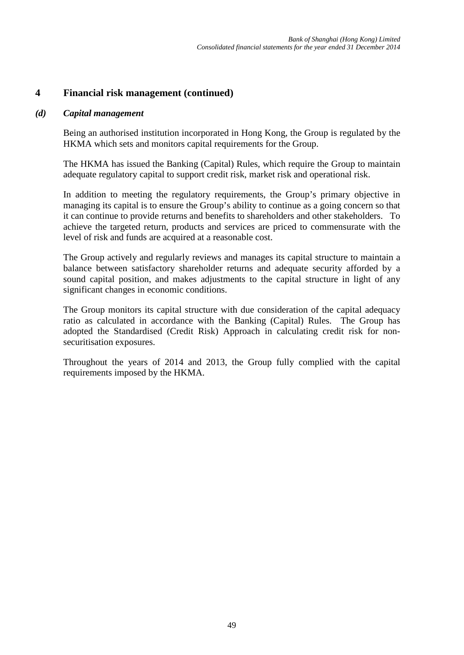#### *(d) Capital management*

Being an authorised institution incorporated in Hong Kong, the Group is regulated by the HKMA which sets and monitors capital requirements for the Group.

The HKMA has issued the Banking (Capital) Rules, which require the Group to maintain adequate regulatory capital to support credit risk, market risk and operational risk.

In addition to meeting the regulatory requirements, the Group's primary objective in managing its capital is to ensure the Group's ability to continue as a going concern so that it can continue to provide returns and benefits to shareholders and other stakeholders. To achieve the targeted return, products and services are priced to commensurate with the level of risk and funds are acquired at a reasonable cost.

The Group actively and regularly reviews and manages its capital structure to maintain a balance between satisfactory shareholder returns and adequate security afforded by a sound capital position, and makes adjustments to the capital structure in light of any significant changes in economic conditions.

The Group monitors its capital structure with due consideration of the capital adequacy ratio as calculated in accordance with the Banking (Capital) Rules. The Group has adopted the Standardised (Credit Risk) Approach in calculating credit risk for nonsecuritisation exposures.

Throughout the years of 2014 and 2013, the Group fully complied with the capital requirements imposed by the HKMA.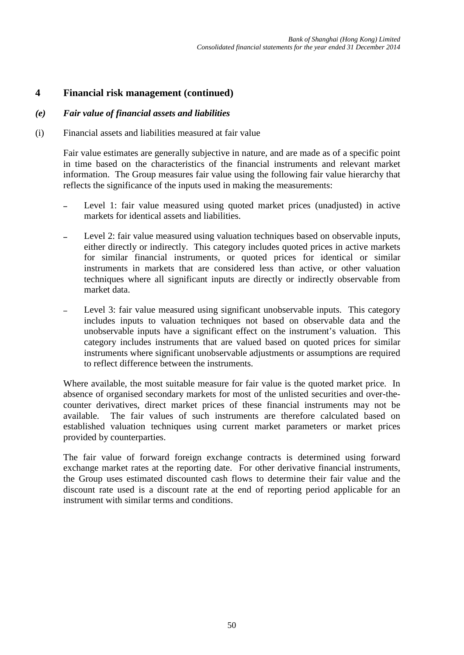#### *(e) Fair value of financial assets and liabilities*

(i) Financial assets and liabilities measured at fair value

Fair value estimates are generally subjective in nature, and are made as of a specific point in time based on the characteristics of the financial instruments and relevant market information. The Group measures fair value using the following fair value hierarchy that reflects the significance of the inputs used in making the measurements:

- Level 1: fair value measured using quoted market prices (unadjusted) in active markets for identical assets and liabilities.
- Level 2: fair value measured using valuation techniques based on observable inputs, either directly or indirectly. This category includes quoted prices in active markets for similar financial instruments, or quoted prices for identical or similar instruments in markets that are considered less than active, or other valuation techniques where all significant inputs are directly or indirectly observable from market data.
- Level 3: fair value measured using significant unobservable inputs. This category includes inputs to valuation techniques not based on observable data and the unobservable inputs have a significant effect on the instrument's valuation. This category includes instruments that are valued based on quoted prices for similar instruments where significant unobservable adjustments or assumptions are required to reflect difference between the instruments.

Where available, the most suitable measure for fair value is the quoted market price. In absence of organised secondary markets for most of the unlisted securities and over-thecounter derivatives, direct market prices of these financial instruments may not be available. The fair values of such instruments are therefore calculated based on established valuation techniques using current market parameters or market prices provided by counterparties.

The fair value of forward foreign exchange contracts is determined using forward exchange market rates at the reporting date. For other derivative financial instruments, the Group uses estimated discounted cash flows to determine their fair value and the discount rate used is a discount rate at the end of reporting period applicable for an instrument with similar terms and conditions.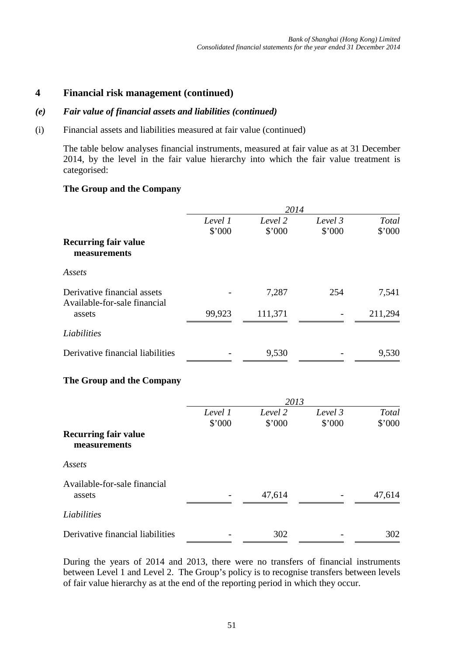#### *(e) Fair value of financial assets and liabilities (continued)*

(i) Financial assets and liabilities measured at fair value (continued)

The table below analyses financial instruments, measured at fair value as at 31 December 2014, by the level in the fair value hierarchy into which the fair value treatment is categorised:

#### **The Group and the Company**

|                                                             |                   |                   | 2014              |                 |
|-------------------------------------------------------------|-------------------|-------------------|-------------------|-----------------|
|                                                             | Level 1<br>\$'000 | Level 2<br>\$'000 | Level 3<br>\$'000 | Total<br>\$'000 |
| <b>Recurring fair value</b><br>measurements                 |                   |                   |                   |                 |
| Assets                                                      |                   |                   |                   |                 |
| Derivative financial assets<br>Available-for-sale financial |                   | 7,287             | 254               | 7,541           |
| assets                                                      | 99,923            | 111,371           |                   | 211,294         |
| Liabilities                                                 |                   |                   |                   |                 |
| Derivative financial liabilities                            |                   | 9,530             |                   | 9,530           |

### **The Group and the Company**

|                                             |                   | 2013              |                   |                 |
|---------------------------------------------|-------------------|-------------------|-------------------|-----------------|
| <b>Recurring fair value</b><br>measurements | Level 1<br>\$'000 | Level 2<br>\$'000 | Level 3<br>\$'000 | Total<br>\$'000 |
| Assets                                      |                   |                   |                   |                 |
| Available-for-sale financial<br>assets      |                   | 47,614            |                   | 47,614          |
| Liabilities                                 |                   |                   |                   |                 |
| Derivative financial liabilities            |                   | 302               |                   | 302             |

During the years of 2014 and 2013, there were no transfers of financial instruments between Level 1 and Level 2. The Group's policy is to recognise transfers between levels of fair value hierarchy as at the end of the reporting period in which they occur.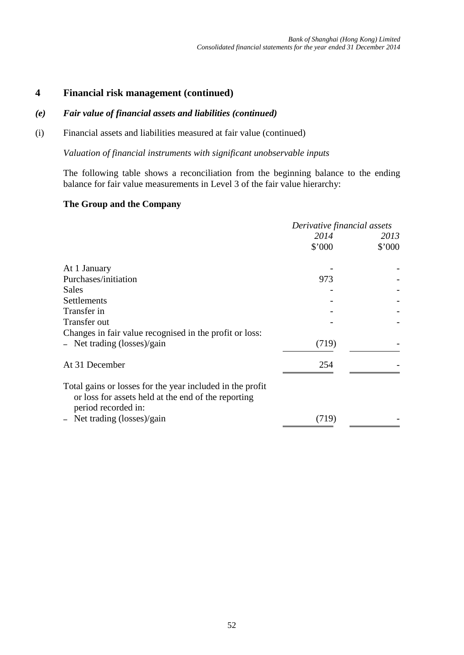#### *(e) Fair value of financial assets and liabilities (continued)*

(i) Financial assets and liabilities measured at fair value (continued)

*Valuation of financial instruments with significant unobservable inputs*

The following table shows a reconciliation from the beginning balance to the ending balance for fair value measurements in Level 3 of the fair value hierarchy:

|                                                                                                                                         | Derivative financial assets |                |
|-----------------------------------------------------------------------------------------------------------------------------------------|-----------------------------|----------------|
|                                                                                                                                         | 2014                        | 2013           |
|                                                                                                                                         | \$'000                      | $$^{\circ}000$ |
| At 1 January                                                                                                                            |                             |                |
| Purchases/initiation                                                                                                                    | 973                         |                |
| Sales                                                                                                                                   |                             |                |
| Settlements                                                                                                                             |                             |                |
| Transfer in                                                                                                                             |                             |                |
| <b>Transfer out</b>                                                                                                                     |                             |                |
| Changes in fair value recognised in the profit or loss:                                                                                 |                             |                |
| $-$ Net trading (losses)/gain                                                                                                           | (719)                       |                |
| At 31 December                                                                                                                          | 254                         |                |
| Total gains or losses for the year included in the profit<br>or loss for assets held at the end of the reporting<br>period recorded in: |                             |                |
| $-$ Net trading (losses)/gain                                                                                                           | (719)                       |                |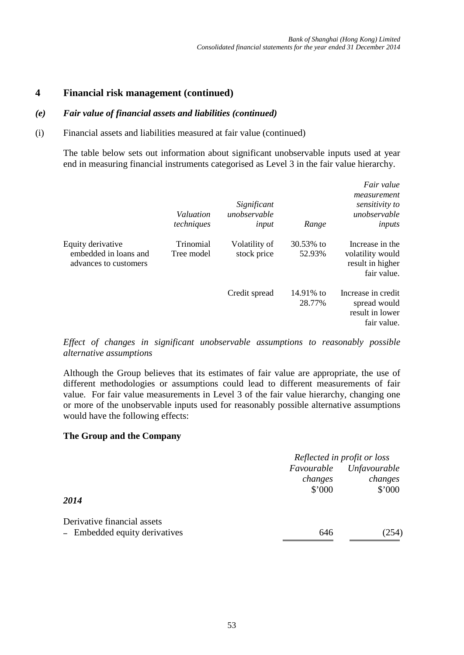#### *(e) Fair value of financial assets and liabilities (continued)*

#### (i) Financial assets and liabilities measured at fair value (continued)

The table below sets out information about significant unobservable inputs used at year end in measuring financial instruments categorised as Level 3 in the fair value hierarchy.

|                                                                     | Valuation<br>techniques | Significant<br>unobservable<br>input | Range               | Fair value<br>measurement<br>sensitivity to<br>unobservable<br>inputs  |
|---------------------------------------------------------------------|-------------------------|--------------------------------------|---------------------|------------------------------------------------------------------------|
| Equity derivative<br>embedded in loans and<br>advances to customers | Trinomial<br>Tree model | Volatility of<br>stock price         | 30.53% to<br>52.93% | Increase in the<br>volatility would<br>result in higher<br>fair value. |
|                                                                     |                         | Credit spread                        | 14.91% to<br>28.77% | Increase in credit<br>spread would<br>result in lower<br>fair value.   |

*Effect of changes in significant unobservable assumptions to reasonably possible alternative assumptions*

Although the Group believes that its estimates of fair value are appropriate, the use of different methodologies or assumptions could lead to different measurements of fair value. For fair value measurements in Level 3 of the fair value hierarchy, changing one or more of the unobservable inputs used for reasonably possible alternative assumptions would have the following effects:

|                               |            | Reflected in profit or loss |
|-------------------------------|------------|-----------------------------|
|                               | Favourable | <i>Unfavourable</i>         |
|                               | changes    | changes                     |
|                               | \$'000     | \$'000                      |
| 2014                          |            |                             |
| Derivative financial assets   |            |                             |
| - Embedded equity derivatives | 646        | 254)                        |
|                               |            |                             |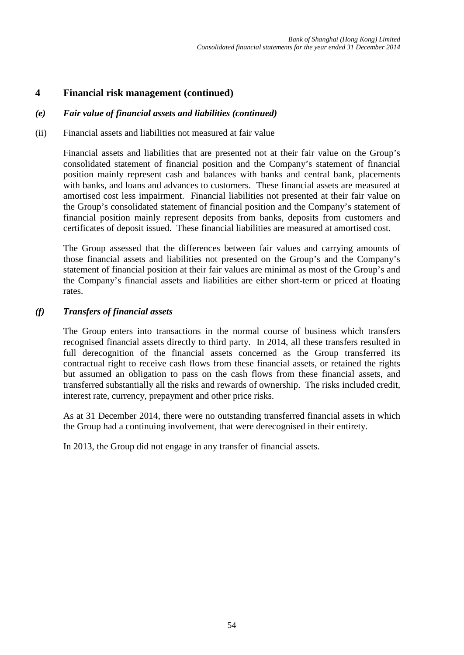#### *(e) Fair value of financial assets and liabilities (continued)*

#### (ii) Financial assets and liabilities not measured at fair value

Financial assets and liabilities that are presented not at their fair value on the Group's consolidated statement of financial position and the Company's statement of financial position mainly represent cash and balances with banks and central bank, placements with banks, and loans and advances to customers. These financial assets are measured at amortised cost less impairment. Financial liabilities not presented at their fair value on the Group's consolidated statement of financial position and the Company's statement of financial position mainly represent deposits from banks, deposits from customers and certificates of deposit issued. These financial liabilities are measured at amortised cost.

The Group assessed that the differences between fair values and carrying amounts of those financial assets and liabilities not presented on the Group's and the Company's statement of financial position at their fair values are minimal as most of the Group's and the Company's financial assets and liabilities are either short-term or priced at floating rates.

#### *(f) Transfers of financial assets*

The Group enters into transactions in the normal course of business which transfers recognised financial assets directly to third party. In 2014, all these transfers resulted in full derecognition of the financial assets concerned as the Group transferred its contractual right to receive cash flows from these financial assets, or retained the rights but assumed an obligation to pass on the cash flows from these financial assets, and transferred substantially all the risks and rewards of ownership. The risks included credit, interest rate, currency, prepayment and other price risks.

As at 31 December 2014, there were no outstanding transferred financial assets in which the Group had a continuing involvement, that were derecognised in their entirety.

In 2013, the Group did not engage in any transfer of financial assets.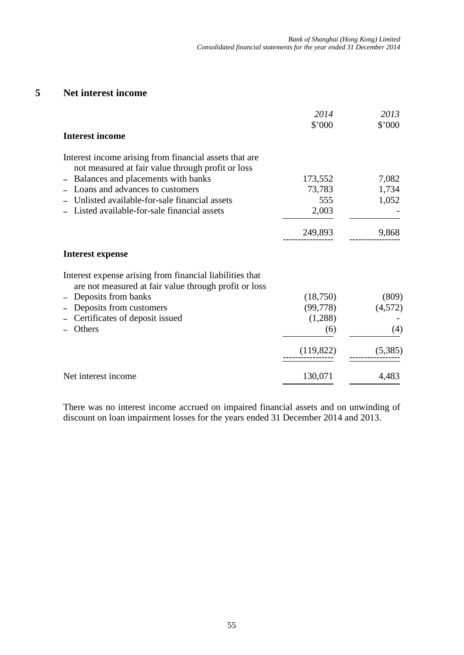### **5 Net interest income**

|                                                          | 2014       | 2013    |
|----------------------------------------------------------|------------|---------|
| <b>Interest income</b>                                   | \$'000     | \$'000  |
| Interest income arising from financial assets that are   |            |         |
| not measured at fair value through profit or loss        |            |         |
| Balances and placements with banks                       | 173,552    | 7,082   |
| Loans and advances to customers                          | 73,783     | 1,734   |
| Unlisted available-for-sale financial assets             | 555        | 1,052   |
| Listed available-for-sale financial assets               | 2,003      |         |
|                                                          | 249,893    | 9,868   |
| <b>Interest expense</b>                                  |            |         |
| Interest expense arising from financial liabilities that |            |         |
| are not measured at fair value through profit or loss    |            |         |
| Deposits from banks                                      | (18,750)   | (809)   |
| Deposits from customers                                  | (99, 778)  | (4,572) |
| Certificates of deposit issued                           | (1,288)    |         |
| Others                                                   | (6)        | (4)     |
|                                                          | (119, 822) | (5,385) |
| Net interest income                                      | 130,071    | 4,483   |

There was no interest income accrued on impaired financial assets and on unwinding of discount on loan impairment losses for the years ended 31 December 2014 and 2013.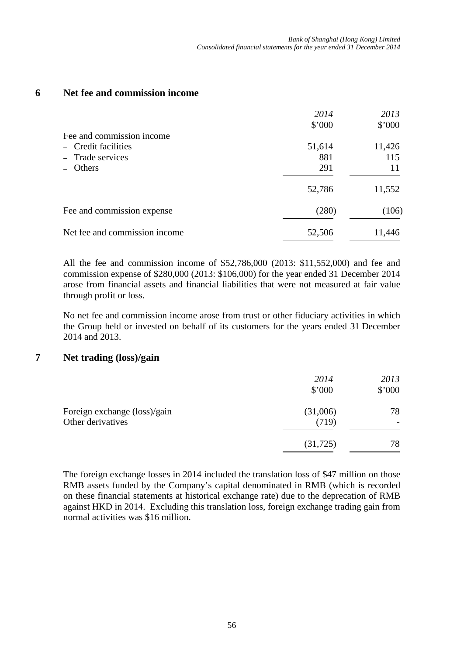### **6 Net fee and commission income**

|                               | 2014<br>\$'000 | 2013<br>\$'000 |
|-------------------------------|----------------|----------------|
| Fee and commission income     |                |                |
| - Credit facilities           | 51,614         | 11,426         |
| - Trade services              | 881            | 115            |
| - Others                      | 291            | 11             |
|                               | 52,786         | 11,552         |
| Fee and commission expense    | (280)          | (106)          |
| Net fee and commission income | 52,506         | 11,446         |

All the fee and commission income of \$52,786,000 (2013: \$11,552,000) and fee and commission expense of \$280,000 (2013: \$106,000) for the year ended 31 December 2014 arose from financial assets and financial liabilities that were not measured at fair value through profit or loss.

No net fee and commission income arose from trust or other fiduciary activities in which the Group held or invested on behalf of its customers for the years ended 31 December 2014 and 2013.

### **7 Net trading (loss)/gain**

|                                                   | 2014<br>\$'000    | 2013<br>\$'000 |
|---------------------------------------------------|-------------------|----------------|
| Foreign exchange (loss)/gain<br>Other derivatives | (31,006)<br>(719) | 78             |
|                                                   | (31, 725)         | 78             |

The foreign exchange losses in 2014 included the translation loss of \$47 million on those RMB assets funded by the Company's capital denominated in RMB (which is recorded on these financial statements at historical exchange rate) due to the deprecation of RMB against HKD in 2014. Excluding this translation loss, foreign exchange trading gain from normal activities was \$16 million.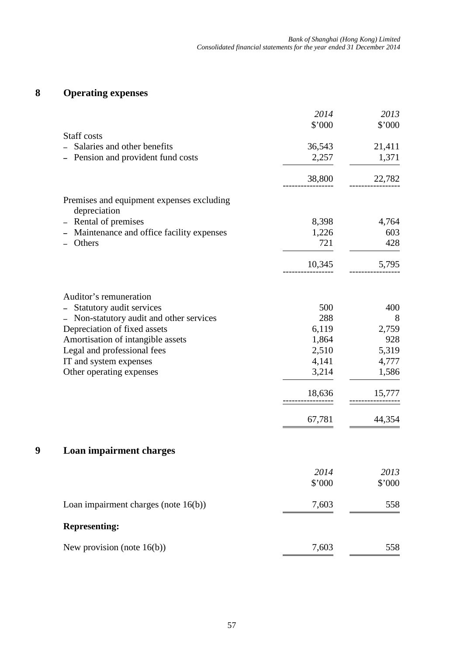# **8 Operating expenses**

|   |                                                           | 2014   | 2013   |
|---|-----------------------------------------------------------|--------|--------|
|   | Staff costs                                               | \$'000 | \$'000 |
|   | Salaries and other benefits                               | 36,543 | 21,411 |
|   | Pension and provident fund costs                          | 2,257  | 1,371  |
|   |                                                           | 38,800 | 22,782 |
|   | Premises and equipment expenses excluding<br>depreciation |        |        |
|   | Rental of premises                                        | 8,398  | 4,764  |
|   | Maintenance and office facility expenses                  | 1,226  | 603    |
|   | Others                                                    | 721    | 428    |
|   |                                                           | 10,345 | 5,795  |
|   | Auditor's remuneration                                    |        |        |
|   | Statutory audit services                                  | 500    | 400    |
|   | - Non-statutory audit and other services                  | 288    | 8      |
|   | Depreciation of fixed assets                              | 6,119  | 2,759  |
|   | Amortisation of intangible assets                         | 1,864  | 928    |
|   | Legal and professional fees                               | 2,510  | 5,319  |
|   | IT and system expenses                                    | 4,141  | 4,777  |
|   | Other operating expenses                                  | 3,214  | 1,586  |
|   |                                                           | 18,636 | 15,777 |
|   |                                                           | 67,781 | 44,354 |
| 9 | Loan impairment charges                                   |        |        |
|   |                                                           |        |        |
|   |                                                           | 2014   | 2013   |
|   |                                                           | \$'000 | \$'000 |
|   | Loan impairment charges (note $16(b)$ )                   | 7,603  | 558    |
|   | <b>Representing:</b>                                      |        |        |
|   | New provision (note $16(b)$ )                             | 7,603  | 558    |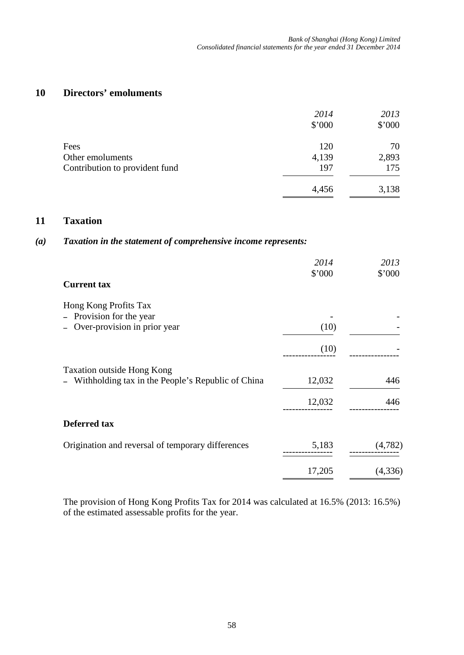## **10 Directors' emoluments**

|                                | 2014<br>\$'000 | 2013<br>\$'000 |
|--------------------------------|----------------|----------------|
| Fees                           | 120            | 70             |
| Other emoluments               | 4,139          | 2,893          |
| Contribution to provident fund | 197            | 175            |
|                                | 4,456          | 3,138          |

## **11 Taxation**

### *(a) Taxation in the statement of comprehensive income represents:*

|                                                                                   | 2014<br>\$'000 | 2013<br>\$'000 |
|-----------------------------------------------------------------------------------|----------------|----------------|
| <b>Current tax</b>                                                                |                |                |
| Hong Kong Profits Tax<br>- Provision for the year<br>Over-provision in prior year | (10)           |                |
|                                                                                   | (10)           |                |
| Taxation outside Hong Kong<br>- Withholding tax in the People's Republic of China | 12,032         | 446            |
|                                                                                   | 12,032         | 446            |
| Deferred tax                                                                      |                |                |
| Origination and reversal of temporary differences                                 | 5,183          | (4,782)        |
|                                                                                   | 17,205         | (4, 336)       |

The provision of Hong Kong Profits Tax for 2014 was calculated at 16.5% (2013: 16.5%) of the estimated assessable profits for the year.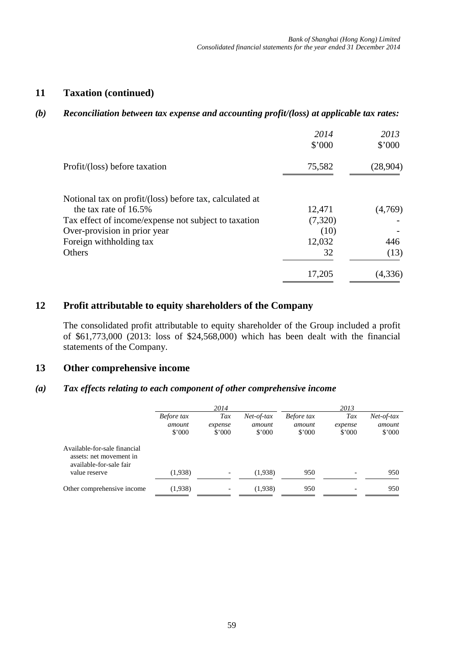### **11 Taxation (continued)**

## *(b) Reconciliation between tax expense and accounting profit/(loss) at applicable tax rates:*

|                                                         | 2014<br>\$'000 | 2013<br>$$^{\circ}000$ |
|---------------------------------------------------------|----------------|------------------------|
| Profit/(loss) before taxation                           | 75,582         | (28,904)               |
| Notional tax on profit/(loss) before tax, calculated at |                |                        |
| the tax rate of $16.5\%$                                | 12,471         | (4,769)                |
| Tax effect of income/expense not subject to taxation    | (7,320)        |                        |
| Over-provision in prior year                            | (10)           |                        |
| Foreign withholding tax                                 | 12,032         | 446                    |
| Others                                                  | 32             | (13)                   |
|                                                         | 17,205         | (4,336)                |

### **12 Profit attributable to equity shareholders of the Company**

The consolidated profit attributable to equity shareholder of the Group included a profit of \$61,773,000 (2013: loss of \$24,568,000) which has been dealt with the financial statements of the Company.

## **13 Other comprehensive income**

#### *(a) Tax effects relating to each component of other comprehensive income*

|                                                                                    | 2014                           |                                  |                                           |                                | 2013                             |                                  |
|------------------------------------------------------------------------------------|--------------------------------|----------------------------------|-------------------------------------------|--------------------------------|----------------------------------|----------------------------------|
|                                                                                    | Before tax<br>amount<br>\$'000 | Tax<br>expense<br>$$^{\circ}000$ | $Net-of-tax$<br>amount<br>$$^{\prime}000$ | Before tax<br>amount<br>\$'000 | Tax<br>expense<br>$$^{\circ}000$ | $Net-of-tax$<br>amount<br>\$'000 |
| Available-for-sale financial<br>assets: net movement in<br>available-for-sale fair |                                |                                  |                                           |                                |                                  |                                  |
| value reserve                                                                      | (1,938)                        | $\overline{\phantom{a}}$         | (1,938)                                   | 950                            |                                  | 950                              |
| Other comprehensive income                                                         | (1,938)                        |                                  | (1,938)                                   | 950                            |                                  | 950                              |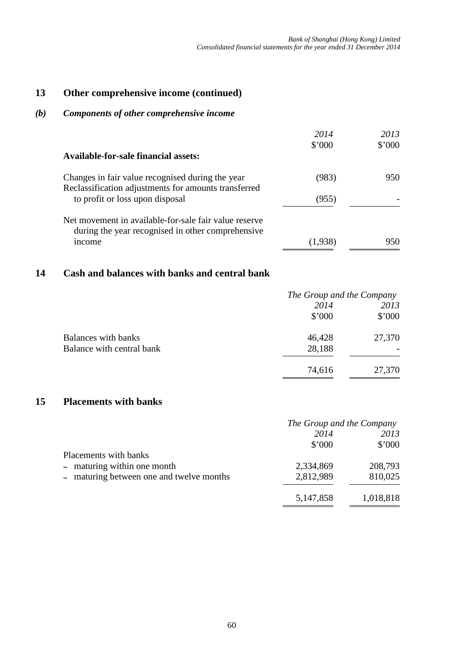# **13 Other comprehensive income (continued)**

## *(b) Components of other comprehensive income*

|                                                                                                            | 2014   | 2013   |
|------------------------------------------------------------------------------------------------------------|--------|--------|
|                                                                                                            | \$'000 | \$'000 |
| <b>Available-for-sale financial assets:</b>                                                                |        |        |
| Changes in fair value recognised during the year<br>Reclassification adjustments for amounts transferred   | (983)  | 950    |
| to profit or loss upon disposal                                                                            | (955)  |        |
| Net movement in available-for-sale fair value reserve<br>during the year recognised in other comprehensive |        |        |
| income                                                                                                     | (1.938 |        |

## **14 Cash and balances with banks and central bank**

|                           | The Group and the Company |                |
|---------------------------|---------------------------|----------------|
|                           | 2014                      | 2013           |
|                           | \$'000                    | $$^{\circ}000$ |
| Balances with banks       | 46,428                    | 27,370         |
| Balance with central bank | 28,188                    |                |
|                           | 74,616                    | 27,370         |

## **15 Placements with banks**

|                                          | The Group and the Company |                |
|------------------------------------------|---------------------------|----------------|
|                                          | 2014                      | 2013           |
|                                          | \$'000                    | $$^{\circ}000$ |
| Placements with banks                    |                           |                |
| - maturing within one month              | 208,793<br>2,334,869      |                |
| - maturing between one and twelve months | 2,812,989                 | 810,025        |
|                                          | 5,147,858                 | 1,018,818      |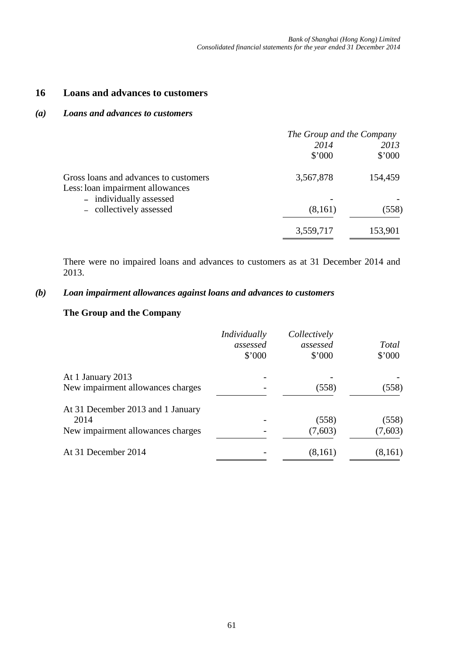## **16 Loans and advances to customers**

#### *(a) Loans and advances to customers*

|                                       | The Group and the Company |         |  |
|---------------------------------------|---------------------------|---------|--|
|                                       | 2014                      | 2013    |  |
|                                       | \$'000                    | \$'000  |  |
| Gross loans and advances to customers | 3,567,878                 | 154,459 |  |
| Less: loan impairment allowances      |                           |         |  |
| - individually assessed               |                           |         |  |
| - collectively assessed               | (8,161)                   | (558)   |  |
|                                       | 3,559,717                 | 153,901 |  |

There were no impaired loans and advances to customers as at 31 December 2014 and 2013.

#### *(b) Loan impairment allowances against loans and advances to customers*

|                                   | Individually<br>assessed<br>\$'000 | Collectively<br>assessed<br>\$'000 | Total<br>\$'000 |
|-----------------------------------|------------------------------------|------------------------------------|-----------------|
| At 1 January 2013                 |                                    |                                    |                 |
| New impairment allowances charges |                                    | (558)                              | (558)           |
| At 31 December 2013 and 1 January |                                    |                                    |                 |
| 2014                              |                                    | (558)                              | (558)           |
| New impairment allowances charges |                                    | (7,603)                            | (7,603)         |
| At 31 December 2014               |                                    | (8,161)                            | (8,161)         |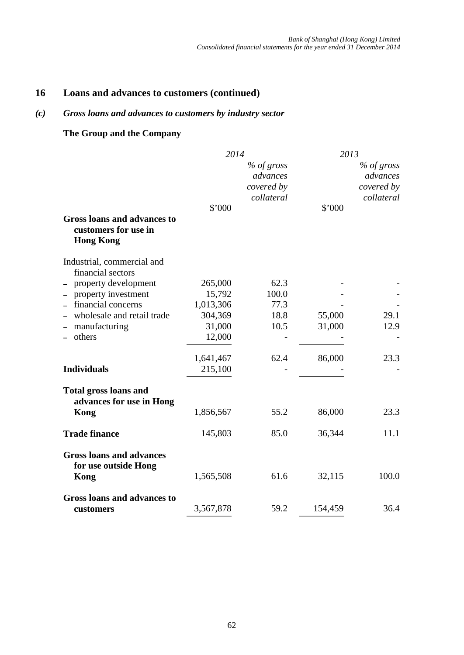# **16 Loans and advances to customers (continued)**

## *(c) Gross loans and advances to customers by industry sector*

|                                                                         | 2014      |                                                    | 2013    |                                                    |
|-------------------------------------------------------------------------|-----------|----------------------------------------------------|---------|----------------------------------------------------|
|                                                                         |           | % of gross<br>advances<br>covered by<br>collateral |         | % of gross<br>advances<br>covered by<br>collateral |
| Gross loans and advances to<br>customers for use in<br><b>Hong Kong</b> | \$'000    |                                                    | \$'000  |                                                    |
| Industrial, commercial and<br>financial sectors                         |           |                                                    |         |                                                    |
| property development                                                    | 265,000   | 62.3                                               |         |                                                    |
| - property investment                                                   | 15,792    | 100.0                                              |         |                                                    |
| - financial concerns                                                    | 1,013,306 | 77.3                                               |         |                                                    |
| wholesale and retail trade                                              | 304,369   | 18.8                                               | 55,000  | 29.1                                               |
| manufacturing                                                           | 31,000    | 10.5                                               | 31,000  | 12.9                                               |
| others                                                                  | 12,000    |                                                    |         |                                                    |
|                                                                         | 1,641,467 | 62.4                                               | 86,000  | 23.3                                               |
| <b>Individuals</b>                                                      | 215,100   |                                                    |         |                                                    |
| <b>Total gross loans and</b><br>advances for use in Hong<br>Kong        | 1,856,567 | 55.2                                               | 86,000  | 23.3                                               |
|                                                                         |           |                                                    |         |                                                    |
| <b>Trade finance</b>                                                    | 145,803   | 85.0                                               | 36,344  | 11.1                                               |
| <b>Gross loans and advances</b><br>for use outside Hong                 |           |                                                    |         |                                                    |
| Kong                                                                    | 1,565,508 | 61.6                                               | 32,115  | 100.0                                              |
| <b>Gross loans and advances to</b>                                      |           |                                                    |         |                                                    |
| customers                                                               | 3,567,878 | 59.2                                               | 154,459 | 36.4                                               |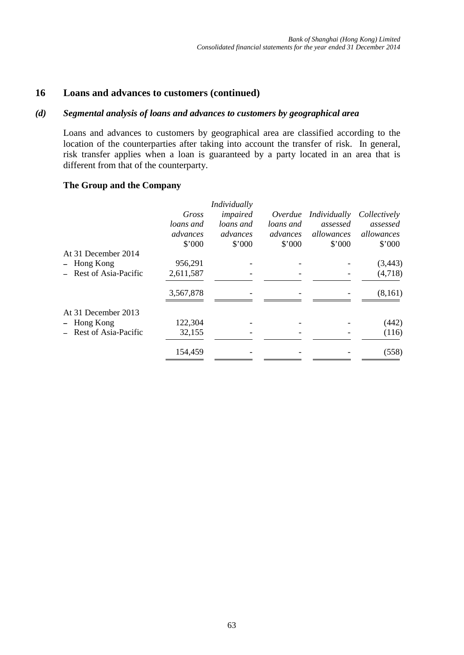### **16 Loans and advances to customers (continued)**

#### *(d) Segmental analysis of loans and advances to customers by geographical area*

Loans and advances to customers by geographical area are classified according to the location of the counterparties after taking into account the transfer of risk. In general, risk transfer applies when a loan is guaranteed by a party located in an area that is different from that of the counterparty.

|           | Individually |           |              |              |
|-----------|--------------|-----------|--------------|--------------|
| Gross     | impaired     | Overdue   | Individually | Collectively |
| loans and | loans and    | loans and | assessed     | assessed     |
| advances  | advances     | advances  | allowances   | allowances   |
| \$'000    | \$'000       | \$'000    | \$'000       | \$'000       |
|           |              |           |              |              |
| 956,291   |              |           |              | (3, 443)     |
| 2,611,587 |              |           |              | (4,718)      |
| 3,567,878 |              |           |              | (8,161)      |
|           |              |           |              |              |
| 122,304   |              |           |              | (442)        |
| 32,155    |              |           |              | (116)        |
| 154,459   |              |           |              | (558)        |
|           |              |           |              |              |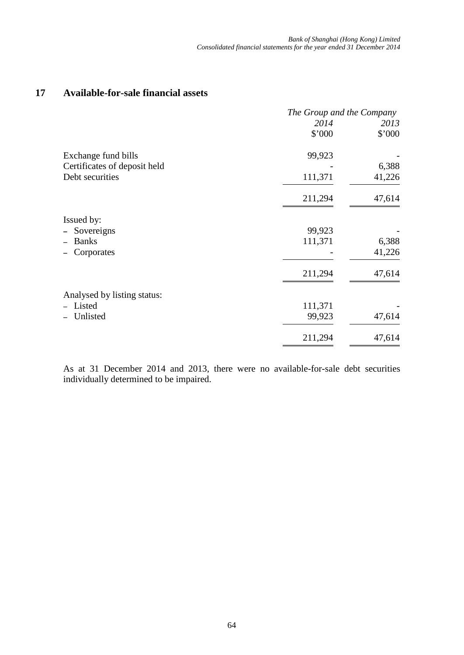# **17 Available-for-sale financial assets**

|                              | The Group and the Company |        |  |
|------------------------------|---------------------------|--------|--|
|                              | 2014                      | 2013   |  |
|                              | \$'000                    | \$'000 |  |
| Exchange fund bills          | 99,923                    |        |  |
| Certificates of deposit held |                           | 6,388  |  |
| Debt securities              | 111,371                   | 41,226 |  |
|                              | 211,294                   | 47,614 |  |
| Issued by:                   |                           |        |  |
| Sovereigns                   | 99,923                    |        |  |
| <b>Banks</b>                 | 111,371                   | 6,388  |  |
| Corporates                   |                           | 41,226 |  |
|                              | 211,294                   | 47,614 |  |
| Analysed by listing status:  |                           |        |  |
| Listed                       | 111,371                   |        |  |
| Unlisted                     | 99,923                    | 47,614 |  |
|                              | 211,294                   | 47,614 |  |

As at 31 December 2014 and 2013, there were no available-for-sale debt securities individually determined to be impaired.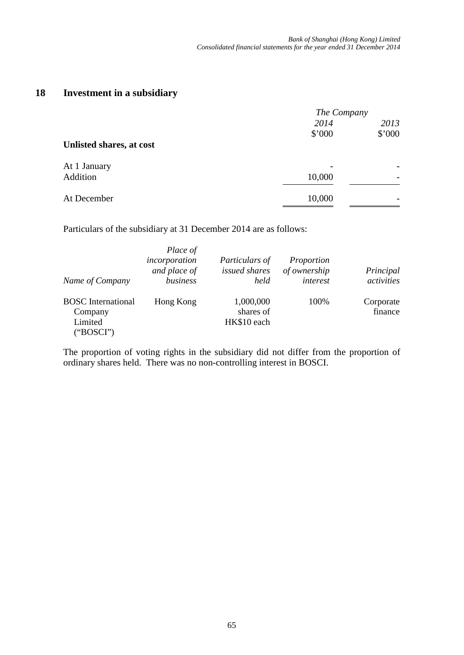## **18 Investment in a subsidiary**

|                          | The Company              |        |
|--------------------------|--------------------------|--------|
|                          | 2014                     | 2013   |
|                          | \$'000                   | \$'000 |
| Unlisted shares, at cost |                          |        |
| At 1 January             | $\overline{\phantom{0}}$ |        |
| Addition                 | 10,000                   |        |
| At December              | 10,000                   |        |

Particulars of the subsidiary at 31 December 2014 are as follows:

| Name of Company                                              | Place of<br>incorporation<br>and place of<br>business | Particulars of<br>issued shares<br>held | Proportion<br>of ownership<br>interest | Principal<br>activities |
|--------------------------------------------------------------|-------------------------------------------------------|-----------------------------------------|----------------------------------------|-------------------------|
| <b>BOSC</b> International<br>Company<br>Limited<br>("BOSCI") | Hong Kong                                             | 1,000,000<br>shares of<br>HK\$10 each   | 100%                                   | Corporate<br>finance    |

The proportion of voting rights in the subsidiary did not differ from the proportion of ordinary shares held. There was no non-controlling interest in BOSCI.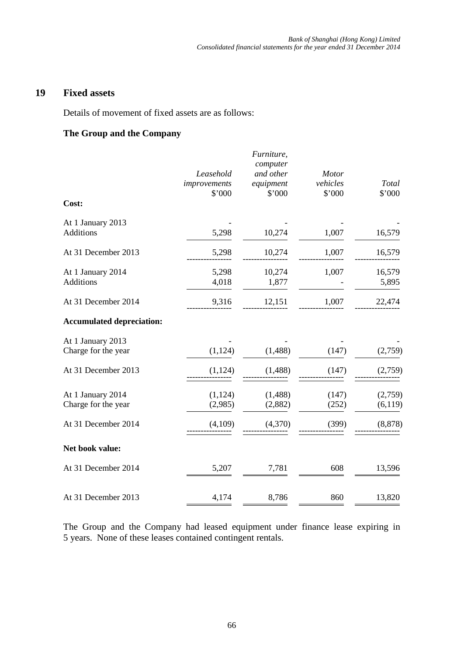## **19 Fixed assets**

Details of movement of fixed assets are as follows:

## **The Group and the Company**

|                                  | Leasehold<br>improvements<br>\$'000 | Furniture,<br>computer<br>and other<br>equipment<br>\$'000 | Motor<br>vehicles<br>\$'000 | Total<br>\$'000 |
|----------------------------------|-------------------------------------|------------------------------------------------------------|-----------------------------|-----------------|
| Cost:                            |                                     |                                                            |                             |                 |
| At 1 January 2013                |                                     |                                                            |                             |                 |
| Additions                        | 5,298                               | 10,274                                                     | 1,007                       | 16,579          |
| At 31 December 2013              | 5,298                               | 10,274                                                     | 1,007                       | 16,579          |
| At 1 January 2014                | 5,298                               | 10,274                                                     | 1,007                       | 16,579          |
| Additions                        | 4,018                               | 1,877                                                      |                             | 5,895           |
| At 31 December 2014              | 9,316                               | 12,151                                                     | 1,007                       | 22,474          |
| <b>Accumulated depreciation:</b> |                                     |                                                            |                             |                 |
| At 1 January 2013                |                                     |                                                            |                             |                 |
| Charge for the year              | (1,124)                             | (1, 488)                                                   | (147)                       | (2,759)         |
| At 31 December 2013              | (1,124)                             | (1,488)                                                    | (147)                       | (2,759)         |
| At 1 January 2014                | (1,124)                             | (1,488)                                                    | (147)                       | (2,759)         |
| Charge for the year              | (2,985)                             | (2,882)                                                    | (252)                       | (6, 119)        |
| At 31 December 2014              | (4,109)                             | (4,370)                                                    | (399)                       | (8, 878)        |
| Net book value:                  |                                     |                                                            |                             |                 |
| At 31 December 2014              | 5,207                               | 7,781                                                      | 608                         | 13,596          |
| At 31 December 2013              | 4,174                               | 8,786                                                      | 860                         | 13,820          |

The Group and the Company had leased equipment under finance lease expiring in 5 years. None of these leases contained contingent rentals.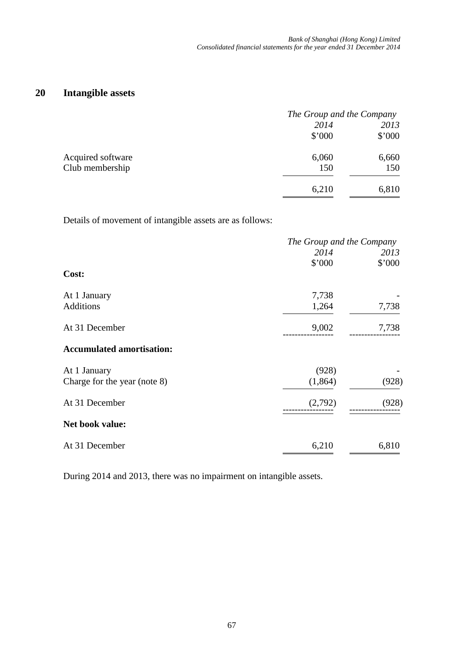# **20 Intangible assets**

|                   | The Group and the Company |        |  |
|-------------------|---------------------------|--------|--|
|                   | 2014                      | 2013   |  |
|                   | \$'000                    | \$'000 |  |
| Acquired software | 6,060                     | 6,660  |  |
| Club membership   | 150                       | 150    |  |
|                   | 6,210                     | 6,810  |  |

Details of movement of intangible assets are as follows:

|                                  | The Group and the Company |        |  |
|----------------------------------|---------------------------|--------|--|
|                                  | 2014                      | 2013   |  |
|                                  | \$'000                    | \$'000 |  |
| Cost:                            |                           |        |  |
| At 1 January                     | 7,738                     |        |  |
| Additions                        | 1,264                     | 7,738  |  |
| At 31 December                   | 9,002                     | 7,738  |  |
| <b>Accumulated amortisation:</b> |                           |        |  |
| At 1 January                     | (928)                     |        |  |
| Charge for the year (note 8)     | (1,864)                   | (928)  |  |
| At 31 December                   | (2,792)                   | (928)  |  |
| Net book value:                  |                           |        |  |
| At 31 December                   | 6,210                     | 6,810  |  |

During 2014 and 2013, there was no impairment on intangible assets.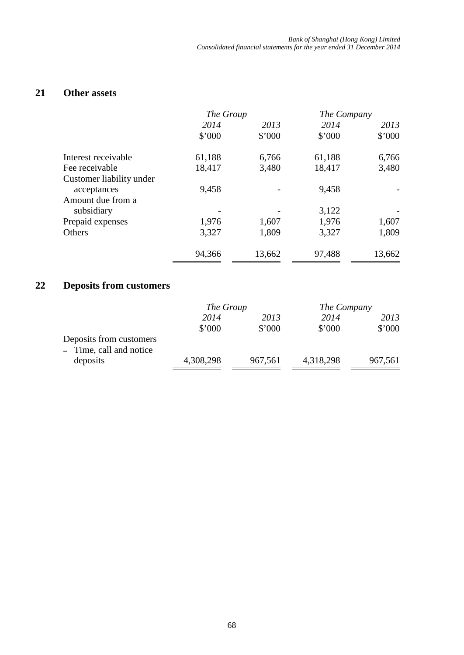## **21 Other assets**

|                          | The Group |        | The Company |        |
|--------------------------|-----------|--------|-------------|--------|
|                          | 2014      | 2013   | 2014        | 2013   |
|                          | \$'000    | \$'000 | \$'000      | \$'000 |
| Interest receivable      | 61,188    | 6,766  | 61,188      | 6,766  |
| Fee receivable           | 18,417    | 3,480  | 18,417      | 3,480  |
| Customer liability under |           |        |             |        |
| acceptances              | 9,458     |        | 9,458       |        |
| Amount due from a        |           |        |             |        |
| subsidiary               |           |        | 3,122       |        |
| Prepaid expenses         | 1,976     | 1,607  | 1,976       | 1,607  |
| Others                   | 3,327     | 1,809  | 3,327       | 1,809  |
|                          | 94,366    | 13,662 | 97,488      | 13,662 |

# **22 Deposits from customers**

|                                                    | The Group    |         | The Company |         |
|----------------------------------------------------|--------------|---------|-------------|---------|
|                                                    | 2013<br>2014 |         | 2014        | 2013    |
|                                                    | \$'000       | \$'000  | \$'000      | \$'000  |
| Deposits from customers<br>- Time, call and notice |              |         |             |         |
| deposits                                           | 4,308,298    | 967,561 | 4,318,298   | 967,561 |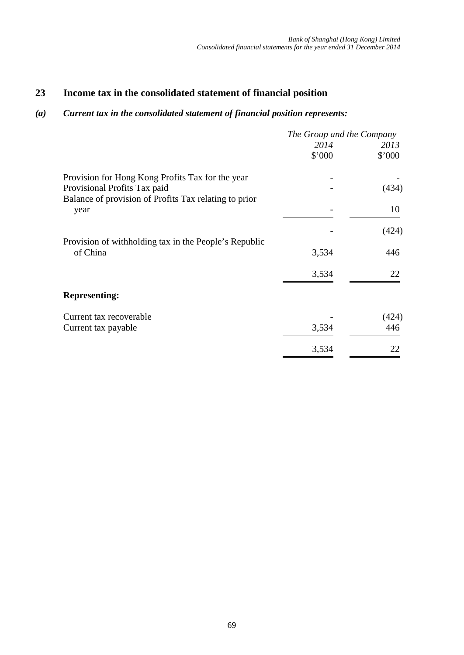# **23 Income tax in the consolidated statement of financial position**

## *(a) Current tax in the consolidated statement of financial position represents:*

| The Group and the Company |        |  |
|---------------------------|--------|--|
| 2014                      | 2013   |  |
| \$'000                    | \$'000 |  |
|                           |        |  |
|                           | (434)  |  |
|                           |        |  |
|                           | 10     |  |
|                           | (424)  |  |
|                           |        |  |
| 3,534                     | 446    |  |
| 3,534                     | 22     |  |
|                           |        |  |
|                           | (424)  |  |
| 3,534                     | 446    |  |
|                           | 22     |  |
|                           | 3,534  |  |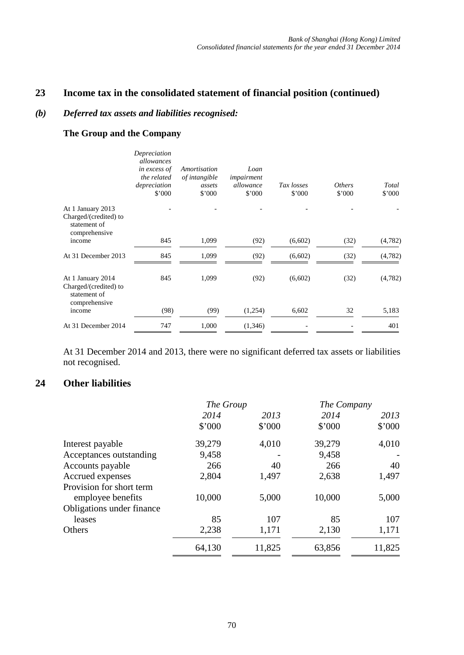## **23 Income tax in the consolidated statement of financial position (continued)**

## *(b) Deferred tax assets and liabilities recognised:*

## **The Group and the Company**

| Depreciation<br>allowances<br>in excess of<br>the related<br>depreciation<br>\$'000 | Amortisation<br>of intangible<br>assets<br>\$'000 | Loan<br>impairment<br>allowance<br>\$'000 | Tax losses<br>\$'000 | <i>Others</i><br>\$'000 | Total<br>\$'000 |
|-------------------------------------------------------------------------------------|---------------------------------------------------|-------------------------------------------|----------------------|-------------------------|-----------------|
|                                                                                     |                                                   |                                           |                      |                         |                 |
|                                                                                     |                                                   |                                           |                      |                         |                 |
| 845                                                                                 | 1,099                                             | (92)                                      | (6,602)              | (32)                    | (4,782)         |
| 845                                                                                 | 1,099                                             | (92)                                      | (6,602)              | (32)                    | (4, 782)        |
| 845                                                                                 | 1,099                                             | (92)                                      | (6,602)              | (32)                    | (4,782)         |
| (98)                                                                                | (99)                                              | (1,254)                                   | 6,602                | 32                      | 5,183           |
| 747                                                                                 | 1,000                                             | (1,346)                                   |                      |                         | 401             |
|                                                                                     |                                                   |                                           |                      |                         |                 |

At 31 December 2014 and 2013, there were no significant deferred tax assets or liabilities not recognised.

## **24 Other liabilities**

|                           | The Group |        | The Company |        |
|---------------------------|-----------|--------|-------------|--------|
|                           | 2014      | 2013   | 2014        | 2013   |
|                           | \$'000    | \$'000 | \$'000      | \$'000 |
| Interest payable          | 39,279    | 4,010  | 39,279      | 4,010  |
| Acceptances outstanding   | 9,458     |        | 9,458       |        |
| Accounts payable          | 266       | 40     | 266         | 40     |
| Accrued expenses          | 2,804     | 1,497  | 2,638       | 1,497  |
| Provision for short term  |           |        |             |        |
| employee benefits         | 10,000    | 5,000  | 10,000      | 5,000  |
| Obligations under finance |           |        |             |        |
| leases                    | 85        | 107    | 85          | 107    |
| Others                    | 2,238     | 1,171  | 2,130       | 1,171  |
|                           | 64,130    | 11,825 | 63,856      | 11,825 |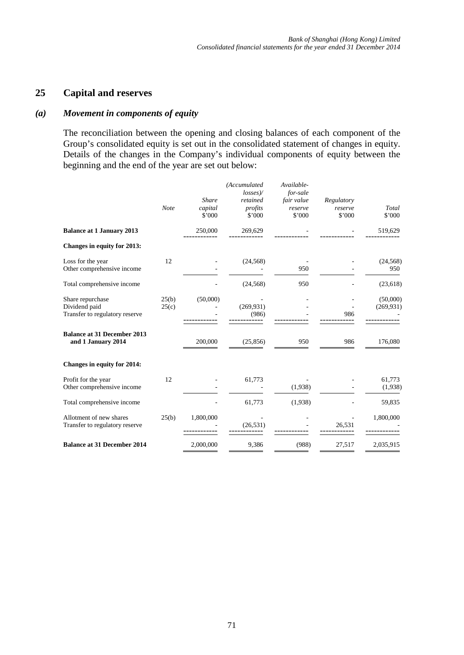### **25 Capital and reserves**

#### *(a) Movement in components of equity*

The reconciliation between the opening and closing balances of each component of the Group's consolidated equity is set out in the consolidated statement of changes in equity. Details of the changes in the Company's individual components of equity between the beginning and the end of the year are set out below:

|                                                                     | Note           | <b>Share</b><br>capital<br>\$'000 | (Accumulated<br>losses<br>retained<br>profits<br>\$'000 | Available-<br>for-sale<br>fair value<br>reserve<br>\$'000 | Regulatory<br>reserve<br>\$'000 | Total<br>\$'000        |
|---------------------------------------------------------------------|----------------|-----------------------------------|---------------------------------------------------------|-----------------------------------------------------------|---------------------------------|------------------------|
| <b>Balance at 1 January 2013</b>                                    |                | 250,000                           | 269,629                                                 |                                                           |                                 | 519,629                |
| Changes in equity for 2013:                                         |                |                                   |                                                         |                                                           |                                 |                        |
| Loss for the year<br>Other comprehensive income                     | 12             |                                   | (24, 568)                                               | 950                                                       |                                 | (24, 568)<br>950       |
| Total comprehensive income                                          |                |                                   | (24, 568)                                               | 950                                                       |                                 | (23, 618)              |
| Share repurchase<br>Dividend paid<br>Transfer to regulatory reserve | 25(b)<br>25(c) | (50,000)                          | (269, 931)<br>(986)                                     |                                                           | 986                             | (50,000)<br>(269, 931) |
| <b>Balance at 31 December 2013</b><br>and 1 January 2014            |                | 200,000                           | (25, 856)                                               | 950                                                       | 986                             | 176,080                |
| <b>Changes in equity for 2014:</b>                                  |                |                                   |                                                         |                                                           |                                 |                        |
| Profit for the year<br>Other comprehensive income                   | 12             |                                   | 61,773                                                  | (1,938)                                                   |                                 | 61,773<br>(1,938)      |
| Total comprehensive income                                          |                |                                   | 61,773                                                  | (1,938)                                                   |                                 | 59,835                 |
| Allotment of new shares<br>Transfer to regulatory reserve           | 25(b)          | 1,800,000                         | (26, 531)                                               |                                                           | 26,531                          | 1,800,000              |
| <b>Balance at 31 December 2014</b>                                  |                | 2,000,000                         | 9,386                                                   | (988)                                                     | 27,517                          | 2,035,915              |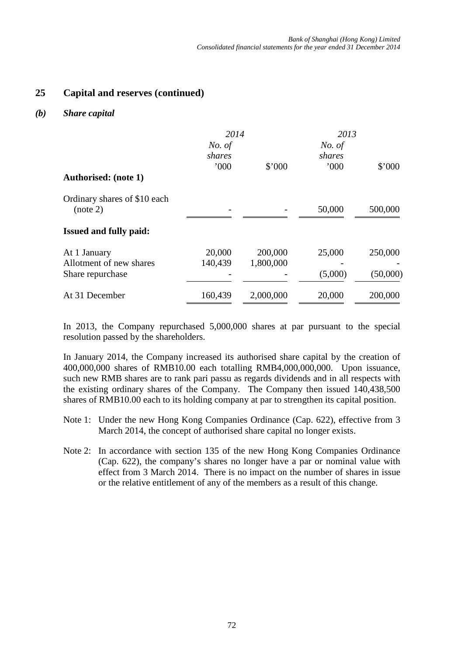# **25 Capital and reserves (continued)**

#### *(b) Share capital*

|                                          | 2014                    |                      | 2013                    |          |
|------------------------------------------|-------------------------|----------------------|-------------------------|----------|
|                                          | No. of<br>shares<br>000 | \$'000               | No. of<br>shares<br>000 | \$'000   |
| <b>Authorised:</b> (note 1)              |                         |                      |                         |          |
| Ordinary shares of \$10 each<br>(note 2) |                         |                      | 50,000                  | 500,000  |
| <b>Issued and fully paid:</b>            |                         |                      |                         |          |
| At 1 January<br>Allotment of new shares  | 20,000<br>140,439       | 200,000<br>1,800,000 | 25,000                  | 250,000  |
| Share repurchase                         |                         |                      | (5,000)                 | (50,000) |
| At 31 December                           | 160,439                 | 2,000,000            | 20,000                  | 200,000  |

In 2013, the Company repurchased 5,000,000 shares at par pursuant to the special resolution passed by the shareholders.

In January 2014, the Company increased its authorised share capital by the creation of 400,000,000 shares of RMB10.00 each totalling RMB4,000,000,000. Upon issuance, such new RMB shares are to rank pari passu as regards dividends and in all respects with the existing ordinary shares of the Company. The Company then issued 140,438,500 shares of RMB10.00 each to its holding company at par to strengthen its capital position.

- Note 1: Under the new Hong Kong Companies Ordinance (Cap. 622), effective from 3 March 2014, the concept of authorised share capital no longer exists.
- Note 2: In accordance with section 135 of the new Hong Kong Companies Ordinance (Cap. 622), the company's shares no longer have a par or nominal value with effect from 3 March 2014. There is no impact on the number of shares in issue or the relative entitlement of any of the members as a result of this change.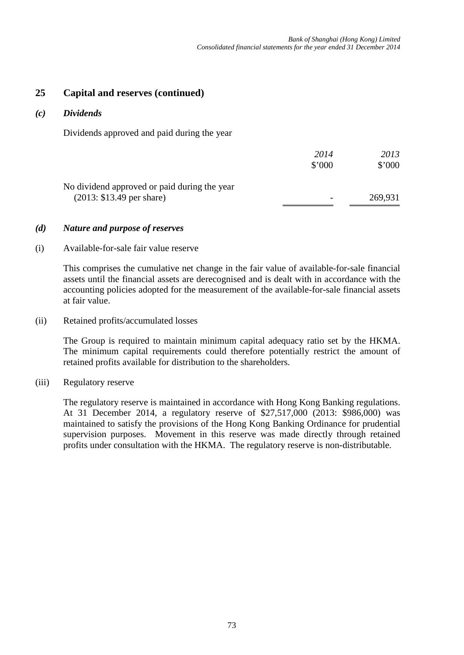### **25 Capital and reserves (continued)**

### *(c) Dividends*

Dividends approved and paid during the year

| 2014                     | 2013           |
|--------------------------|----------------|
| $$^{\circ}000$           | $$^{\circ}000$ |
|                          |                |
| $\overline{\phantom{0}}$ | 269,931        |
|                          |                |

### *(d) Nature and purpose of reserves*

### (i) Available-for-sale fair value reserve

This comprises the cumulative net change in the fair value of available-for-sale financial assets until the financial assets are derecognised and is dealt with in accordance with the accounting policies adopted for the measurement of the available-for-sale financial assets at fair value.

(ii) Retained profits/accumulated losses

The Group is required to maintain minimum capital adequacy ratio set by the HKMA. The minimum capital requirements could therefore potentially restrict the amount of retained profits available for distribution to the shareholders.

(iii) Regulatory reserve

The regulatory reserve is maintained in accordance with Hong Kong Banking regulations. At 31 December 2014, a regulatory reserve of \$27,517,000 (2013: \$986,000) was maintained to satisfy the provisions of the Hong Kong Banking Ordinance for prudential supervision purposes. Movement in this reserve was made directly through retained profits under consultation with the HKMA. The regulatory reserve is non-distributable.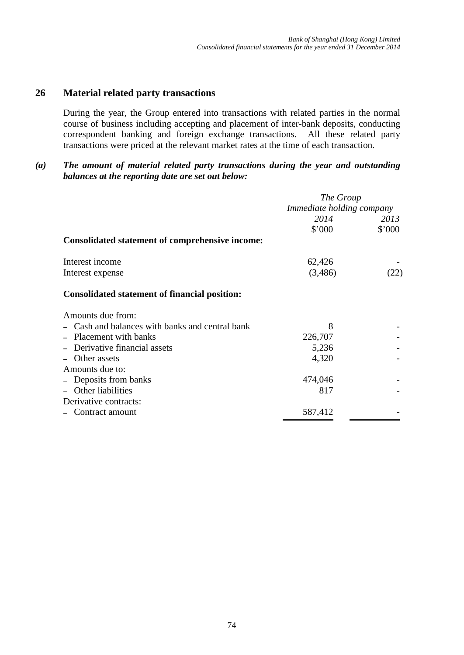# **26 Material related party transactions**

During the year, the Group entered into transactions with related parties in the normal course of business including accepting and placement of inter-bank deposits, conducting correspondent banking and foreign exchange transactions. All these related party transactions were priced at the relevant market rates at the time of each transaction.

### *(a) The amount of material related party transactions during the year and outstanding balances at the reporting date are set out below:*

|                                                      | The Group                 |        |
|------------------------------------------------------|---------------------------|--------|
|                                                      | Immediate holding company |        |
|                                                      | 2014                      | 2013   |
|                                                      | $$^{\circ}000$            | \$'000 |
| Consolidated statement of comprehensive income:      |                           |        |
| Interest income                                      | 62,426                    |        |
| Interest expense                                     | (3,486)                   | (22)   |
| <b>Consolidated statement of financial position:</b> |                           |        |
| Amounts due from:                                    |                           |        |
| Cash and balances with banks and central bank        | 8                         |        |
| Placement with banks                                 | 226,707                   |        |
| Derivative financial assets                          | 5,236                     |        |
| Other assets                                         | 4,320                     |        |
| Amounts due to:                                      |                           |        |
| Deposits from banks                                  | 474,046                   |        |
| Other liabilities                                    | 817                       |        |
| Derivative contracts:                                |                           |        |
| Contract amount                                      | 587,412                   |        |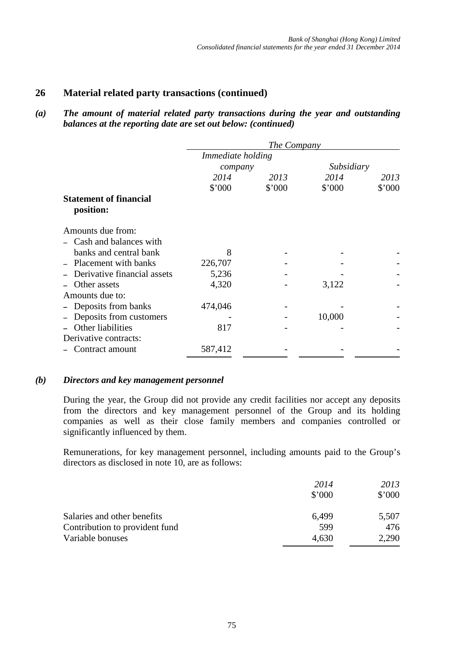### **26 Material related party transactions (continued)**

### *(a) The amount of material related party transactions during the year and outstanding balances at the reporting date are set out below: (continued)*

|                                            | The Company       |        |        |            |  |
|--------------------------------------------|-------------------|--------|--------|------------|--|
|                                            | Immediate holding |        |        |            |  |
|                                            | company           |        |        | Subsidiary |  |
|                                            | 2014              | 2013   | 2014   | 2013       |  |
|                                            | $$^{\circ}000$    | \$'000 | \$'000 | \$'000     |  |
| <b>Statement of financial</b><br>position: |                   |        |        |            |  |
| Amounts due from:                          |                   |        |        |            |  |
| Cash and balances with                     |                   |        |        |            |  |
| banks and central bank                     | 8                 |        |        |            |  |
| Placement with banks                       | 226,707           |        |        |            |  |
| Derivative financial assets                | 5,236             |        |        |            |  |
| Other assets                               | 4,320             |        | 3,122  |            |  |
| Amounts due to:                            |                   |        |        |            |  |
| Deposits from banks                        | 474,046           |        |        |            |  |
| Deposits from customers                    |                   |        | 10,000 |            |  |
| Other liabilities                          | 817               |        |        |            |  |
| Derivative contracts:                      |                   |        |        |            |  |
| Contract amount                            | 587,412           |        |        |            |  |

### *(b) Directors and key management personnel*

During the year, the Group did not provide any credit facilities nor accept any deposits from the directors and key management personnel of the Group and its holding companies as well as their close family members and companies controlled or significantly influenced by them.

Remunerations, for key management personnel, including amounts paid to the Group's directors as disclosed in note 10, are as follows:

|                                | 2014   | 2013   |
|--------------------------------|--------|--------|
|                                | \$'000 | \$'000 |
| Salaries and other benefits    | 6,499  | 5,507  |
| Contribution to provident fund | 599    | 476    |
| Variable bonuses               | 4,630  | 2,290  |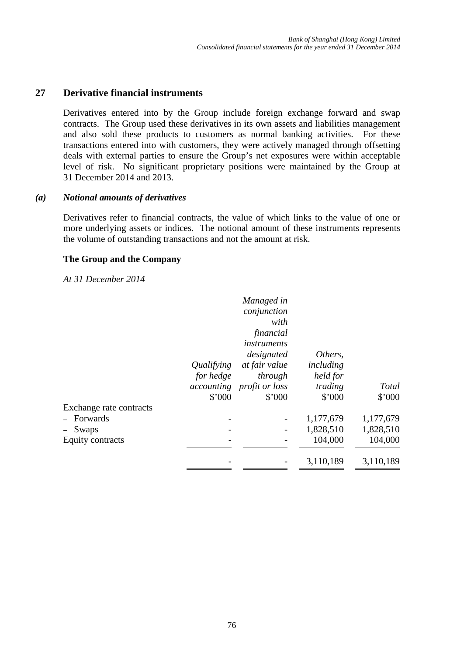### **27 Derivative financial instruments**

Derivatives entered into by the Group include foreign exchange forward and swap contracts. The Group used these derivatives in its own assets and liabilities management and also sold these products to customers as normal banking activities. For these transactions entered into with customers, they were actively managed through offsetting deals with external parties to ensure the Group's net exposures were within acceptable level of risk. No significant proprietary positions were maintained by the Group at 31 December 2014 and 2013.

### *(a) Notional amounts of derivatives*

Derivatives refer to financial contracts, the value of which links to the value of one or more underlying assets or indices. The notional amount of these instruments represents the volume of outstanding transactions and not the amount at risk.

### **The Group and the Company**

*At 31 December 2014*

|                         |                   | Managed in                       |           |           |
|-------------------------|-------------------|----------------------------------|-----------|-----------|
|                         |                   | conjunction                      |           |           |
|                         |                   | with                             |           |           |
|                         |                   | financial                        |           |           |
|                         |                   | instruments                      |           |           |
|                         |                   | designated                       | Others,   |           |
|                         | <i>Qualifying</i> | at fair value                    | including |           |
|                         | for hedge         | through                          | held for  |           |
|                         |                   | <i>accounting profit or loss</i> | trading   | Total     |
|                         | $$^{\circ}000$    | \$'000                           | \$'000    | \$'000    |
| Exchange rate contracts |                   |                                  |           |           |
| - Forwards              |                   |                                  | 1,177,679 | 1,177,679 |
| - Swaps                 |                   |                                  | 1,828,510 | 1,828,510 |
| Equity contracts        |                   |                                  | 104,000   | 104,000   |
|                         |                   |                                  | 3,110,189 | 3,110,189 |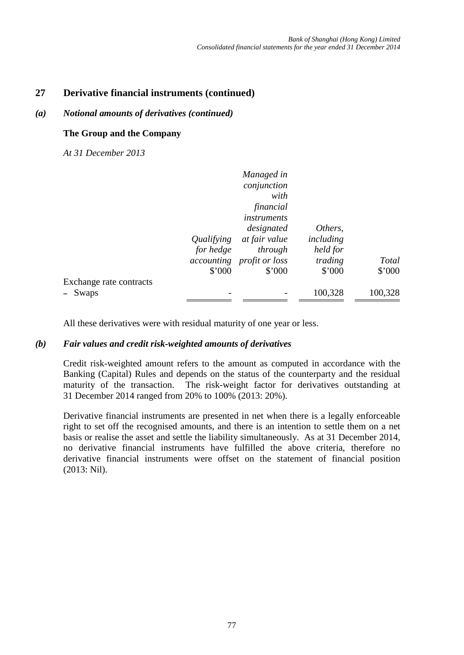### **27 Derivative financial instruments (continued)**

### *(a) Notional amounts of derivatives (continued)*

### **The Group and the Company**

*At 31 December 2013*

|                         |            | Managed in                       |           |         |
|-------------------------|------------|----------------------------------|-----------|---------|
|                         |            | conjunction                      |           |         |
|                         |            | with                             |           |         |
|                         |            | financial                        |           |         |
|                         |            | <i>instruments</i>               |           |         |
|                         |            | designated                       | Others,   |         |
|                         | Qualifying | at fair value                    | including |         |
|                         | for hedge  | through                          | held for  |         |
|                         |            | <i>accounting profit or loss</i> | trading   | Total   |
|                         | \$'000     | \$'000                           | \$'000    | \$'000  |
| Exchange rate contracts |            |                                  |           |         |
| Swaps                   |            |                                  | 100,328   | 100,328 |

All these derivatives were with residual maturity of one year or less.

### *(b) Fair values and credit risk-weighted amounts of derivatives*

Credit risk-weighted amount refers to the amount as computed in accordance with the Banking (Capital) Rules and depends on the status of the counterparty and the residual maturity of the transaction. The risk-weight factor for derivatives outstanding at 31 December 2014 ranged from 20% to 100% (2013: 20%).

Derivative financial instruments are presented in net when there is a legally enforceable right to set off the recognised amounts, and there is an intention to settle them on a net basis or realise the asset and settle the liability simultaneously. As at 31 December 2014, no derivative financial instruments have fulfilled the above criteria, therefore no derivative financial instruments were offset on the statement of financial position (2013: Nil).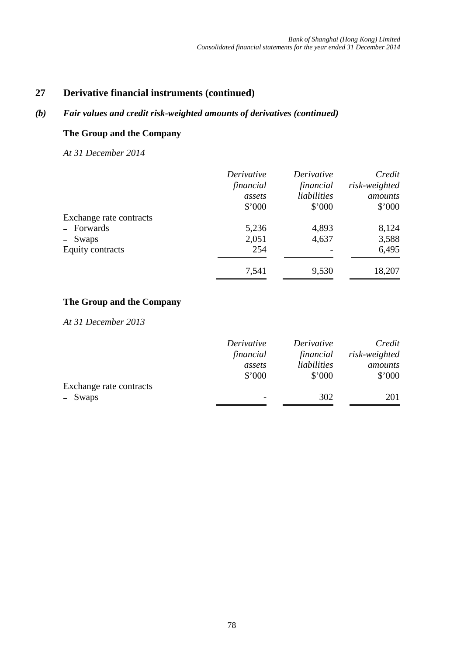# **27 Derivative financial instruments (continued)**

# *(b) Fair values and credit risk-weighted amounts of derivatives (continued)*

# **The Group and the Company**

*At 31 December 2014*

|                         | Derivative | Derivative  | Credit        |
|-------------------------|------------|-------------|---------------|
|                         | financial  | financial   | risk-weighted |
|                         | assets     | liabilities | amounts       |
|                         | \$'000     | \$'000      | \$'000        |
| Exchange rate contracts |            |             |               |
| - Forwards              | 5,236      | 4,893       | 8,124         |
| - Swaps                 | 2,051      | 4,637       | 3,588         |
| Equity contracts        | 254        |             | 6,495         |
|                         | 7,541      | 9,530       | 18,207        |

### **The Group and the Company**

*At 31 December 2013*

|                         | Derivative | Derivative  | Credit        |
|-------------------------|------------|-------------|---------------|
|                         | financial  | financial   | risk-weighted |
|                         | assets     | liabilities | amounts       |
|                         | \$'000     | \$'000      | \$'000        |
| Exchange rate contracts |            |             |               |
| - Swaps                 |            | 302         | 201           |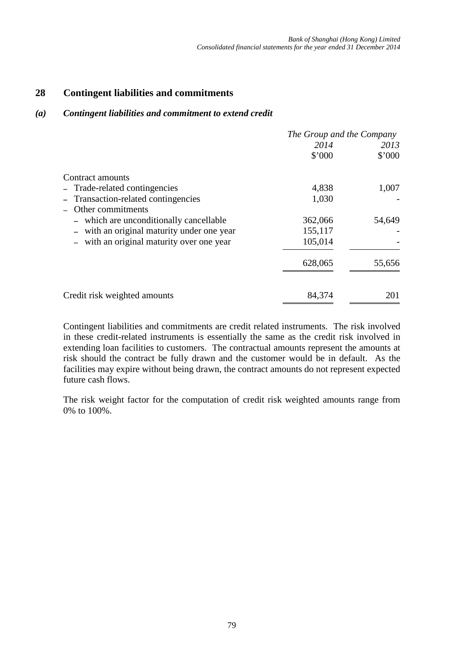### **28 Contingent liabilities and commitments**

### *(a) Contingent liabilities and commitment to extend credit*

|                                          | The Group and the Company |        |
|------------------------------------------|---------------------------|--------|
|                                          | 2014                      | 2013   |
|                                          | \$'000                    | \$'000 |
| Contract amounts                         |                           |        |
| - Trade-related contingencies            | 4,838                     | 1,007  |
| - Transaction-related contingencies      | 1,030                     |        |
| Other commitments                        |                           |        |
| - which are unconditionally cancellable  | 362,066                   | 54,649 |
| with an original maturity under one year | 155,117                   |        |
| with an original maturity over one year  | 105,014                   |        |
|                                          | 628,065                   | 55,656 |
| Credit risk weighted amounts             | 84,374                    | 201    |

Contingent liabilities and commitments are credit related instruments. The risk involved in these credit-related instruments is essentially the same as the credit risk involved in extending loan facilities to customers. The contractual amounts represent the amounts at risk should the contract be fully drawn and the customer would be in default. As the facilities may expire without being drawn, the contract amounts do not represent expected future cash flows.

The risk weight factor for the computation of credit risk weighted amounts range from 0% to 100%.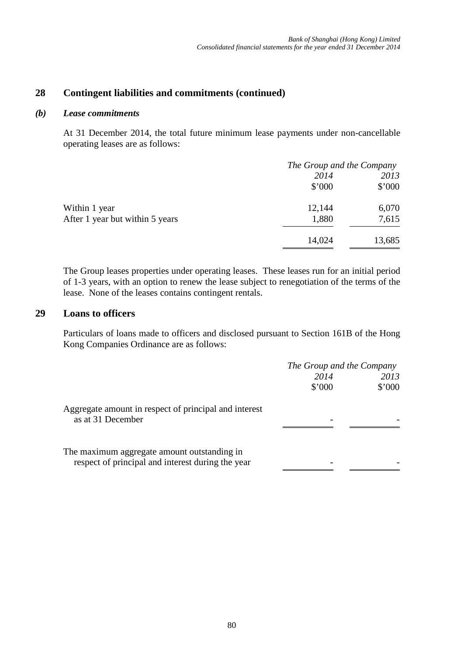### **28 Contingent liabilities and commitments (continued)**

#### *(b) Lease commitments*

At 31 December 2014, the total future minimum lease payments under non-cancellable operating leases are as follows:

|                                 | The Group and the Company |        |  |
|---------------------------------|---------------------------|--------|--|
|                                 | 2014                      | 2013   |  |
|                                 | \$'000                    | \$'000 |  |
| Within 1 year                   | 12,144                    | 6,070  |  |
| After 1 year but within 5 years | 1,880                     | 7,615  |  |
|                                 | 14,024                    | 13,685 |  |

The Group leases properties under operating leases. These leases run for an initial period of 1-3 years, with an option to renew the lease subject to renegotiation of the terms of the lease. None of the leases contains contingent rentals.

### **29 Loans to officers**

Particulars of loans made to officers and disclosed pursuant to Section 161B of the Hong Kong Companies Ordinance are as follows:

|                                                                                                  | The Group and the Company |        |  |
|--------------------------------------------------------------------------------------------------|---------------------------|--------|--|
|                                                                                                  | 2014                      | 2013   |  |
|                                                                                                  | \$'000                    | \$'000 |  |
| Aggregate amount in respect of principal and interest<br>as at 31 December                       |                           |        |  |
| The maximum aggregate amount outstanding in<br>respect of principal and interest during the year |                           |        |  |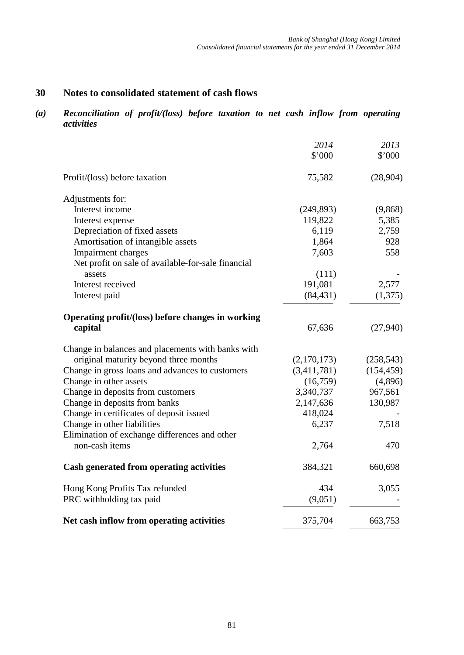# **30 Notes to consolidated statement of cash flows**

*(a) Reconciliation of profit/(loss) before taxation to net cash inflow from operating activities*

|                                                    | 2014<br>\$'000 | 2013<br>\$'000 |
|----------------------------------------------------|----------------|----------------|
| Profit/(loss) before taxation                      | 75,582         | (28,904)       |
| Adjustments for:                                   |                |                |
| Interest income                                    | (249, 893)     | (9,868)        |
| Interest expense                                   | 119,822        | 5,385          |
| Depreciation of fixed assets                       | 6,119          | 2,759          |
| Amortisation of intangible assets                  | 1,864          | 928            |
| Impairment charges                                 | 7,603          | 558            |
| Net profit on sale of available-for-sale financial |                |                |
| assets                                             | (111)          |                |
| Interest received                                  | 191,081        | 2,577          |
| Interest paid                                      | (84, 431)      | (1,375)        |
| Operating profit/(loss) before changes in working  |                |                |
| capital                                            | 67,636         | (27,940)       |
| Change in balances and placements with banks with  |                |                |
| original maturity beyond three months              | (2,170,173)    | (258, 543)     |
| Change in gross loans and advances to customers    | (3,411,781)    | (154, 459)     |
| Change in other assets                             | (16,759)       | (4,896)        |
| Change in deposits from customers                  | 3,340,737      | 967,561        |
| Change in deposits from banks                      | 2,147,636      | 130,987        |
| Change in certificates of deposit issued           | 418,024        |                |
| Change in other liabilities                        | 6,237          | 7,518          |
| Elimination of exchange differences and other      |                |                |
| non-cash items                                     | 2,764          | 470            |
| <b>Cash generated from operating activities</b>    | 384,321        | 660,698        |
| Hong Kong Profits Tax refunded                     | 434            | 3,055          |
| PRC withholding tax paid                           | (9,051)        |                |
| Net cash inflow from operating activities          | 375,704        | 663,753        |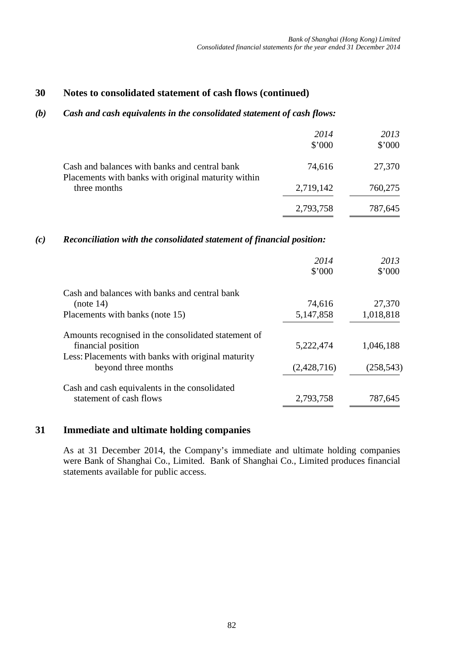### **30 Notes to consolidated statement of cash flows (continued)**

#### *(b) Cash and cash equivalents in the consolidated statement of cash flows:*

|                                                                                                      | 2014<br>\$'000 | 2013<br>\$'000 |
|------------------------------------------------------------------------------------------------------|----------------|----------------|
| Cash and balances with banks and central bank<br>Placements with banks with original maturity within | 74,616         | 27,370         |
| three months                                                                                         | 2,719,142      | 760,275        |
|                                                                                                      | 2,793,758      | 787,645        |

### *(c) Reconciliation with the consolidated statement of financial position:*

|                                                     | 2014        | 2013       |
|-----------------------------------------------------|-------------|------------|
|                                                     | \$'000      | \$'000     |
| Cash and balances with banks and central bank       |             |            |
| (note 14)                                           | 74,616      | 27,370     |
| Placements with banks (note 15)                     | 5,147,858   | 1,018,818  |
| Amounts recognised in the consolidated statement of |             |            |
| financial position                                  | 5,222,474   | 1,046,188  |
| Less: Placements with banks with original maturity  |             |            |
| beyond three months                                 | (2,428,716) | (258, 543) |
| Cash and cash equivalents in the consolidated       |             |            |
| statement of cash flows                             | 2,793,758   | 787,645    |

### **31 Immediate and ultimate holding companies**

As at 31 December 2014, the Company's immediate and ultimate holding companies were Bank of Shanghai Co., Limited. Bank of Shanghai Co., Limited produces financial statements available for public access.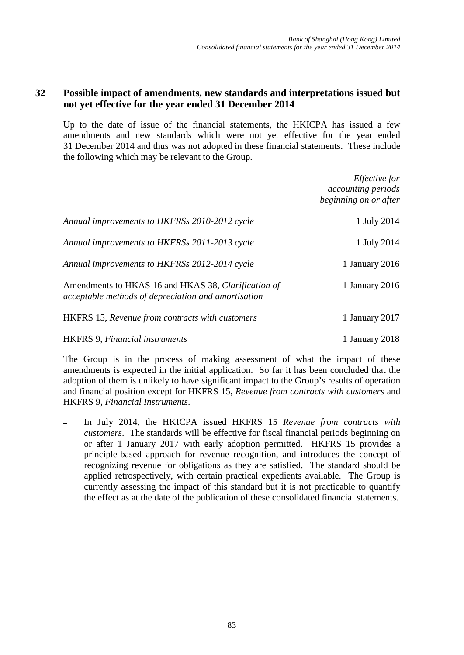# **32 Possible impact of amendments, new standards and interpretations issued but not yet effective for the year ended 31 December 2014**

Up to the date of issue of the financial statements, the HKICPA has issued a few amendments and new standards which were not yet effective for the year ended 31 December 2014 and thus was not adopted in these financial statements. These include the following which may be relevant to the Group.

|                                                                                                            | <i>Effective for</i><br>accounting periods<br>beginning on or after |
|------------------------------------------------------------------------------------------------------------|---------------------------------------------------------------------|
| Annual improvements to HKFRSs 2010-2012 cycle                                                              | 1 July 2014                                                         |
| Annual improvements to HKFRSs 2011-2013 cycle                                                              | 1 July 2014                                                         |
| Annual improvements to HKFRSs 2012-2014 cycle                                                              | 1 January 2016                                                      |
| Amendments to HKAS 16 and HKAS 38, Clarification of<br>acceptable methods of depreciation and amortisation | 1 January 2016                                                      |
| <b>HKFRS</b> 15, Revenue from contracts with customers                                                     | 1 January 2017                                                      |
| <b>HKFRS</b> 9, Financial instruments                                                                      | 1 January 2018                                                      |

The Group is in the process of making assessment of what the impact of these amendments is expected in the initial application. So far it has been concluded that the adoption of them is unlikely to have significant impact to the Group's results of operation and financial position except for HKFRS 15, *Revenue from contracts with customers* and HKFRS 9, *Financial Instruments*.

− In July 2014, the HKICPA issued HKFRS 15 *Revenue from contracts with customers*. The standards will be effective for fiscal financial periods beginning on or after 1 January 2017 with early adoption permitted. HKFRS 15 provides a principle-based approach for revenue recognition, and introduces the concept of recognizing revenue for obligations as they are satisfied. The standard should be applied retrospectively, with certain practical expedients available. The Group is currently assessing the impact of this standard but it is not practicable to quantify the effect as at the date of the publication of these consolidated financial statements.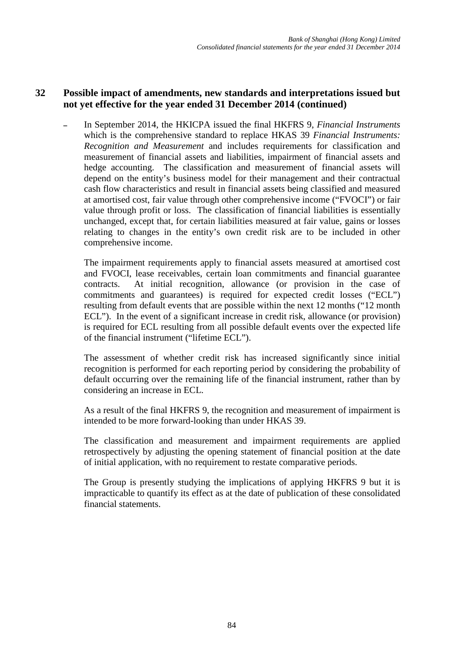### **32 Possible impact of amendments, new standards and interpretations issued but not yet effective for the year ended 31 December 2014 (continued)**

− In September 2014, the HKICPA issued the final HKFRS 9, *Financial Instruments* which is the comprehensive standard to replace HKAS 39 *Financial Instruments: Recognition and Measurement* and includes requirements for classification and measurement of financial assets and liabilities, impairment of financial assets and hedge accounting. The classification and measurement of financial assets will depend on the entity's business model for their management and their contractual cash flow characteristics and result in financial assets being classified and measured at amortised cost, fair value through other comprehensive income ("FVOCI") or fair value through profit or loss. The classification of financial liabilities is essentially unchanged, except that, for certain liabilities measured at fair value, gains or losses relating to changes in the entity's own credit risk are to be included in other comprehensive income.

The impairment requirements apply to financial assets measured at amortised cost and FVOCI, lease receivables, certain loan commitments and financial guarantee contracts. At initial recognition, allowance (or provision in the case of commitments and guarantees) is required for expected credit losses ("ECL") resulting from default events that are possible within the next 12 months ("12 month ECL"). In the event of a significant increase in credit risk, allowance (or provision) is required for ECL resulting from all possible default events over the expected life of the financial instrument ("lifetime ECL").

The assessment of whether credit risk has increased significantly since initial recognition is performed for each reporting period by considering the probability of default occurring over the remaining life of the financial instrument, rather than by considering an increase in ECL.

As a result of the final HKFRS 9, the recognition and measurement of impairment is intended to be more forward-looking than under HKAS 39.

The classification and measurement and impairment requirements are applied retrospectively by adjusting the opening statement of financial position at the date of initial application, with no requirement to restate comparative periods.

The Group is presently studying the implications of applying HKFRS 9 but it is impracticable to quantify its effect as at the date of publication of these consolidated financial statements.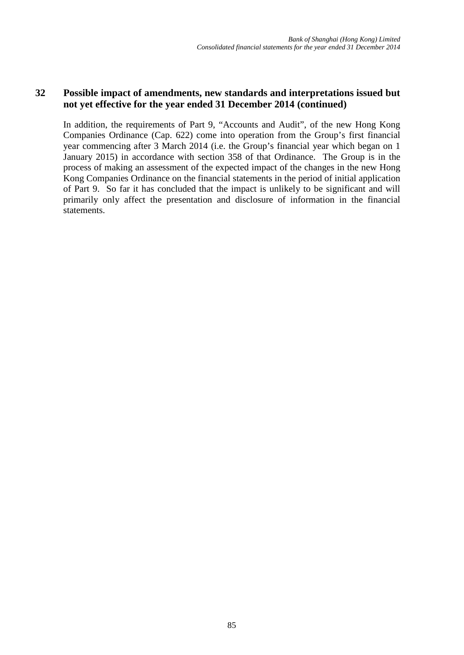### **32 Possible impact of amendments, new standards and interpretations issued but not yet effective for the year ended 31 December 2014 (continued)**

In addition, the requirements of Part 9, "Accounts and Audit", of the new Hong Kong Companies Ordinance (Cap. 622) come into operation from the Group's first financial year commencing after 3 March 2014 (i.e. the Group's financial year which began on 1 January 2015) in accordance with section 358 of that Ordinance. The Group is in the process of making an assessment of the expected impact of the changes in the new Hong Kong Companies Ordinance on the financial statements in the period of initial application of Part 9. So far it has concluded that the impact is unlikely to be significant and will primarily only affect the presentation and disclosure of information in the financial statements.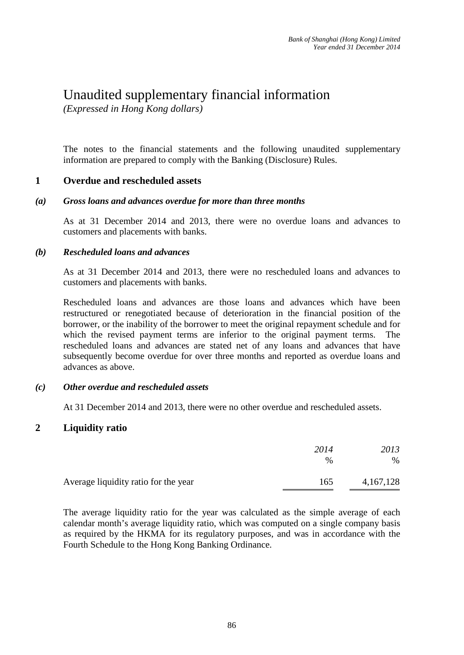# Unaudited supplementary financial information

*(Expressed in Hong Kong dollars)*

The notes to the financial statements and the following unaudited supplementary information are prepared to comply with the Banking (Disclosure) Rules.

### **1 Overdue and rescheduled assets**

### *(a) Gross loans and advances overdue for more than three months*

As at 31 December 2014 and 2013, there were no overdue loans and advances to customers and placements with banks.

### *(b) Rescheduled loans and advances*

As at 31 December 2014 and 2013, there were no rescheduled loans and advances to customers and placements with banks.

Rescheduled loans and advances are those loans and advances which have been restructured or renegotiated because of deterioration in the financial position of the borrower, or the inability of the borrower to meet the original repayment schedule and for which the revised payment terms are inferior to the original payment terms. The rescheduled loans and advances are stated net of any loans and advances that have subsequently become overdue for over three months and reported as overdue loans and advances as above.

### *(c) Other overdue and rescheduled assets*

At 31 December 2014 and 2013, there were no other overdue and rescheduled assets.

### **2 Liquidity ratio**

|                                      | 2014<br>$\frac{0}{0}$ | 2013<br>$\%$ |
|--------------------------------------|-----------------------|--------------|
| Average liquidity ratio for the year | 165                   | 4,167,128    |

The average liquidity ratio for the year was calculated as the simple average of each calendar month's average liquidity ratio, which was computed on a single company basis as required by the HKMA for its regulatory purposes, and was in accordance with the Fourth Schedule to the Hong Kong Banking Ordinance.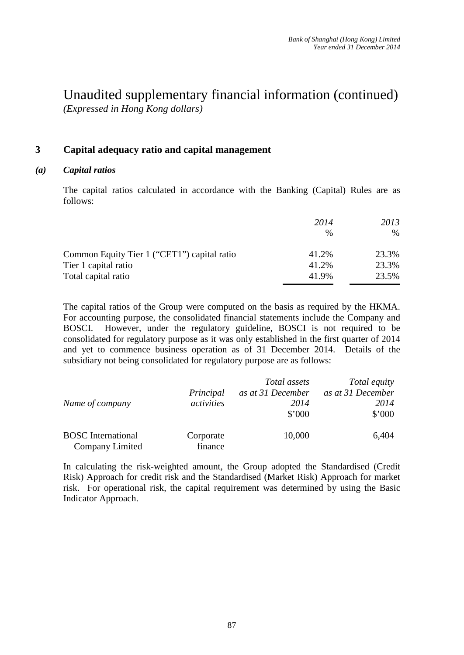# **3 Capital adequacy ratio and capital management**

### *(a) Capital ratios*

The capital ratios calculated in accordance with the Banking (Capital) Rules are as follows:

|                                             | 2014          | 2013  |
|---------------------------------------------|---------------|-------|
|                                             | $\frac{0}{0}$ | %     |
| Common Equity Tier 1 ("CET1") capital ratio | 41.2%         | 23.3% |
| Tier 1 capital ratio                        | 41.2%         | 23.3% |
| Total capital ratio                         | 41.9%         | 23.5% |

The capital ratios of the Group were computed on the basis as required by the HKMA. For accounting purpose, the consolidated financial statements include the Company and BOSCI. However, under the regulatory guideline, BOSCI is not required to be consolidated for regulatory purpose as it was only established in the first quarter of 2014 and yet to commence business operation as of 31 December 2014. Details of the subsidiary not being consolidated for regulatory purpose are as follows:

| Name of company                              | Principal<br>activities | Total assets<br>as at 31 December<br>2014<br>\$'000 | <i>Total equity</i><br>as at 31 December<br>2014<br>\$'000 |
|----------------------------------------------|-------------------------|-----------------------------------------------------|------------------------------------------------------------|
| <b>BOSC</b> International<br>Company Limited | Corporate<br>finance    | 10,000                                              | 6,404                                                      |

In calculating the risk-weighted amount, the Group adopted the Standardised (Credit Risk) Approach for credit risk and the Standardised (Market Risk) Approach for market risk. For operational risk, the capital requirement was determined by using the Basic Indicator Approach.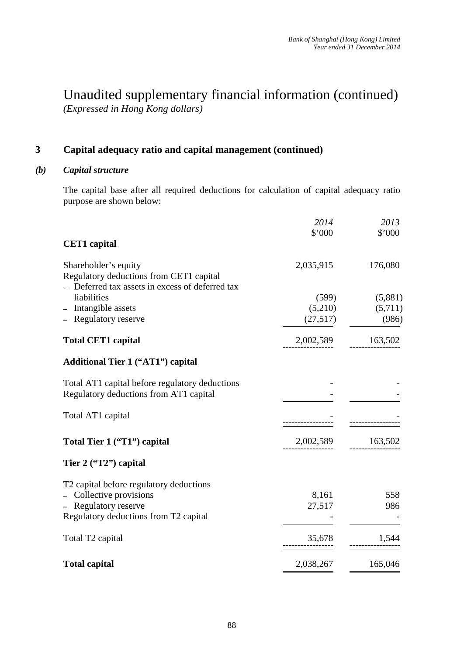# **3 Capital adequacy ratio and capital management (continued)**

### *(b) Capital structure*

The capital base after all required deductions for calculation of capital adequacy ratio purpose are shown below:

|                                                 | 2014      | 2013    |
|-------------------------------------------------|-----------|---------|
| <b>CET1</b> capital                             | \$'000    | \$'000  |
|                                                 |           |         |
| Shareholder's equity                            | 2,035,915 | 176,080 |
| Regulatory deductions from CET1 capital         |           |         |
| - Deferred tax assets in excess of deferred tax |           |         |
| liabilities                                     | (599)     | (5,881) |
| Intangible assets<br>$\overline{\phantom{0}}$   | (5,210)   | (5,711) |
| Regulatory reserve                              | (27,517)  | (986)   |
| <b>Total CET1 capital</b>                       | 2,002,589 | 163,502 |
| <b>Additional Tier 1 ("AT1") capital</b>        |           |         |
| Total AT1 capital before regulatory deductions  |           |         |
| Regulatory deductions from AT1 capital          |           |         |
| Total AT1 capital                               |           |         |
|                                                 |           |         |
| Total Tier 1 ("T1") capital                     | 2,002,589 | 163,502 |
| Tier $2$ ("T2") capital                         |           |         |
| T2 capital before regulatory deductions         |           |         |
| - Collective provisions                         | 8,161     | 558     |
| - Regulatory reserve                            | 27,517    | 986     |
| Regulatory deductions from T2 capital           |           |         |
| Total T <sub>2</sub> capital                    | 35,678    | 1,544   |
|                                                 |           |         |
| <b>Total capital</b>                            | 2,038,267 | 165,046 |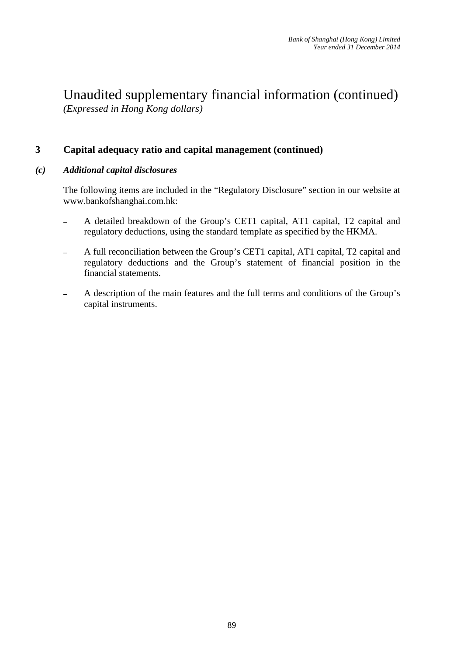# **3 Capital adequacy ratio and capital management (continued)**

### *(c) Additional capital disclosures*

The following items are included in the "Regulatory Disclosure" section in our website at www.bankofshanghai.com.hk:

- − A detailed breakdown of the Group's CET1 capital, AT1 capital, T2 capital and regulatory deductions, using the standard template as specified by the HKMA.
- − A full reconciliation between the Group's CET1 capital, AT1 capital, T2 capital and regulatory deductions and the Group's statement of financial position in the financial statements.
- − A description of the main features and the full terms and conditions of the Group's capital instruments.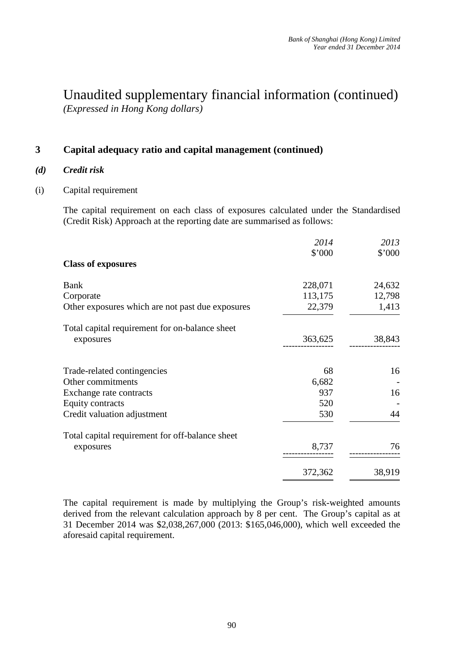# **3 Capital adequacy ratio and capital management (continued)**

- *(d) Credit risk*
- (i) Capital requirement

The capital requirement on each class of exposures calculated under the Standardised (Credit Risk) Approach at the reporting date are summarised as follows:

|                                                  | 2014    | 2013   |
|--------------------------------------------------|---------|--------|
|                                                  | \$'000  | \$'000 |
| <b>Class of exposures</b>                        |         |        |
| <b>Bank</b>                                      | 228,071 | 24,632 |
| Corporate                                        | 113,175 | 12,798 |
| Other exposures which are not past due exposures | 22,379  | 1,413  |
| Total capital requirement for on-balance sheet   |         |        |
| exposures                                        | 363,625 | 38,843 |
| Trade-related contingencies                      | 68      | 16     |
| Other commitments                                | 6,682   |        |
| Exchange rate contracts                          | 937     | 16     |
| <b>Equity contracts</b>                          | 520     |        |
| Credit valuation adjustment                      | 530     | 44     |
| Total capital requirement for off-balance sheet  |         |        |
| exposures                                        | 8,737   | 76     |
|                                                  | 372,362 | 38,919 |

The capital requirement is made by multiplying the Group's risk-weighted amounts derived from the relevant calculation approach by 8 per cent. The Group's capital as at 31 December 2014 was \$2,038,267,000 (2013: \$165,046,000), which well exceeded the aforesaid capital requirement.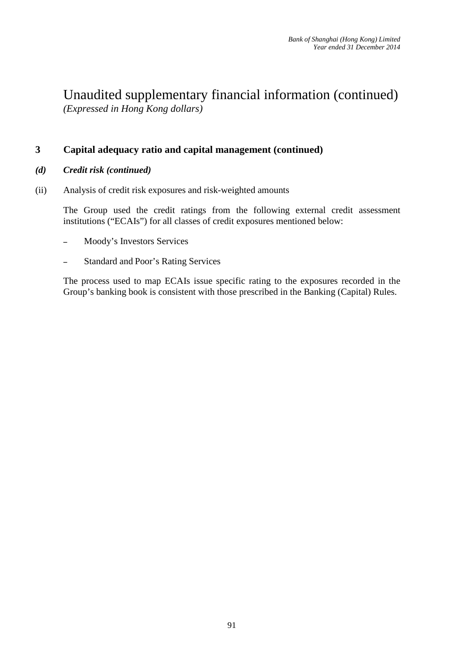# **3 Capital adequacy ratio and capital management (continued)**

### *(d) Credit risk (continued)*

(ii) Analysis of credit risk exposures and risk-weighted amounts

The Group used the credit ratings from the following external credit assessment institutions ("ECAIs") for all classes of credit exposures mentioned below:

- − Moody's Investors Services
- Standard and Poor's Rating Services

The process used to map ECAIs issue specific rating to the exposures recorded in the Group's banking book is consistent with those prescribed in the Banking (Capital) Rules.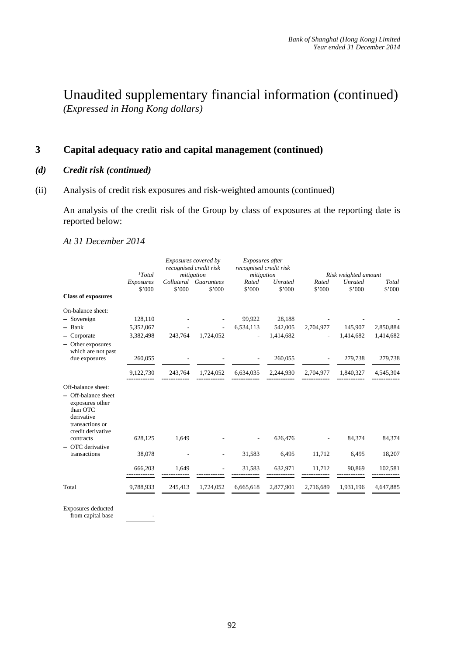# **3 Capital adequacy ratio and capital management (continued)**

- *(d) Credit risk (continued)*
- (ii) Analysis of credit risk exposures and risk-weighted amounts (continued)

An analysis of the credit risk of the Group by class of exposures at the reporting date is reported below:

#### *At 31 December 2014*

|                                                                                                          | $1 Total$                  | Exposures covered by<br>recognised credit risk<br>mitigation |                             | Exposures after<br>recognised credit risk<br>mitigation |                          |                 | Risk weighted amount     |                 |
|----------------------------------------------------------------------------------------------------------|----------------------------|--------------------------------------------------------------|-----------------------------|---------------------------------------------------------|--------------------------|-----------------|--------------------------|-----------------|
|                                                                                                          | <b>Exposures</b><br>\$'000 | Collateral<br>\$'000                                         | <b>Guarantees</b><br>\$'000 | Rated<br>\$'000                                         | <b>Unrated</b><br>\$'000 | Rated<br>\$'000 | <b>Unrated</b><br>\$'000 | Total<br>\$'000 |
| <b>Class of exposures</b>                                                                                |                            |                                                              |                             |                                                         |                          |                 |                          |                 |
| On-balance sheet:                                                                                        |                            |                                                              |                             |                                                         |                          |                 |                          |                 |
| $-$ Sovereign                                                                                            | 128,110                    |                                                              |                             | 99,922                                                  | 28,188                   |                 |                          |                 |
| $-$ Bank                                                                                                 | 5,352,067                  |                                                              |                             | 6,534,113                                               | 542,005                  | 2,704,977       | 145,907                  | 2,850,884       |
| $-$ Corporate                                                                                            | 3,382,498                  | 243,764                                                      | 1,724,052                   |                                                         | 1,414,682                |                 | 1,414,682                | 1,414,682       |
| - Other exposures<br>which are not past                                                                  |                            |                                                              |                             |                                                         |                          |                 |                          |                 |
| due exposures                                                                                            | 260,055                    |                                                              |                             |                                                         | 260,055                  |                 | 279,738                  | 279,738         |
|                                                                                                          | 9,122,730                  | 243,764                                                      | 1,724,052                   | 6,634,035                                               | 2,244,930                | 2,704,977       | 1,840,327                | 4,545,304       |
| Off-balance sheet:                                                                                       |                            |                                                              |                             |                                                         |                          |                 |                          |                 |
| - Off-balance sheet<br>exposures other<br>than OTC<br>derivative<br>transactions or<br>credit derivative |                            |                                                              |                             |                                                         |                          |                 |                          |                 |
| contracts                                                                                                | 628,125                    | 1,649                                                        |                             |                                                         | 626,476                  |                 | 84,374                   | 84,374          |
| OTC derivative<br>-                                                                                      |                            |                                                              |                             |                                                         |                          |                 |                          |                 |
| transactions                                                                                             | 38,078                     |                                                              |                             | 31,583                                                  | 6,495                    | 11,712          | 6,495                    | 18,207          |
|                                                                                                          | 666,203                    | 1,649                                                        |                             | 31,583                                                  | 632,971                  | 11,712          | 90,869                   | 102,581         |
|                                                                                                          |                            |                                                              |                             |                                                         |                          |                 |                          |                 |
| Total                                                                                                    | 9,788,933                  | 245,413                                                      | 1,724,052                   | 6,665,618                                               | 2,877,901                | 2,716,689       | 1,931,196                | 4,647,885       |

Exposures deducted

from capital base  $\frac{1}{\sqrt{1-\frac{1}{2}}}\frac{1}{\sqrt{1-\frac{1}{2}}}\frac{1}{\sqrt{1-\frac{1}{2}}}\frac{1}{\sqrt{1-\frac{1}{2}}}\frac{1}{\sqrt{1-\frac{1}{2}}}\frac{1}{\sqrt{1-\frac{1}{2}}}\frac{1}{\sqrt{1-\frac{1}{2}}}\frac{1}{\sqrt{1-\frac{1}{2}}}\frac{1}{\sqrt{1-\frac{1}{2}}}\frac{1}{\sqrt{1-\frac{1}{2}}}\frac{1}{\sqrt{1-\frac{1}{2}}}\frac{1}{\sqrt{1-\frac{1}{2}}}\frac{1}{\sqrt{1-\frac$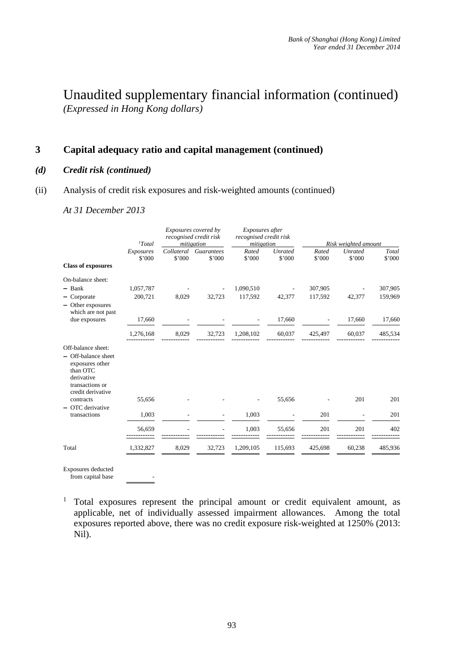# **3 Capital adequacy ratio and capital management (continued)**

#### *(d) Credit risk (continued)*

#### (ii) Analysis of credit risk exposures and risk-weighted amounts (continued)

*At 31 December 2013*

| $1 Total$        | Exposures covered by<br>recognised credit risk<br>mitigation |        |                                 |         |                                                                             |                |                                          |
|------------------|--------------------------------------------------------------|--------|---------------------------------|---------|-----------------------------------------------------------------------------|----------------|------------------------------------------|
| <b>Exposures</b> |                                                              |        | Rated                           | Unrated | Rated                                                                       | <b>Unrated</b> | Total<br>\$'000                          |
|                  |                                                              |        |                                 |         |                                                                             |                |                                          |
|                  |                                                              |        |                                 |         |                                                                             |                |                                          |
| 1,057,787        |                                                              |        | 1,090,510                       |         | 307,905                                                                     |                | 307,905                                  |
| 200,721          | 8,029                                                        | 32,723 | 117,592                         | 42,377  | 117,592                                                                     | 42,377         | 159,969                                  |
|                  |                                                              |        |                                 |         |                                                                             |                | 17,660                                   |
|                  |                                                              |        |                                 |         |                                                                             |                |                                          |
| 1,276,168        | 8,029                                                        | 32,723 | 1,208,102                       | 60,037  | 425,497                                                                     | 60,037         | 485,534                                  |
|                  |                                                              |        |                                 |         |                                                                             |                |                                          |
| 55,656           |                                                              |        |                                 | 55,656  |                                                                             | 201            | 201                                      |
| 1,003            |                                                              |        | 1,003                           |         | 201                                                                         |                | 201                                      |
| 56,659           |                                                              |        | 1,003                           | 55,656  | 201                                                                         | 201            | 402                                      |
| 1,332,827        | 8,029                                                        | 32,723 | 1,209,105                       | 115,693 | 425,698                                                                     | 60,238         | 485,936                                  |
|                  | \$'000<br>17,660                                             | \$'000 | Collateral Guarantees<br>\$'000 | \$'000  | Exposures after<br>recognised credit risk<br>mitigation<br>\$'000<br>17,660 | \$'000         | Risk weighted amount<br>\$'000<br>17,660 |

Exposures deducted

from capital base -

<sup>1</sup> Total exposures represent the principal amount or credit equivalent amount, as applicable, net of individually assessed impairment allowances. Among the total exposures reported above, there was no credit exposure risk-weighted at 1250% (2013: Nil).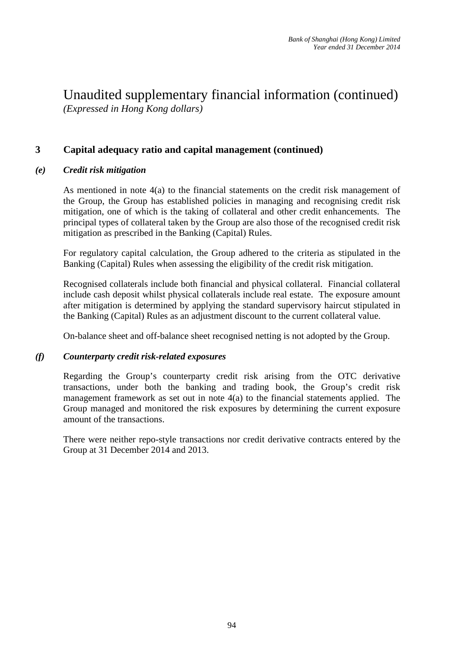# **3 Capital adequacy ratio and capital management (continued)**

### *(e) Credit risk mitigation*

As mentioned in note 4(a) to the financial statements on the credit risk management of the Group, the Group has established policies in managing and recognising credit risk mitigation, one of which is the taking of collateral and other credit enhancements. The principal types of collateral taken by the Group are also those of the recognised credit risk mitigation as prescribed in the Banking (Capital) Rules.

For regulatory capital calculation, the Group adhered to the criteria as stipulated in the Banking (Capital) Rules when assessing the eligibility of the credit risk mitigation.

Recognised collaterals include both financial and physical collateral. Financial collateral include cash deposit whilst physical collaterals include real estate. The exposure amount after mitigation is determined by applying the standard supervisory haircut stipulated in the Banking (Capital) Rules as an adjustment discount to the current collateral value.

On-balance sheet and off-balance sheet recognised netting is not adopted by the Group.

#### *(f) Counterparty credit risk-related exposures*

Regarding the Group's counterparty credit risk arising from the OTC derivative transactions, under both the banking and trading book, the Group's credit risk management framework as set out in note 4(a) to the financial statements applied. The Group managed and monitored the risk exposures by determining the current exposure amount of the transactions.

There were neither repo-style transactions nor credit derivative contracts entered by the Group at 31 December 2014 and 2013.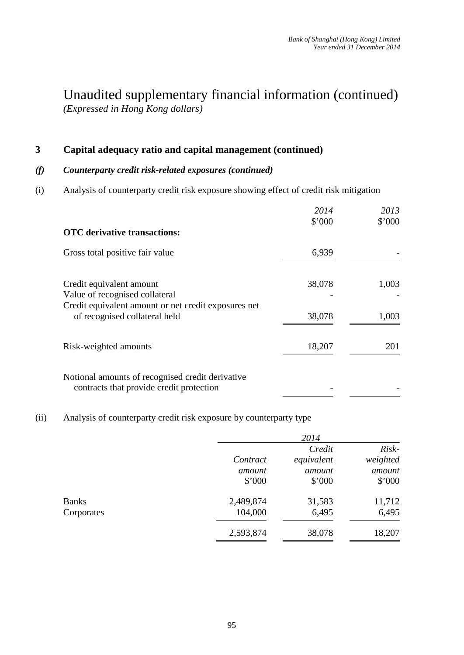# **3 Capital adequacy ratio and capital management (continued)**

# *(f) Counterparty credit risk-related exposures (continued)*

(i) Analysis of counterparty credit risk exposure showing effect of credit risk mitigation

|                                                                                              | 2014<br>\$'000 | 2013<br>\$'000 |
|----------------------------------------------------------------------------------------------|----------------|----------------|
| <b>OTC</b> derivative transactions:                                                          |                |                |
| Gross total positive fair value                                                              | 6,939          |                |
| Credit equivalent amount<br>Value of recognised collateral                                   | 38,078         | 1,003          |
| Credit equivalent amount or net credit exposures net<br>of recognised collateral held        | 38,078         | 1,003          |
| Risk-weighted amounts                                                                        | 18,207         | 201            |
| Notional amounts of recognised credit derivative<br>contracts that provide credit protection |                |                |

### (ii) Analysis of counterparty credit risk exposure by counterparty type

|           | 2014       |          |
|-----------|------------|----------|
|           | Credit     | $Risk-$  |
| Contract  | equivalent | weighted |
| amount    | amount     | amount   |
| \$'000    | \$'000     | \$'000   |
| 2,489,874 | 31,583     | 11,712   |
| 104,000   | 6,495      | 6,495    |
| 2,593,874 | 38,078     | 18,207   |
|           |            |          |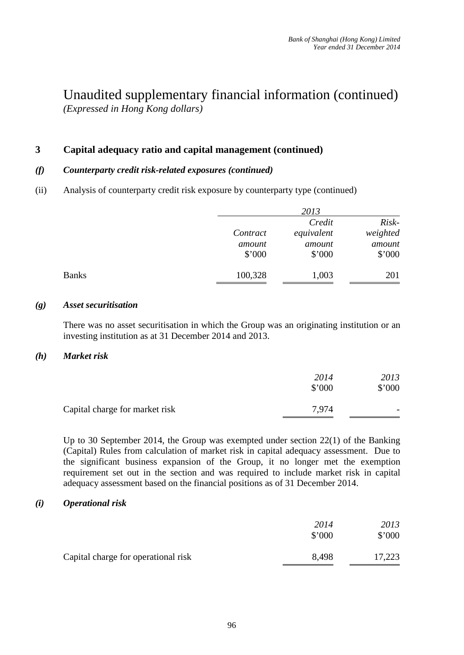### **3 Capital adequacy ratio and capital management (continued)**

### *(f) Counterparty credit risk-related exposures (continued)*

(ii) Analysis of counterparty credit risk exposure by counterparty type (continued)

|              |                  | 2013                 |                   |
|--------------|------------------|----------------------|-------------------|
|              | Contract         | Credit<br>equivalent | Risk-<br>weighted |
|              | amount<br>\$'000 | amount<br>\$'000     | amount<br>\$'000  |
| <b>Banks</b> | 100,328          | 1,003                | 201               |

#### *(g) Asset securitisation*

There was no asset securitisation in which the Group was an originating institution or an investing institution as at 31 December 2014 and 2013.

### *(h) Market risk*

|                                | 2014<br>\$'000 | 2013<br>\$'000           |
|--------------------------------|----------------|--------------------------|
| Capital charge for market risk | 7.974          | $\overline{\phantom{0}}$ |

Up to 30 September 2014, the Group was exempted under section 22(1) of the Banking (Capital) Rules from calculation of market risk in capital adequacy assessment. Due to the significant business expansion of the Group, it no longer met the exemption requirement set out in the section and was required to include market risk in capital adequacy assessment based on the financial positions as of 31 December 2014.

### *(i) Operational risk*

|                                     | 2014<br>\$'000 | 2013<br>\$'000 |
|-------------------------------------|----------------|----------------|
| Capital charge for operational risk | 8,498          | 17,223         |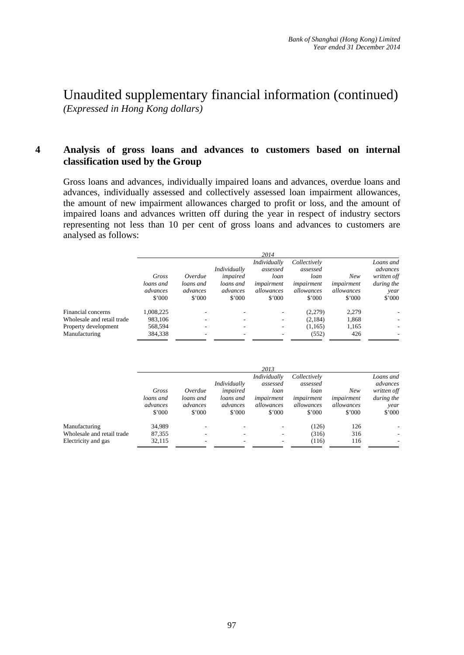### **4 Analysis of gross loans and advances to customers based on internal classification used by the Group**

Gross loans and advances, individually impaired loans and advances, overdue loans and advances, individually assessed and collectively assessed loan impairment allowances, the amount of new impairment allowances charged to profit or loss, and the amount of impaired loans and advances written off during the year in respect of industry sectors representing not less than 10 per cent of gross loans and advances to customers are analysed as follows:

|                            |                                         |                                 | Individually                             | 2014<br>Individually<br>assessed           | Collectively<br>assessed                    |                                   | Loans and<br>advances                 |
|----------------------------|-----------------------------------------|---------------------------------|------------------------------------------|--------------------------------------------|---------------------------------------------|-----------------------------------|---------------------------------------|
|                            | Gross                                   | Overdue                         | impaired                                 | loan                                       | loan                                        | New                               | written off                           |
|                            | loans and<br>advances<br>$$^{\circ}000$ | loans and<br>advances<br>\$7000 | loans and<br>advances<br>$$^{\prime}000$ | impairment<br>allowances<br>$$^{\circ}000$ | impairment<br>allowances<br>$$^{\prime}000$ | impairment<br>allowances<br>\$000 | during the<br>year<br>$$^{\prime}000$ |
| Financial concerns         | 1,008,225                               |                                 |                                          |                                            | (2,279)                                     | 2.279                             |                                       |
| Wholesale and retail trade | 983.106                                 |                                 |                                          |                                            | (2,184)                                     | 1,868                             |                                       |
| Property development       | 568,594                                 |                                 |                                          |                                            | (1, 165)                                    | 1,165                             |                                       |
| Manufacturing              | 384,338                                 |                                 |                                          |                                            | (552)                                       | 426                               |                                       |

|                                                                    | Gross<br>loans and<br>advances<br>$$^{\circ}000$ | Overdue<br>loans and<br>advances<br>$$^{\circ}000$ | Individually<br>impaired<br>loans and<br>advances<br>$$^{\prime}000$ | 2013<br>Individually<br>assessed<br>loan<br>impairment<br>allowances<br>$$^{\circ}000$ | Collectively<br>assessed<br>loan<br>impairment<br>allowances<br>$$^{\circ}000$ | New<br>impairment<br>allowances<br>$$^{\circ}000$ | Loans and<br>advances<br>written off<br>during the<br>year<br>$$^{\prime}000$ |
|--------------------------------------------------------------------|--------------------------------------------------|----------------------------------------------------|----------------------------------------------------------------------|----------------------------------------------------------------------------------------|--------------------------------------------------------------------------------|---------------------------------------------------|-------------------------------------------------------------------------------|
| Manufacturing<br>Wholesale and retail trade<br>Electricity and gas | 34,989<br>87,355<br>32,115                       |                                                    |                                                                      |                                                                                        | (126)<br>(316)<br>(116)                                                        | 126<br>316<br>116                                 |                                                                               |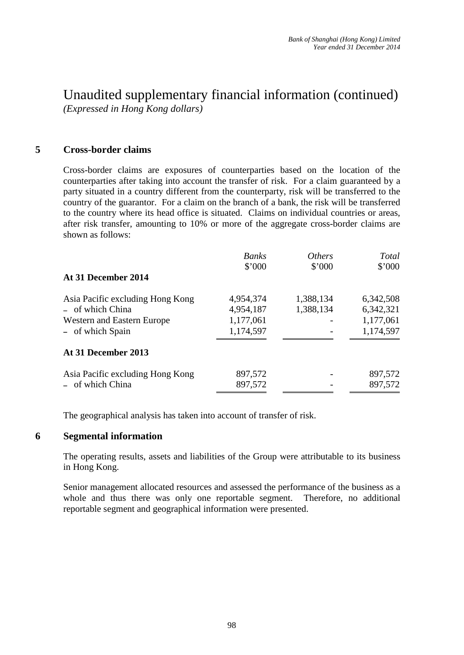### **5 Cross-border claims**

Cross-border claims are exposures of counterparties based on the location of the counterparties after taking into account the transfer of risk. For a claim guaranteed by a party situated in a country different from the counterparty, risk will be transferred to the country of the guarantor. For a claim on the branch of a bank, the risk will be transferred to the country where its head office is situated. Claims on individual countries or areas, after risk transfer, amounting to 10% or more of the aggregate cross-border claims are shown as follows:

|                                  | <b>Banks</b><br>\$'000 | <i>Others</i><br>\$'000 | Total<br>\$'000 |
|----------------------------------|------------------------|-------------------------|-----------------|
| At 31 December 2014              |                        |                         |                 |
| Asia Pacific excluding Hong Kong | 4,954,374              | 1,388,134               | 6,342,508       |
| - of which China                 | 4,954,187              | 1,388,134               | 6,342,321       |
| Western and Eastern Europe       | 1,177,061              |                         | 1,177,061       |
| - of which Spain                 | 1,174,597              |                         | 1,174,597       |
| At 31 December 2013              |                        |                         |                 |
| Asia Pacific excluding Hong Kong | 897,572                |                         | 897,572         |
| - of which China                 | 897,572                |                         | 897,572         |

The geographical analysis has taken into account of transfer of risk.

### **6 Segmental information**

The operating results, assets and liabilities of the Group were attributable to its business in Hong Kong.

Senior management allocated resources and assessed the performance of the business as a whole and thus there was only one reportable segment. Therefore, no additional reportable segment and geographical information were presented.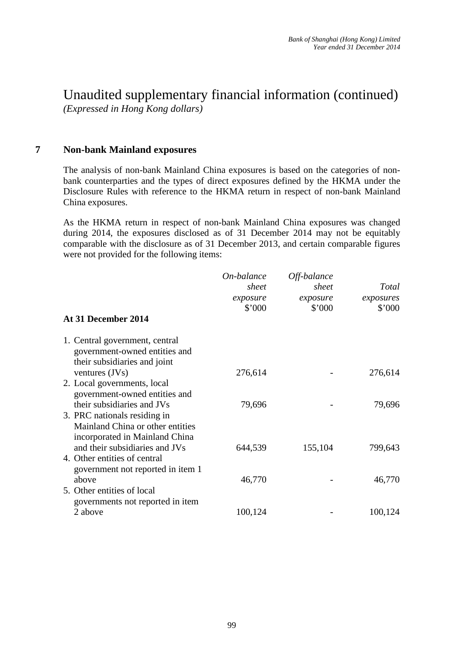# Unaudited supplementary financial information (continued)

*(Expressed in Hong Kong dollars)*

### **7 Non-bank Mainland exposures**

The analysis of non-bank Mainland China exposures is based on the categories of nonbank counterparties and the types of direct exposures defined by the HKMA under the Disclosure Rules with reference to the HKMA return in respect of non-bank Mainland China exposures.

As the HKMA return in respect of non-bank Mainland China exposures was changed during 2014, the exposures disclosed as of 31 December 2014 may not be equitably comparable with the disclosure as of 31 December 2013, and certain comparable figures were not provided for the following items:

| At 31 December 2014                                                                                | On-balance<br>sheet<br>exposure<br>\$'000 | Off-balance<br>sheet<br>exposure<br>\$'000 | Total<br>exposures<br>\$'000 |
|----------------------------------------------------------------------------------------------------|-------------------------------------------|--------------------------------------------|------------------------------|
| 1. Central government, central<br>government-owned entities and<br>their subsidiaries and joint    |                                           |                                            |                              |
| ventures $(JVs)$                                                                                   | 276,614                                   |                                            | 276,614                      |
| 2. Local governments, local<br>government-owned entities and                                       |                                           |                                            |                              |
| their subsidiaries and JVs                                                                         | 79,696                                    |                                            | 79,696                       |
| 3. PRC nationals residing in<br>Mainland China or other entities<br>incorporated in Mainland China |                                           |                                            |                              |
| and their subsidiaries and JVs                                                                     | 644,539                                   | 155,104                                    | 799,643                      |
| 4. Other entities of central<br>government not reported in item 1                                  |                                           |                                            |                              |
| above                                                                                              | 46,770                                    |                                            | 46,770                       |
| 5. Other entities of local<br>governments not reported in item                                     |                                           |                                            |                              |
| 2 above                                                                                            | 100,124                                   |                                            | 100,124                      |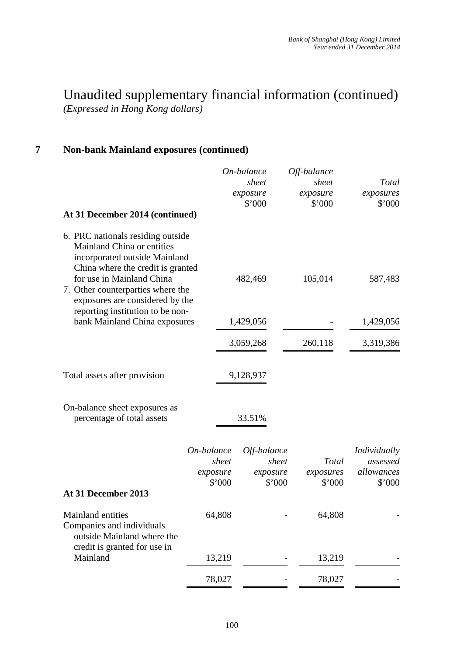# **7 Non-bank Mainland exposures (continued)**

| At 31 December 2014 (continued)                                                                                                                                                                                                                                                |                                                   | On-balance<br>sheet<br>exposure<br>\$'000  | Off-balance<br>sheet<br>exposure<br>\$'000 | Total<br>exposures<br>\$'000                     |
|--------------------------------------------------------------------------------------------------------------------------------------------------------------------------------------------------------------------------------------------------------------------------------|---------------------------------------------------|--------------------------------------------|--------------------------------------------|--------------------------------------------------|
| 6. PRC nationals residing outside<br>Mainland China or entities<br>incorporated outside Mainland<br>China where the credit is granted<br>for use in Mainland China<br>7. Other counterparties where the<br>exposures are considered by the<br>reporting institution to be non- |                                                   | 105,014<br>482,469                         |                                            | 587,483                                          |
| bank Mainland China exposures                                                                                                                                                                                                                                                  |                                                   | 1,429,056                                  |                                            | 1,429,056                                        |
|                                                                                                                                                                                                                                                                                |                                                   | 3,059,268                                  | 260,118                                    | 3,319,386                                        |
| Total assets after provision                                                                                                                                                                                                                                                   |                                                   | 9,128,937                                  |                                            |                                                  |
| On-balance sheet exposures as<br>percentage of total assets                                                                                                                                                                                                                    |                                                   | 33.51%                                     |                                            |                                                  |
| At 31 December 2013                                                                                                                                                                                                                                                            | On-balance<br>sheet<br>exposure<br>$$^{\circ}000$ | Off-balance<br>sheet<br>exposure<br>\$'000 | Total<br>exposures<br>$$^{\circ}000$       | Individually<br>assessed<br>allowances<br>\$'000 |
| <b>Mainland entities</b><br>Companies and individuals<br>outside Mainland where the                                                                                                                                                                                            | 64,808                                            |                                            | 64,808                                     |                                                  |
| credit is granted for use in<br>Mainland                                                                                                                                                                                                                                       | 13,219                                            |                                            | 13,219                                     |                                                  |
|                                                                                                                                                                                                                                                                                | 78,027                                            |                                            | 78,027                                     |                                                  |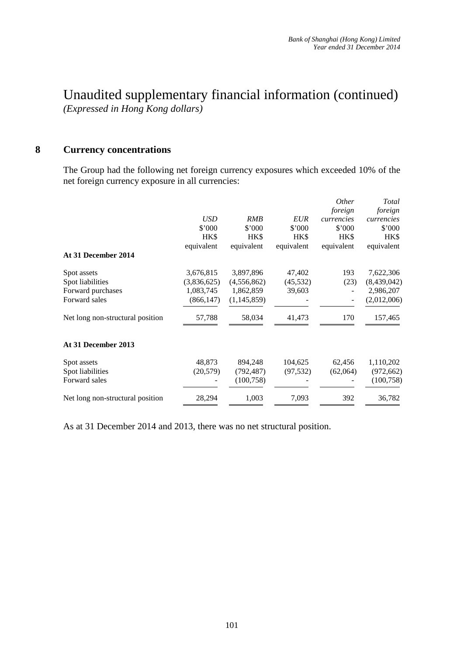### **8 Currency concentrations**

The Group had the following net foreign currency exposures which exceeded 10% of the net foreign currency exposure in all currencies:

|                                  |             |               |            | <i>Other</i>             | Total       |
|----------------------------------|-------------|---------------|------------|--------------------------|-------------|
|                                  |             |               |            | foreign                  | foreign     |
|                                  | <b>USD</b>  | RMB           | <b>EUR</b> | currencies               | currencies  |
|                                  | \$'000      | \$'000        | \$'000     | \$'000                   | \$'000      |
|                                  | HK\$        | HK\$          | HK\$       | HK\$                     | HK\$        |
|                                  | equivalent  | equivalent    | equivalent | equivalent               | equivalent  |
| At 31 December 2014              |             |               |            |                          |             |
| Spot assets                      | 3,676,815   | 3,897,896     | 47,402     | 193                      | 7,622,306   |
| Spot liabilities                 | (3,836,625) | (4,556,862)   | (45, 532)  | (23)                     | (8,439,042) |
| Forward purchases                | 1,083,745   | 1,862,859     | 39,603     |                          | 2,986,207   |
| Forward sales                    | (866, 147)  | (1, 145, 859) |            | $\overline{\phantom{a}}$ | (2,012,006) |
| Net long non-structural position | 57,788      | 58,034        | 41,473     | 170                      | 157,465     |
| At 31 December 2013              |             |               |            |                          |             |
| Spot assets                      | 48,873      | 894,248       | 104,625    | 62,456                   | 1,110,202   |
| Spot liabilities                 | (20, 579)   | (792, 487)    | (97, 532)  | (62,064)                 | (972, 662)  |
| Forward sales                    |             | (100, 758)    |            |                          | (100, 758)  |
| Net long non-structural position | 28,294      | 1,003         | 7,093      | 392                      | 36,782      |

As at 31 December 2014 and 2013, there was no net structural position.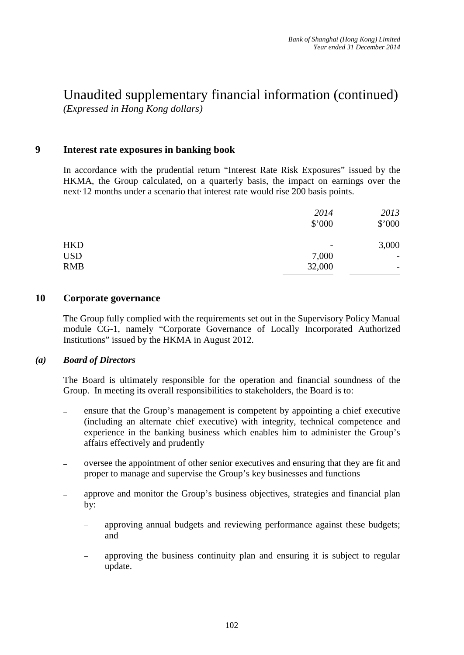### **9 Interest rate exposures in banking book**

In accordance with the prudential return "Interest Rate Risk Exposures" issued by the HKMA, the Group calculated, on a quarterly basis, the impact on earnings over the next·12 months under a scenario that interest rate would rise 200 basis points.

| 2013   | 2014                     |     |
|--------|--------------------------|-----|
| \$'000 | \$'000                   |     |
| 3,000  | $\overline{\phantom{0}}$ | HKD |
| -      | 7,000                    | USD |
| -      | 32,000                   | RMB |
|        |                          |     |

### **10 Corporate governance**

The Group fully complied with the requirements set out in the Supervisory Policy Manual module CG-1, namely "Corporate Governance of Locally Incorporated Authorized Institutions" issued by the HKMA in August 2012.

### *(a) Board of Directors*

The Board is ultimately responsible for the operation and financial soundness of the Group. In meeting its overall responsibilities to stakeholders, the Board is to:

- ensure that the Group's management is competent by appointing a chief executive (including an alternate chief executive) with integrity, technical competence and experience in the banking business which enables him to administer the Group's affairs effectively and prudently
- − oversee the appointment of other senior executives and ensuring that they are fit and proper to manage and supervise the Group's key businesses and functions
- approve and monitor the Group's business objectives, strategies and financial plan by:
	- approving annual budgets and reviewing performance against these budgets; and
	- approving the business continuity plan and ensuring it is subject to regular update.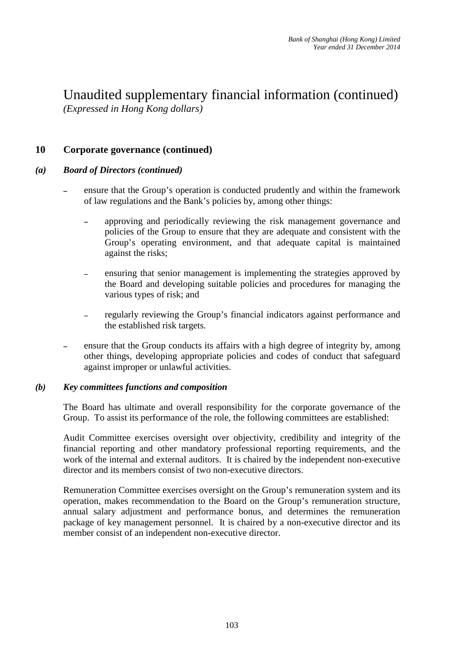# **10 Corporate governance (continued)**

### *(a) Board of Directors (continued)*

- ensure that the Group's operation is conducted prudently and within the framework of law regulations and the Bank's policies by, among other things:
	- approving and periodically reviewing the risk management governance and policies of the Group to ensure that they are adequate and consistent with the Group's operating environment, and that adequate capital is maintained against the risks;
	- ensuring that senior management is implementing the strategies approved by the Board and developing suitable policies and procedures for managing the various types of risk; and
	- − regularly reviewing the Group's financial indicators against performance and the established risk targets.
- ensure that the Group conducts its affairs with a high degree of integrity by, among other things, developing appropriate policies and codes of conduct that safeguard against improper or unlawful activities.

### *(b) Key committees functions and composition*

The Board has ultimate and overall responsibility for the corporate governance of the Group. To assist its performance of the role, the following committees are established:

Audit Committee exercises oversight over objectivity, credibility and integrity of the financial reporting and other mandatory professional reporting requirements, and the work of the internal and external auditors. It is chaired by the independent non-executive director and its members consist of two non-executive directors.

Remuneration Committee exercises oversight on the Group's remuneration system and its operation, makes recommendation to the Board on the Group's remuneration structure, annual salary adjustment and performance bonus, and determines the remuneration package of key management personnel. It is chaired by a non-executive director and its member consist of an independent non-executive director.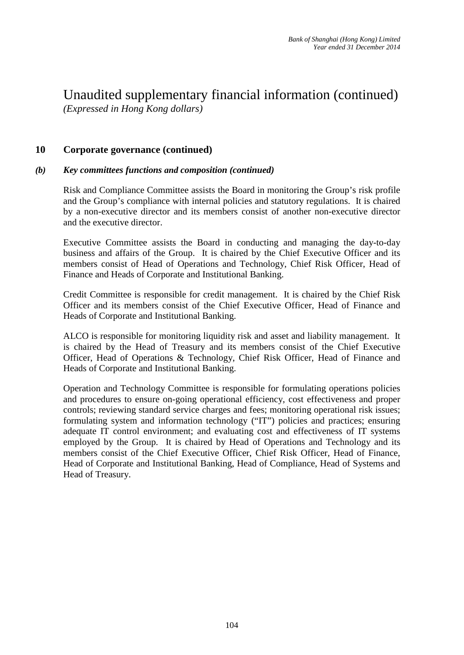### **10 Corporate governance (continued)**

#### *(b) Key committees functions and composition (continued)*

Risk and Compliance Committee assists the Board in monitoring the Group's risk profile and the Group's compliance with internal policies and statutory regulations. It is chaired by a non-executive director and its members consist of another non-executive director and the executive director.

Executive Committee assists the Board in conducting and managing the day-to-day business and affairs of the Group. It is chaired by the Chief Executive Officer and its members consist of Head of Operations and Technology, Chief Risk Officer, Head of Finance and Heads of Corporate and Institutional Banking.

Credit Committee is responsible for credit management. It is chaired by the Chief Risk Officer and its members consist of the Chief Executive Officer, Head of Finance and Heads of Corporate and Institutional Banking.

ALCO is responsible for monitoring liquidity risk and asset and liability management. It is chaired by the Head of Treasury and its members consist of the Chief Executive Officer, Head of Operations & Technology, Chief Risk Officer, Head of Finance and Heads of Corporate and Institutional Banking.

Operation and Technology Committee is responsible for formulating operations policies and procedures to ensure on-going operational efficiency, cost effectiveness and proper controls; reviewing standard service charges and fees; monitoring operational risk issues; formulating system and information technology ("IT") policies and practices; ensuring adequate IT control environment; and evaluating cost and effectiveness of IT systems employed by the Group. It is chaired by Head of Operations and Technology and its members consist of the Chief Executive Officer, Chief Risk Officer, Head of Finance, Head of Corporate and Institutional Banking, Head of Compliance, Head of Systems and Head of Treasury.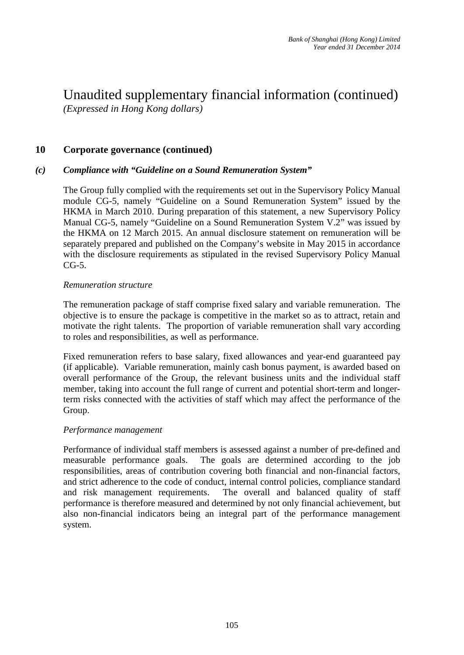### **10 Corporate governance (continued)**

### *(c) Compliance with "Guideline on a Sound Remuneration System"*

The Group fully complied with the requirements set out in the Supervisory Policy Manual module CG-5, namely "Guideline on a Sound Remuneration System" issued by the HKMA in March 2010. During preparation of this statement, a new Supervisory Policy Manual CG-5, namely "Guideline on a Sound Remuneration System V.2" was issued by the HKMA on 12 March 2015. An annual disclosure statement on remuneration will be separately prepared and published on the Company's website in May 2015 in accordance with the disclosure requirements as stipulated in the revised Supervisory Policy Manual CG-5.

### *Remuneration structure*

The remuneration package of staff comprise fixed salary and variable remuneration. The objective is to ensure the package is competitive in the market so as to attract, retain and motivate the right talents. The proportion of variable remuneration shall vary according to roles and responsibilities, as well as performance.

Fixed remuneration refers to base salary, fixed allowances and year-end guaranteed pay (if applicable). Variable remuneration, mainly cash bonus payment, is awarded based on overall performance of the Group, the relevant business units and the individual staff member, taking into account the full range of current and potential short-term and longerterm risks connected with the activities of staff which may affect the performance of the Group.

### *Performance management*

Performance of individual staff members is assessed against a number of pre-defined and measurable performance goals. The goals are determined according to the job responsibilities, areas of contribution covering both financial and non-financial factors, and strict adherence to the code of conduct, internal control policies, compliance standard and risk management requirements. The overall and balanced quality of staff performance is therefore measured and determined by not only financial achievement, but also non-financial indicators being an integral part of the performance management system.